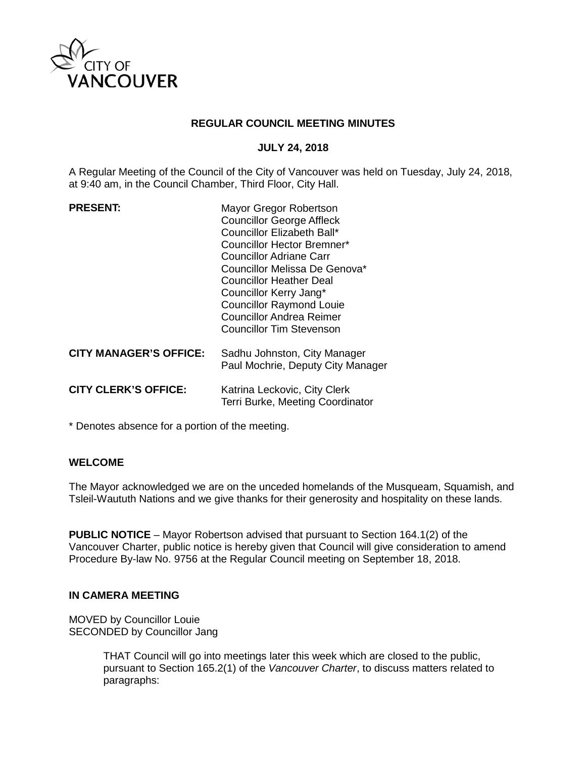

## **REGULAR COUNCIL MEETING MINUTES**

## **JULY 24, 2018**

A Regular Meeting of the Council of the City of Vancouver was held on Tuesday, July 24, 2018, at 9:40 am, in the Council Chamber, Third Floor, City Hall.

| Mayor Gregor Robertson<br><b>Councillor George Affleck</b><br>Councillor Elizabeth Ball*<br><b>Councillor Hector Bremner*</b><br>Councillor Adriane Carr<br>Councillor Melissa De Genova*<br><b>Councillor Heather Deal</b><br>Councillor Kerry Jang*<br><b>Councillor Raymond Louie</b><br><b>Councillor Andrea Reimer</b><br><b>Councillor Tim Stevenson</b> |
|----------------------------------------------------------------------------------------------------------------------------------------------------------------------------------------------------------------------------------------------------------------------------------------------------------------------------------------------------------------|
| Sadhu Johnston, City Manager<br>Paul Mochrie, Deputy City Manager                                                                                                                                                                                                                                                                                              |
| Katrina Leckovic, City Clerk<br>Terri Burke, Meeting Coordinator                                                                                                                                                                                                                                                                                               |
|                                                                                                                                                                                                                                                                                                                                                                |

\* Denotes absence for a portion of the meeting.

#### **WELCOME**

The Mayor acknowledged we are on the unceded homelands of the Musqueam, Squamish, and Tsleil-Waututh Nations and we give thanks for their generosity and hospitality on these lands.

**PUBLIC NOTICE** – Mayor Robertson advised that pursuant to Section 164.1(2) of the Vancouver Charter, public notice is hereby given that Council will give consideration to amend Procedure By-law No. 9756 at the Regular Council meeting on September 18, 2018.

# **IN CAMERA MEETING**

MOVED by Councillor Louie SECONDED by Councillor Jang

> THAT Council will go into meetings later this week which are closed to the public, pursuant to Section 165.2(1) of the *Vancouver Charter*, to discuss matters related to paragraphs: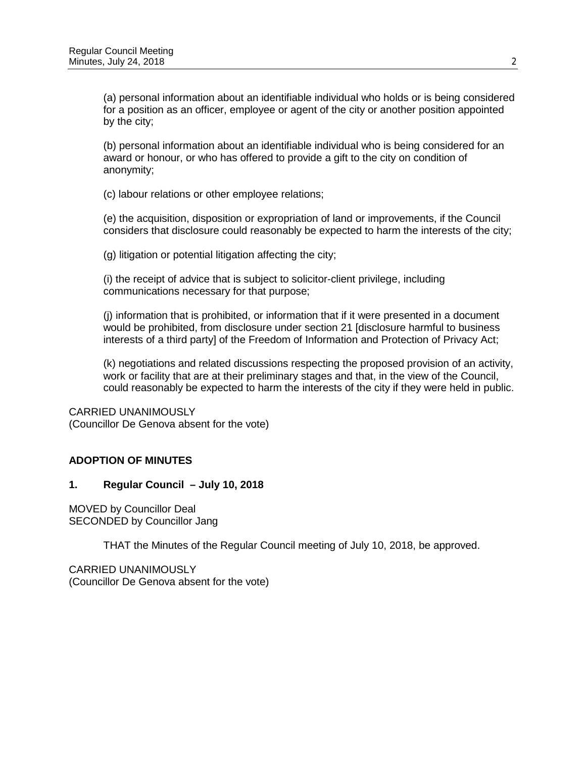(a) personal information about an identifiable individual who holds or is being considered for a position as an officer, employee or agent of the city or another position appointed by the city;

(b) personal information about an identifiable individual who is being considered for an award or honour, or who has offered to provide a gift to the city on condition of anonymity;

(c) labour relations or other employee relations;

(e) the acquisition, disposition or expropriation of land or improvements, if the Council considers that disclosure could reasonably be expected to harm the interests of the city;

(g) litigation or potential litigation affecting the city;

(i) the receipt of advice that is subject to solicitor-client privilege, including communications necessary for that purpose;

(j) information that is prohibited, or information that if it were presented in a document would be prohibited, from disclosure under section 21 [disclosure harmful to business interests of a third party] of the Freedom of Information and Protection of Privacy Act;

(k) negotiations and related discussions respecting the proposed provision of an activity, work or facility that are at their preliminary stages and that, in the view of the Council, could reasonably be expected to harm the interests of the city if they were held in public.

CARRIED UNANIMOUSLY (Councillor De Genova absent for the vote)

# **ADOPTION OF MINUTES**

# **1. Regular Council – July 10, 2018**

MOVED by Councillor Deal SECONDED by Councillor Jang

THAT the Minutes of the Regular Council meeting of July 10, 2018, be approved.

CARRIED UNANIMOUSLY (Councillor De Genova absent for the vote)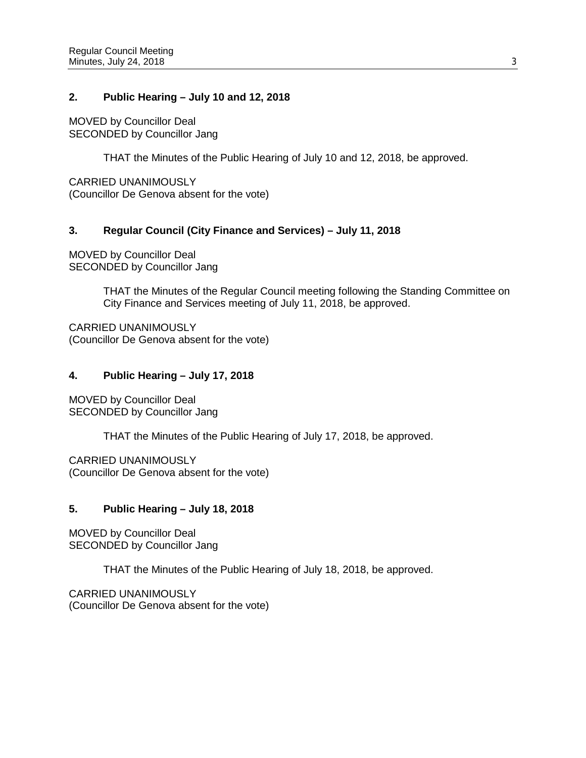## **2. Public Hearing – July 10 and 12, 2018**

MOVED by Councillor Deal SECONDED by Councillor Jang

THAT the Minutes of the Public Hearing of July 10 and 12, 2018, be approved.

CARRIED UNANIMOUSLY (Councillor De Genova absent for the vote)

## **3. Regular Council (City Finance and Services) – July 11, 2018**

MOVED by Councillor Deal SECONDED by Councillor Jang

> THAT the Minutes of the Regular Council meeting following the Standing Committee on City Finance and Services meeting of July 11, 2018, be approved.

CARRIED UNANIMOUSLY (Councillor De Genova absent for the vote)

## **4. Public Hearing – July 17, 2018**

MOVED by Councillor Deal SECONDED by Councillor Jang

THAT the Minutes of the Public Hearing of July 17, 2018, be approved.

CARRIED UNANIMOUSLY (Councillor De Genova absent for the vote)

# **5. Public Hearing – July 18, 2018**

MOVED by Councillor Deal SECONDED by Councillor Jang

THAT the Minutes of the Public Hearing of July 18, 2018, be approved.

CARRIED UNANIMOUSLY (Councillor De Genova absent for the vote)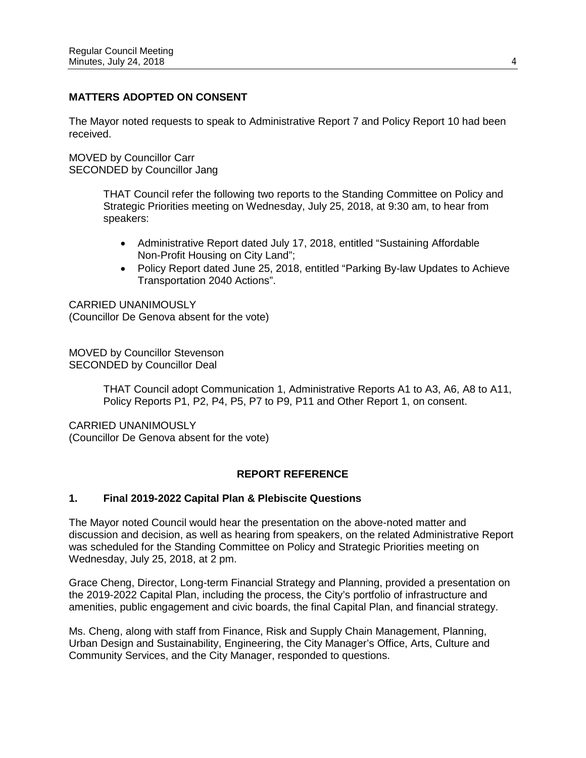# **MATTERS ADOPTED ON CONSENT**

The Mayor noted requests to speak to Administrative Report 7 and Policy Report 10 had been received.

MOVED by Councillor Carr SECONDED by Councillor Jang

> THAT Council refer the following two reports to the Standing Committee on Policy and Strategic Priorities meeting on Wednesday, July 25, 2018, at 9:30 am, to hear from speakers:

- Administrative Report dated July 17, 2018, entitled "Sustaining Affordable Non-Profit Housing on City Land";
- Policy Report dated June 25, 2018, entitled "Parking By-law Updates to Achieve Transportation 2040 Actions".

CARRIED UNANIMOUSLY (Councillor De Genova absent for the vote)

MOVED by Councillor Stevenson SECONDED by Councillor Deal

> THAT Council adopt Communication 1, Administrative Reports A1 to A3, A6, A8 to A11, Policy Reports P1, P2, P4, P5, P7 to P9, P11 and Other Report 1, on consent.

CARRIED UNANIMOUSLY (Councillor De Genova absent for the vote)

# **REPORT REFERENCE**

# **1. Final 2019-2022 Capital Plan & Plebiscite Questions**

The Mayor noted Council would hear the presentation on the above-noted matter and discussion and decision, as well as hearing from speakers, on the related Administrative Report was scheduled for the Standing Committee on Policy and Strategic Priorities meeting on Wednesday, July 25, 2018, at 2 pm.

Grace Cheng, Director, Long-term Financial Strategy and Planning, provided a presentation on the 2019-2022 Capital Plan, including the process, the City's portfolio of infrastructure and amenities, public engagement and civic boards, the final Capital Plan, and financial strategy.

Ms. Cheng, along with staff from Finance, Risk and Supply Chain Management, Planning, Urban Design and Sustainability, Engineering, the City Manager's Office, Arts, Culture and Community Services, and the City Manager, responded to questions.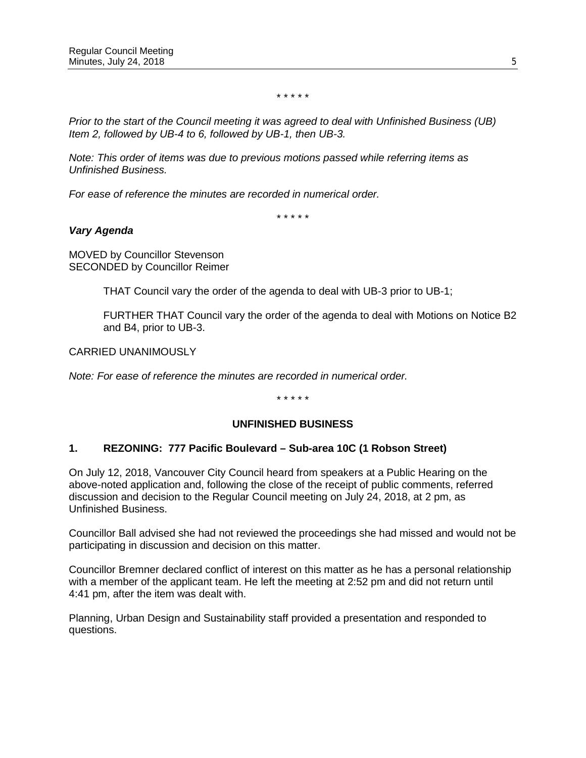\* \* \* \* \*

*Prior to the start of the Council meeting it was agreed to deal with Unfinished Business (UB) Item 2, followed by UB-4 to 6, followed by UB-1, then UB-3.* 

*Note: This order of items was due to previous motions passed while referring items as Unfinished Business.*

*For ease of reference the minutes are recorded in numerical order.*

\* \* \* \* \*

## *Vary Agenda*

MOVED by Councillor Stevenson SECONDED by Councillor Reimer

THAT Council vary the order of the agenda to deal with UB-3 prior to UB-1;

FURTHER THAT Council vary the order of the agenda to deal with Motions on Notice B2 and B4, prior to UB-3.

CARRIED UNANIMOUSLY

*Note: For ease of reference the minutes are recorded in numerical order.*

\* \* \* \* \*

# **UNFINISHED BUSINESS**

#### **1. REZONING: 777 Pacific Boulevard – Sub-area 10C (1 Robson Street)**

On July 12, 2018, Vancouver City Council heard from speakers at a Public Hearing on the above-noted application and, following the close of the receipt of public comments, referred discussion and decision to the Regular Council meeting on July 24, 2018, at 2 pm, as Unfinished Business.

Councillor Ball advised she had not reviewed the proceedings she had missed and would not be participating in discussion and decision on this matter.

Councillor Bremner declared conflict of interest on this matter as he has a personal relationship with a member of the applicant team. He left the meeting at 2:52 pm and did not return until 4:41 pm, after the item was dealt with.

Planning, Urban Design and Sustainability staff provided a presentation and responded to questions.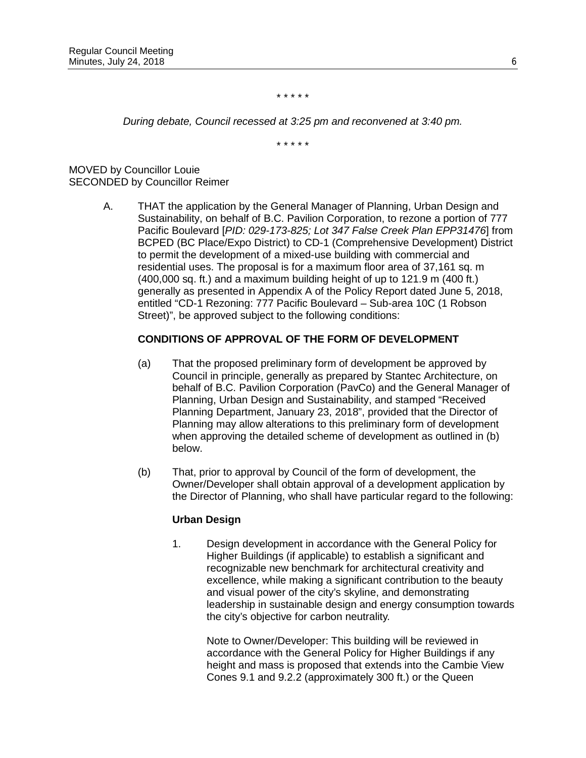\* \* \* \* \*

*During debate, Council recessed at 3:25 pm and reconvened at 3:40 pm.*

\* \* \* \* \*

MOVED by Councillor Louie SECONDED by Councillor Reimer

> A. THAT the application by the General Manager of Planning, Urban Design and Sustainability, on behalf of B.C. Pavilion Corporation, to rezone a portion of 777 Pacific Boulevard [*PID: 029-173-825; Lot 347 False Creek Plan EPP31476*] from BCPED (BC Place/Expo District) to CD-1 (Comprehensive Development) District to permit the development of a mixed-use building with commercial and residential uses. The proposal is for a maximum floor area of 37,161 sq. m (400,000 sq. ft.) and a maximum building height of up to 121.9 m (400 ft.) generally as presented in Appendix A of the Policy Report dated June 5, 2018, entitled "CD-1 Rezoning: 777 Pacific Boulevard – Sub-area 10C (1 Robson Street)", be approved subject to the following conditions:

# **CONDITIONS OF APPROVAL OF THE FORM OF DEVELOPMENT**

- (a) That the proposed preliminary form of development be approved by Council in principle, generally as prepared by Stantec Architecture, on behalf of B.C. Pavilion Corporation (PavCo) and the General Manager of Planning, Urban Design and Sustainability, and stamped "Received Planning Department, January 23, 2018", provided that the Director of Planning may allow alterations to this preliminary form of development when approving the detailed scheme of development as outlined in (b) below.
- (b) That, prior to approval by Council of the form of development, the Owner/Developer shall obtain approval of a development application by the Director of Planning, who shall have particular regard to the following:

#### **Urban Design**

1. Design development in accordance with the General Policy for Higher Buildings (if applicable) to establish a significant and recognizable new benchmark for architectural creativity and excellence, while making a significant contribution to the beauty and visual power of the city's skyline, and demonstrating leadership in sustainable design and energy consumption towards the city's objective for carbon neutrality.

> Note to Owner/Developer: This building will be reviewed in accordance with the General Policy for Higher Buildings if any height and mass is proposed that extends into the Cambie View Cones 9.1 and 9.2.2 (approximately 300 ft.) or the Queen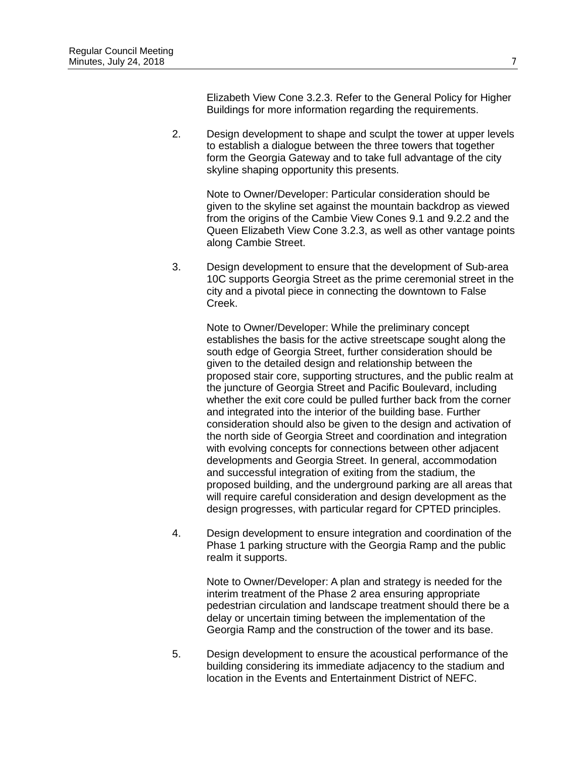Elizabeth View Cone 3.2.3. Refer to the General Policy for Higher Buildings for more information regarding the requirements.

2. Design development to shape and sculpt the tower at upper levels to establish a dialogue between the three towers that together form the Georgia Gateway and to take full advantage of the city skyline shaping opportunity this presents.

Note to Owner/Developer: Particular consideration should be given to the skyline set against the mountain backdrop as viewed from the origins of the Cambie View Cones 9.1 and 9.2.2 and the Queen Elizabeth View Cone 3.2.3, as well as other vantage points along Cambie Street.

3. Design development to ensure that the development of Sub-area 10C supports Georgia Street as the prime ceremonial street in the city and a pivotal piece in connecting the downtown to False Creek.

Note to Owner/Developer: While the preliminary concept establishes the basis for the active streetscape sought along the south edge of Georgia Street, further consideration should be given to the detailed design and relationship between the proposed stair core, supporting structures, and the public realm at the juncture of Georgia Street and Pacific Boulevard, including whether the exit core could be pulled further back from the corner and integrated into the interior of the building base. Further consideration should also be given to the design and activation of the north side of Georgia Street and coordination and integration with evolving concepts for connections between other adjacent developments and Georgia Street. In general, accommodation and successful integration of exiting from the stadium, the proposed building, and the underground parking are all areas that will require careful consideration and design development as the design progresses, with particular regard for CPTED principles.

4. Design development to ensure integration and coordination of the Phase 1 parking structure with the Georgia Ramp and the public realm it supports.

Note to Owner/Developer: A plan and strategy is needed for the interim treatment of the Phase 2 area ensuring appropriate pedestrian circulation and landscape treatment should there be a delay or uncertain timing between the implementation of the Georgia Ramp and the construction of the tower and its base.

5. Design development to ensure the acoustical performance of the building considering its immediate adjacency to the stadium and location in the Events and Entertainment District of NEFC.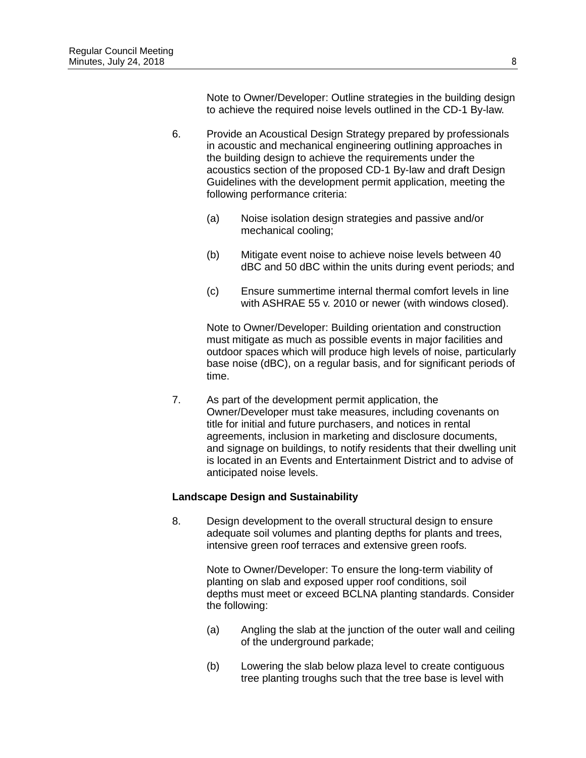Note to Owner/Developer: Outline strategies in the building design to achieve the required noise levels outlined in the CD-1 By-law.

- 6. Provide an Acoustical Design Strategy prepared by professionals in acoustic and mechanical engineering outlining approaches in the building design to achieve the requirements under the acoustics section of the proposed CD-1 By-law and draft Design Guidelines with the development permit application, meeting the following performance criteria:
	- (a) Noise isolation design strategies and passive and/or mechanical cooling;
	- (b) Mitigate event noise to achieve noise levels between 40 dBC and 50 dBC within the units during event periods; and
	- (c) Ensure summertime internal thermal comfort levels in line with ASHRAE 55 v. 2010 or newer (with windows closed).

Note to Owner/Developer: Building orientation and construction must mitigate as much as possible events in major facilities and outdoor spaces which will produce high levels of noise, particularly base noise (dBC), on a regular basis, and for significant periods of time.

7. As part of the development permit application, the Owner/Developer must take measures, including covenants on title for initial and future purchasers, and notices in rental agreements, inclusion in marketing and disclosure documents, and signage on buildings, to notify residents that their dwelling unit is located in an Events and Entertainment District and to advise of anticipated noise levels.

#### **Landscape Design and Sustainability**

8. Design development to the overall structural design to ensure adequate soil volumes and planting depths for plants and trees, intensive green roof terraces and extensive green roofs.

> Note to Owner/Developer: To ensure the long-term viability of planting on slab and exposed upper roof conditions, soil depths must meet or exceed BCLNA planting standards. Consider the following:

- (a) Angling the slab at the junction of the outer wall and ceiling of the underground parkade;
- (b) Lowering the slab below plaza level to create contiguous tree planting troughs such that the tree base is level with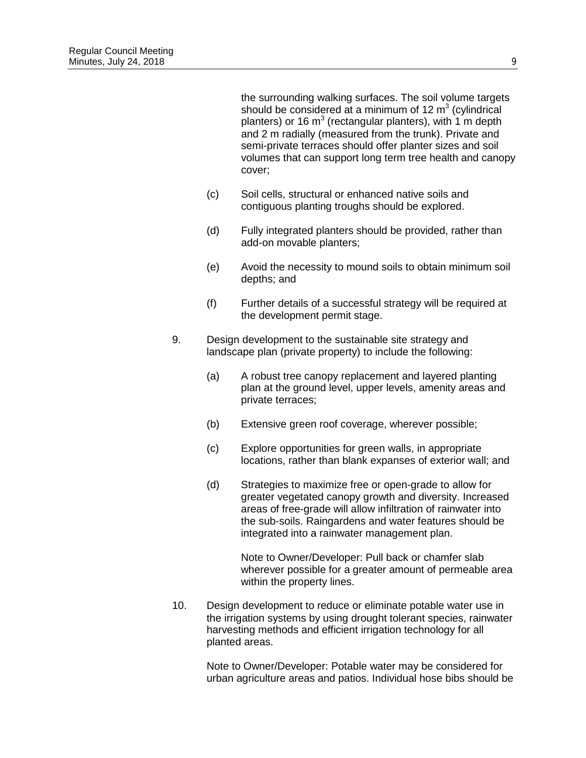the surrounding walking surfaces. The soil volume targets should be considered at a minimum of 12  $m<sup>3</sup>$  (cylindrical planters) or 16  $m^3$  (rectangular planters), with 1 m depth and 2 m radially (measured from the trunk). Private and semi-private terraces should offer planter sizes and soil volumes that can support long term tree health and canopy cover;

- (c) Soil cells, structural or enhanced native soils and contiguous planting troughs should be explored.
- (d) Fully integrated planters should be provided, rather than add-on movable planters;
- (e) Avoid the necessity to mound soils to obtain minimum soil depths; and
- (f) Further details of a successful strategy will be required at the development permit stage.
- 9. Design development to the sustainable site strategy and landscape plan (private property) to include the following:
	- (a) A robust tree canopy replacement and layered planting plan at the ground level, upper levels, amenity areas and private terraces;
	- (b) Extensive green roof coverage, wherever possible;
	- (c) Explore opportunities for green walls, in appropriate locations, rather than blank expanses of exterior wall; and
	- (d) Strategies to maximize free or open-grade to allow for greater vegetated canopy growth and diversity. Increased areas of free-grade will allow infiltration of rainwater into the sub-soils. Raingardens and water features should be integrated into a rainwater management plan.

Note to Owner/Developer: Pull back or chamfer slab wherever possible for a greater amount of permeable area within the property lines.

10. Design development to reduce or eliminate potable water use in the irrigation systems by using drought tolerant species, rainwater harvesting methods and efficient irrigation technology for all planted areas.

Note to Owner/Developer: Potable water may be considered for urban agriculture areas and patios. Individual hose bibs should be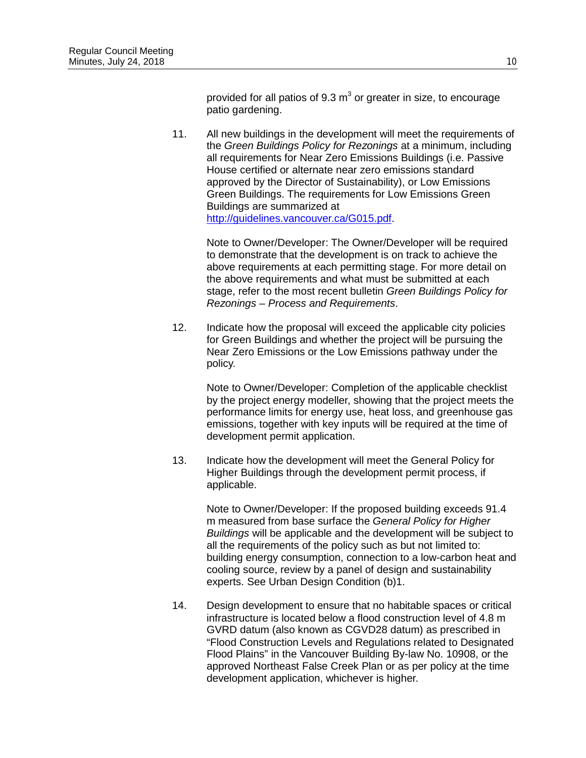provided for all patios of  $9.3 \text{ m}^3$  or greater in size, to encourage patio gardening.

11. All new buildings in the development will meet the requirements of the *Green Buildings Policy for Rezonings* at a minimum, including all requirements for Near Zero Emissions Buildings (i.e. Passive House certified or alternate near zero emissions standard approved by the Director of Sustainability), or Low Emissions Green Buildings. The requirements for Low Emissions Green Buildings are summarized at [http://guidelines.vancouver.ca/G015.pdf.](http://guidelines.vancouver.ca/G015.pdf)

> Note to Owner/Developer: The Owner/Developer will be required to demonstrate that the development is on track to achieve the above requirements at each permitting stage. For more detail on the above requirements and what must be submitted at each stage, refer to the most recent bulletin *Green Buildings Policy for Rezonings – Process and Requirements*.

12. Indicate how the proposal will exceed the applicable city policies for Green Buildings and whether the project will be pursuing the Near Zero Emissions or the Low Emissions pathway under the policy.

> Note to Owner/Developer: Completion of the applicable checklist by the project energy modeller, showing that the project meets the performance limits for energy use, heat loss, and greenhouse gas emissions, together with key inputs will be required at the time of development permit application.

13. Indicate how the development will meet the General Policy for Higher Buildings through the development permit process, if applicable.

> Note to Owner/Developer: If the proposed building exceeds 91.4 m measured from base surface the *General Policy for Higher Buildings* will be applicable and the development will be subject to all the requirements of the policy such as but not limited to: building energy consumption, connection to a low-carbon heat and cooling source, review by a panel of design and sustainability experts. See Urban Design Condition (b)1.

14. Design development to ensure that no habitable spaces or critical infrastructure is located below a flood construction level of 4.8 m GVRD datum (also known as CGVD28 datum) as prescribed in "Flood Construction Levels and Regulations related to Designated Flood Plains" in the Vancouver Building By-law No. 10908, or the approved Northeast False Creek Plan or as per policy at the time development application, whichever is higher.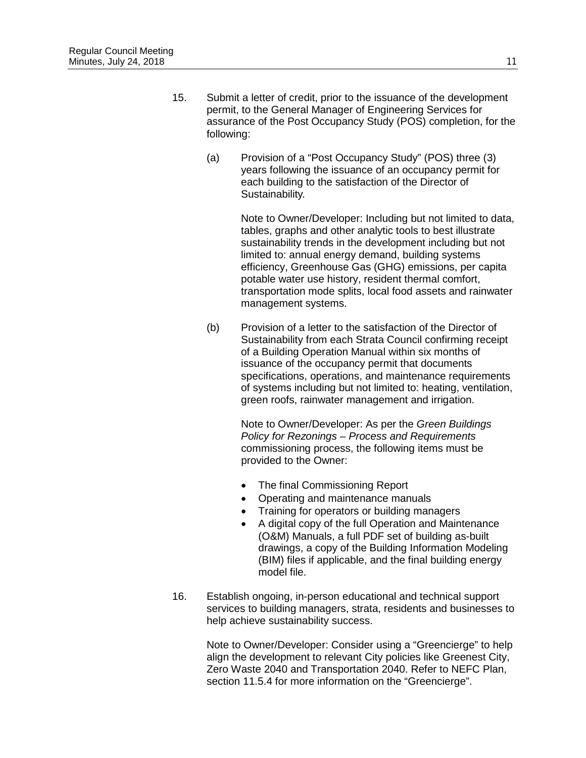- 15. Submit a letter of credit, prior to the issuance of the development permit, to the General Manager of Engineering Services for assurance of the Post Occupancy Study (POS) completion, for the following:
	- (a) Provision of a "Post Occupancy Study" (POS) three (3) years following the issuance of an occupancy permit for each building to the satisfaction of the Director of Sustainability.

Note to Owner/Developer: Including but not limited to data, tables, graphs and other analytic tools to best illustrate sustainability trends in the development including but not limited to: annual energy demand, building systems efficiency, Greenhouse Gas (GHG) emissions, per capita potable water use history, resident thermal comfort, transportation mode splits, local food assets and rainwater management systems.

(b) Provision of a letter to the satisfaction of the Director of Sustainability from each Strata Council confirming receipt of a Building Operation Manual within six months of issuance of the occupancy permit that documents specifications, operations, and maintenance requirements of systems including but not limited to: heating, ventilation, green roofs, rainwater management and irrigation.

> Note to Owner/Developer: As per the *Green Buildings Policy for Rezonings – Process and Requirements* commissioning process, the following items must be provided to the Owner:

- The final Commissioning Report
- Operating and maintenance manuals
- Training for operators or building managers
- A digital copy of the full Operation and Maintenance (O&M) Manuals, a full PDF set of building as-built drawings, a copy of the Building Information Modeling (BIM) files if applicable, and the final building energy model file.
- 16. Establish ongoing, in-person educational and technical support services to building managers, strata, residents and businesses to help achieve sustainability success.

Note to Owner/Developer: Consider using a "Greencierge" to help align the development to relevant City policies like Greenest City, Zero Waste 2040 and Transportation 2040. Refer to NEFC Plan, section 11.5.4 for more information on the "Greencierge".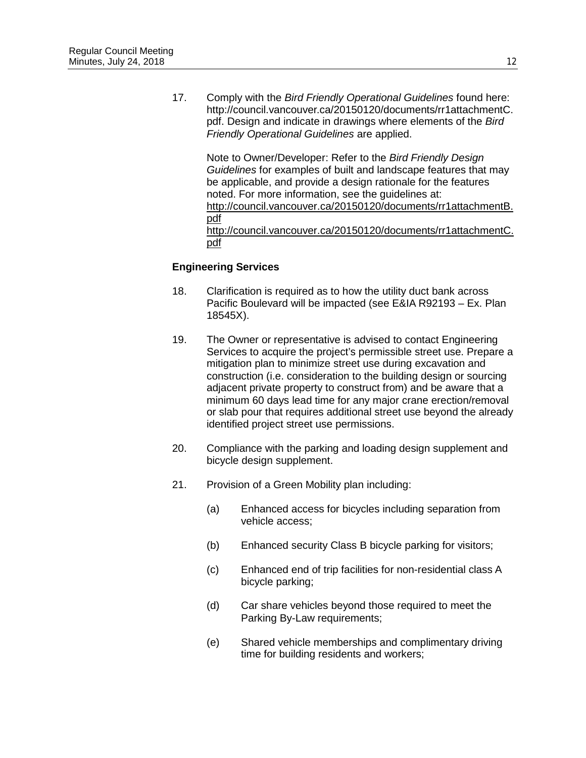17. Comply with the *Bird Friendly Operational Guidelines* found here: http://council.vancouver.ca/20150120/documents/rr1attachmentC. pdf. Design and indicate in drawings where elements of the *Bird Friendly Operational Guidelines* are applied.

Note to Owner/Developer: Refer to the *Bird Friendly Design Guidelines* for examples of built and landscape features that may be applicable, and provide a design rationale for the features noted. For more information, see the guidelines at: [http://council.vancouver.ca/20150120/documents/rr1attachmentB.](http://council.vancouver.ca/20150120/documents/rr1attachmentB.pdf) [pdf](http://council.vancouver.ca/20150120/documents/rr1attachmentB.pdf) [http://council.vancouver.ca/20150120/documents/rr1attachmentC.](http://council.vancouver.ca/20150120/documents/rr1attachmentC.pdf) [pdf](http://council.vancouver.ca/20150120/documents/rr1attachmentC.pdf)

## **Engineering Services**

- 18. Clarification is required as to how the utility duct bank across Pacific Boulevard will be impacted (see E&IA R92193 – Ex. Plan 18545X).
- 19. The Owner or representative is advised to contact Engineering Services to acquire the project's permissible street use. Prepare a mitigation plan to minimize street use during excavation and construction (i.e. consideration to the building design or sourcing adjacent private property to construct from) and be aware that a minimum 60 days lead time for any major crane erection/removal or slab pour that requires additional street use beyond the already identified project street use permissions.
- 20. Compliance with the parking and loading design supplement and bicycle design supplement.
- 21. Provision of a Green Mobility plan including:
	- (a) Enhanced access for bicycles including separation from vehicle access;
	- (b) Enhanced security Class B bicycle parking for visitors;
	- (c) Enhanced end of trip facilities for non-residential class A bicycle parking;
	- (d) Car share vehicles beyond those required to meet the Parking By-Law requirements;
	- (e) Shared vehicle memberships and complimentary driving time for building residents and workers;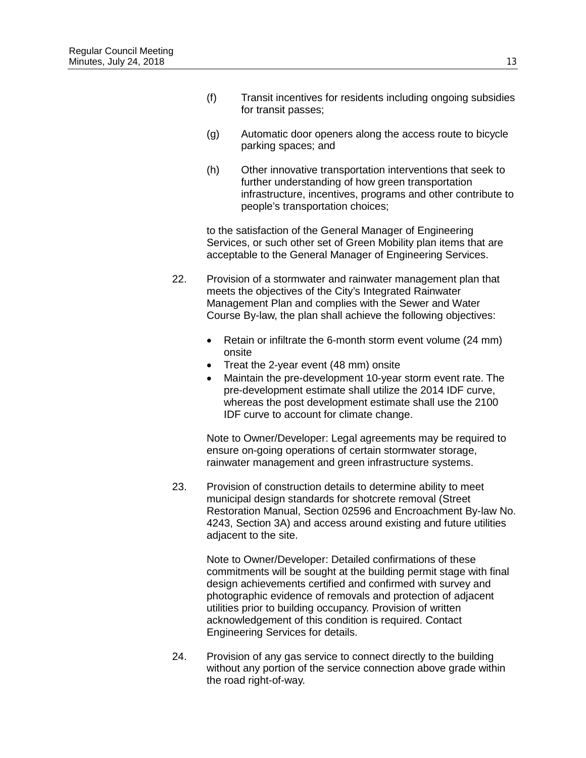- (f) Transit incentives for residents including ongoing subsidies for transit passes;
- (g) Automatic door openers along the access route to bicycle parking spaces; and
- (h) Other innovative transportation interventions that seek to further understanding of how green transportation infrastructure, incentives, programs and other contribute to people's transportation choices;

to the satisfaction of the General Manager of Engineering Services, or such other set of Green Mobility plan items that are acceptable to the General Manager of Engineering Services.

- 22. Provision of a stormwater and rainwater management plan that meets the objectives of the City's Integrated Rainwater Management Plan and complies with the Sewer and Water Course By-law, the plan shall achieve the following objectives:
	- Retain or infiltrate the 6-month storm event volume (24 mm) onsite
	- Treat the 2-year event (48 mm) onsite
	- Maintain the pre-development 10-year storm event rate. The pre-development estimate shall utilize the 2014 IDF curve, whereas the post development estimate shall use the 2100 IDF curve to account for climate change.

Note to Owner/Developer: Legal agreements may be required to ensure on-going operations of certain stormwater storage, rainwater management and green infrastructure systems.

23. Provision of construction details to determine ability to meet municipal design standards for shotcrete removal (Street Restoration Manual, Section 02596 and Encroachment By-law No. 4243, Section 3A) and access around existing and future utilities adjacent to the site.

> Note to Owner/Developer: Detailed confirmations of these commitments will be sought at the building permit stage with final design achievements certified and confirmed with survey and photographic evidence of removals and protection of adjacent utilities prior to building occupancy. Provision of written acknowledgement of this condition is required. Contact Engineering Services for details.

24. Provision of any gas service to connect directly to the building without any portion of the service connection above grade within the road right-of-way.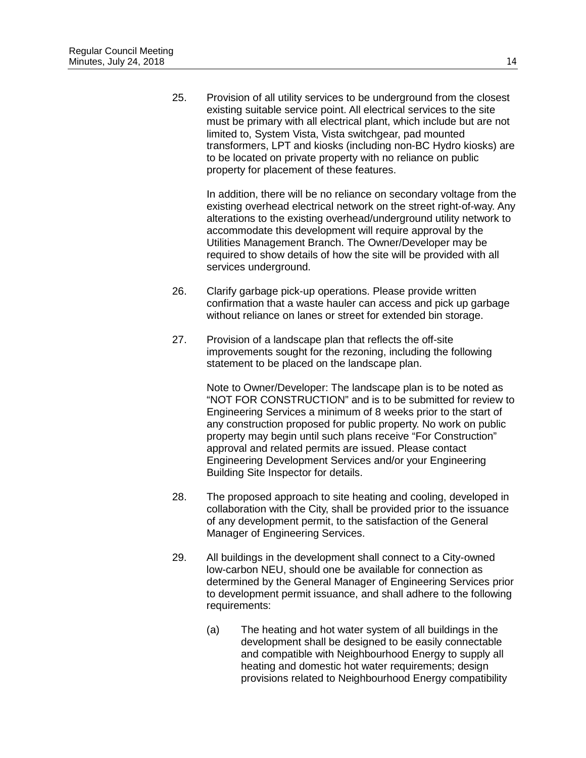25. Provision of all utility services to be underground from the closest existing suitable service point. All electrical services to the site must be primary with all electrical plant, which include but are not limited to, System Vista, Vista switchgear, pad mounted transformers, LPT and kiosks (including non-BC Hydro kiosks) are to be located on private property with no reliance on public property for placement of these features.

In addition, there will be no reliance on secondary voltage from the existing overhead electrical network on the street right-of-way. Any alterations to the existing overhead/underground utility network to accommodate this development will require approval by the Utilities Management Branch. The Owner/Developer may be required to show details of how the site will be provided with all services underground.

- 26. Clarify garbage pick-up operations. Please provide written confirmation that a waste hauler can access and pick up garbage without reliance on lanes or street for extended bin storage.
- 27. Provision of a landscape plan that reflects the off-site improvements sought for the rezoning, including the following statement to be placed on the landscape plan.

Note to Owner/Developer: The landscape plan is to be noted as "NOT FOR CONSTRUCTION" and is to be submitted for review to Engineering Services a minimum of 8 weeks prior to the start of any construction proposed for public property. No work on public property may begin until such plans receive "For Construction" approval and related permits are issued. Please contact Engineering Development Services and/or your Engineering Building Site Inspector for details.

- 28. The proposed approach to site heating and cooling, developed in collaboration with the City, shall be provided prior to the issuance of any development permit, to the satisfaction of the General Manager of Engineering Services.
- 29. All buildings in the development shall connect to a City-owned low-carbon NEU, should one be available for connection as determined by the General Manager of Engineering Services prior to development permit issuance, and shall adhere to the following requirements:
	- (a) The heating and hot water system of all buildings in the development shall be designed to be easily connectable and compatible with Neighbourhood Energy to supply all heating and domestic hot water requirements; design provisions related to Neighbourhood Energy compatibility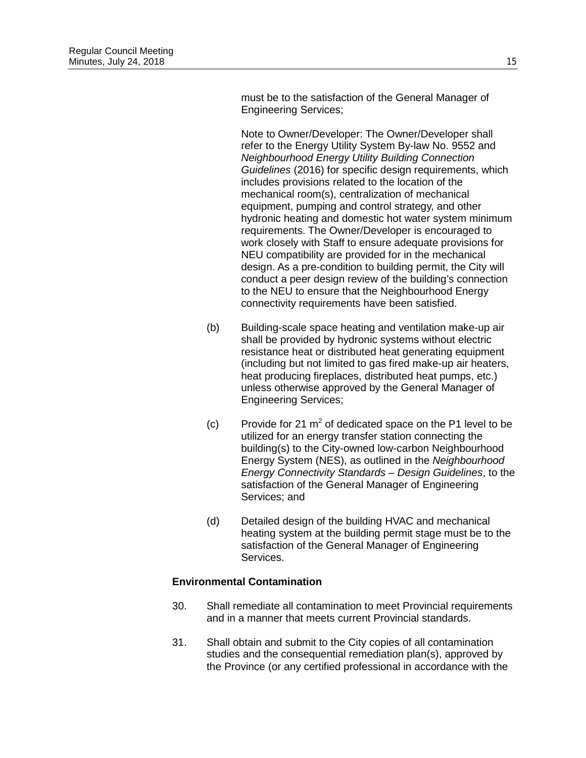must be to the satisfaction of the General Manager of Engineering Services;

Note to Owner/Developer: The Owner/Developer shall refer to the Energy Utility System By-law No. 9552 and *Neighbourhood Energy Utility Building Connection Guidelines* (2016) for specific design requirements, which includes provisions related to the location of the mechanical room(s), centralization of mechanical equipment, pumping and control strategy, and other hydronic heating and domestic hot water system minimum requirements. The Owner/Developer is encouraged to work closely with Staff to ensure adequate provisions for NEU compatibility are provided for in the mechanical design. As a pre-condition to building permit, the City will conduct a peer design review of the building's connection to the NEU to ensure that the Neighbourhood Energy connectivity requirements have been satisfied.

- (b) Building-scale space heating and ventilation make-up air shall be provided by hydronic systems without electric resistance heat or distributed heat generating equipment (including but not limited to gas fired make-up air heaters, heat producing fireplaces, distributed heat pumps, etc.) unless otherwise approved by the General Manager of Engineering Services;
- (c) Provide for 21  $m^2$  of dedicated space on the P1 level to be utilized for an energy transfer station connecting the building(s) to the City-owned low-carbon Neighbourhood Energy System (NES), as outlined in the *Neighbourhood Energy Connectivity Standards – Design Guidelines*, to the satisfaction of the General Manager of Engineering Services; and
- (d) Detailed design of the building HVAC and mechanical heating system at the building permit stage must be to the satisfaction of the General Manager of Engineering Services.

# **Environmental Contamination**

- 30. Shall remediate all contamination to meet Provincial requirements and in a manner that meets current Provincial standards.
- 31. Shall obtain and submit to the City copies of all contamination studies and the consequential remediation plan(s), approved by the Province (or any certified professional in accordance with the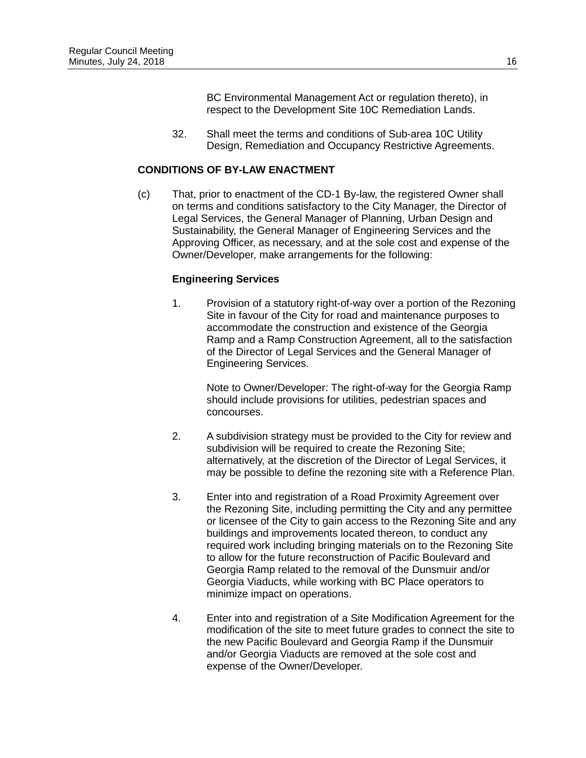BC Environmental Management Act or regulation thereto), in respect to the Development Site 10C Remediation Lands.

32. Shall meet the terms and conditions of Sub-area 10C Utility Design, Remediation and Occupancy Restrictive Agreements.

## **CONDITIONS OF BY-LAW ENACTMENT**

(c) That, prior to enactment of the CD-1 By-law, the registered Owner shall on terms and conditions satisfactory to the City Manager, the Director of Legal Services, the General Manager of Planning, Urban Design and Sustainability, the General Manager of Engineering Services and the Approving Officer, as necessary, and at the sole cost and expense of the Owner/Developer, make arrangements for the following:

## **Engineering Services**

1. Provision of a statutory right-of-way over a portion of the Rezoning Site in favour of the City for road and maintenance purposes to accommodate the construction and existence of the Georgia Ramp and a Ramp Construction Agreement, all to the satisfaction of the Director of Legal Services and the General Manager of Engineering Services.

Note to Owner/Developer: The right-of-way for the Georgia Ramp should include provisions for utilities, pedestrian spaces and concourses.

- 2. A subdivision strategy must be provided to the City for review and subdivision will be required to create the Rezoning Site; alternatively, at the discretion of the Director of Legal Services, it may be possible to define the rezoning site with a Reference Plan.
- 3. Enter into and registration of a Road Proximity Agreement over the Rezoning Site, including permitting the City and any permittee or licensee of the City to gain access to the Rezoning Site and any buildings and improvements located thereon, to conduct any required work including bringing materials on to the Rezoning Site to allow for the future reconstruction of Pacific Boulevard and Georgia Ramp related to the removal of the Dunsmuir and/or Georgia Viaducts, while working with BC Place operators to minimize impact on operations.
- 4. Enter into and registration of a Site Modification Agreement for the modification of the site to meet future grades to connect the site to the new Pacific Boulevard and Georgia Ramp if the Dunsmuir and/or Georgia Viaducts are removed at the sole cost and expense of the Owner/Developer.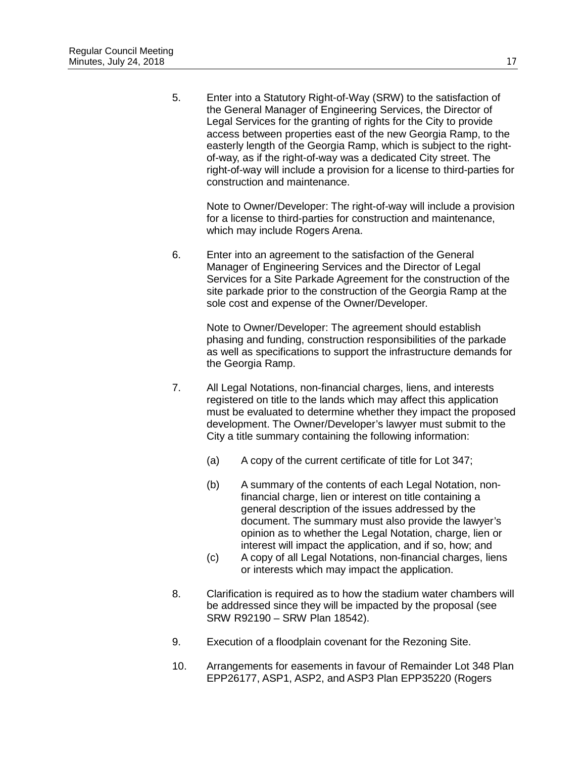5. Enter into a Statutory Right-of-Way (SRW) to the satisfaction of the General Manager of Engineering Services, the Director of Legal Services for the granting of rights for the City to provide access between properties east of the new Georgia Ramp, to the easterly length of the Georgia Ramp, which is subject to the rightof-way, as if the right-of-way was a dedicated City street. The right-of-way will include a provision for a license to third-parties for construction and maintenance.

Note to Owner/Developer: The right-of-way will include a provision for a license to third-parties for construction and maintenance, which may include Rogers Arena.

6. Enter into an agreement to the satisfaction of the General Manager of Engineering Services and the Director of Legal Services for a Site Parkade Agreement for the construction of the site parkade prior to the construction of the Georgia Ramp at the sole cost and expense of the Owner/Developer.

Note to Owner/Developer: The agreement should establish phasing and funding, construction responsibilities of the parkade as well as specifications to support the infrastructure demands for the Georgia Ramp.

- 7. All Legal Notations, non-financial charges, liens, and interests registered on title to the lands which may affect this application must be evaluated to determine whether they impact the proposed development. The Owner/Developer's lawyer must submit to the City a title summary containing the following information:
	- (a) A copy of the current certificate of title for Lot 347;
	- (b) A summary of the contents of each Legal Notation, nonfinancial charge, lien or interest on title containing a general description of the issues addressed by the document. The summary must also provide the lawyer's opinion as to whether the Legal Notation, charge, lien or interest will impact the application, and if so, how; and
	- (c) A copy of all Legal Notations, non-financial charges, liens or interests which may impact the application.
- 8. Clarification is required as to how the stadium water chambers will be addressed since they will be impacted by the proposal (see SRW R92190 – SRW Plan 18542).
- 9. Execution of a floodplain covenant for the Rezoning Site.
- 10. Arrangements for easements in favour of Remainder Lot 348 Plan EPP26177, ASP1, ASP2, and ASP3 Plan EPP35220 (Rogers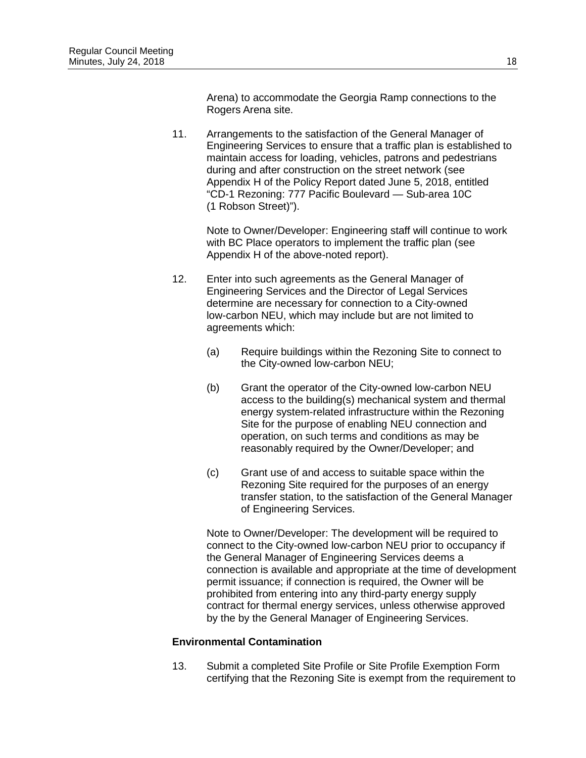Arena) to accommodate the Georgia Ramp connections to the Rogers Arena site.

11. Arrangements to the satisfaction of the General Manager of Engineering Services to ensure that a traffic plan is established to maintain access for loading, vehicles, patrons and pedestrians during and after construction on the street network (see Appendix H of the Policy Report dated June 5, 2018, entitled "CD-1 Rezoning: 777 Pacific Boulevard — Sub-area 10C (1 Robson Street)").

Note to Owner/Developer: Engineering staff will continue to work with BC Place operators to implement the traffic plan (see Appendix H of the above-noted report).

- 12. Enter into such agreements as the General Manager of Engineering Services and the Director of Legal Services determine are necessary for connection to a City-owned low-carbon NEU, which may include but are not limited to agreements which:
	- (a) Require buildings within the Rezoning Site to connect to the City-owned low-carbon NEU;
	- (b) Grant the operator of the City-owned low-carbon NEU access to the building(s) mechanical system and thermal energy system-related infrastructure within the Rezoning Site for the purpose of enabling NEU connection and operation, on such terms and conditions as may be reasonably required by the Owner/Developer; and
	- (c) Grant use of and access to suitable space within the Rezoning Site required for the purposes of an energy transfer station, to the satisfaction of the General Manager of Engineering Services.

Note to Owner/Developer: The development will be required to connect to the City-owned low-carbon NEU prior to occupancy if the General Manager of Engineering Services deems a connection is available and appropriate at the time of development permit issuance; if connection is required, the Owner will be prohibited from entering into any third-party energy supply contract for thermal energy services, unless otherwise approved by the by the General Manager of Engineering Services.

#### **Environmental Contamination**

13. Submit a completed Site Profile or Site Profile Exemption Form certifying that the Rezoning Site is exempt from the requirement to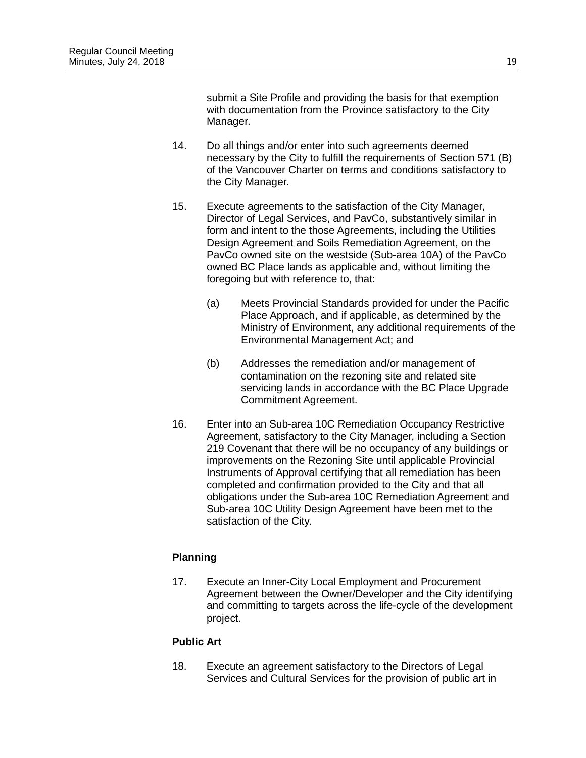submit a Site Profile and providing the basis for that exemption with documentation from the Province satisfactory to the City Manager.

- 14. Do all things and/or enter into such agreements deemed necessary by the City to fulfill the requirements of Section 571 (B) of the Vancouver Charter on terms and conditions satisfactory to the City Manager.
- 15. Execute agreements to the satisfaction of the City Manager, Director of Legal Services, and PavCo, substantively similar in form and intent to the those Agreements, including the Utilities Design Agreement and Soils Remediation Agreement, on the PavCo owned site on the westside (Sub-area 10A) of the PavCo owned BC Place lands as applicable and, without limiting the foregoing but with reference to, that:
	- (a) Meets Provincial Standards provided for under the Pacific Place Approach, and if applicable, as determined by the Ministry of Environment, any additional requirements of the Environmental Management Act; and
	- (b) Addresses the remediation and/or management of contamination on the rezoning site and related site servicing lands in accordance with the BC Place Upgrade Commitment Agreement.
- 16. Enter into an Sub-area 10C Remediation Occupancy Restrictive Agreement, satisfactory to the City Manager, including a Section 219 Covenant that there will be no occupancy of any buildings or improvements on the Rezoning Site until applicable Provincial Instruments of Approval certifying that all remediation has been completed and confirmation provided to the City and that all obligations under the Sub-area 10C Remediation Agreement and Sub-area 10C Utility Design Agreement have been met to the satisfaction of the City.

# **Planning**

17. Execute an Inner-City Local Employment and Procurement Agreement between the Owner/Developer and the City identifying and committing to targets across the life-cycle of the development project.

# **Public Art**

18. Execute an agreement satisfactory to the Directors of Legal Services and Cultural Services for the provision of public art in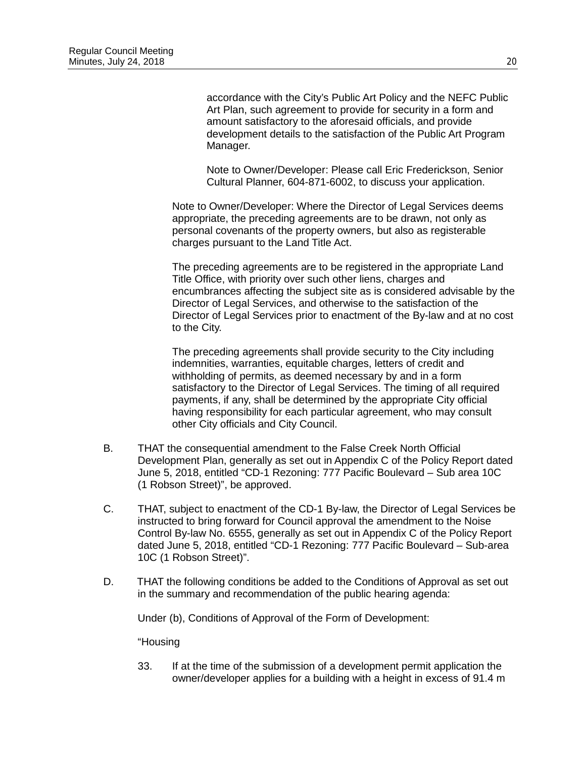accordance with the City's Public Art Policy and the NEFC Public Art Plan, such agreement to provide for security in a form and amount satisfactory to the aforesaid officials, and provide development details to the satisfaction of the Public Art Program Manager.

Note to Owner/Developer: Please call Eric Frederickson, Senior Cultural Planner, 604-871-6002, to discuss your application.

Note to Owner/Developer: Where the Director of Legal Services deems appropriate, the preceding agreements are to be drawn, not only as personal covenants of the property owners, but also as registerable charges pursuant to the Land Title Act.

The preceding agreements are to be registered in the appropriate Land Title Office, with priority over such other liens, charges and encumbrances affecting the subject site as is considered advisable by the Director of Legal Services, and otherwise to the satisfaction of the Director of Legal Services prior to enactment of the By-law and at no cost to the City.

The preceding agreements shall provide security to the City including indemnities, warranties, equitable charges, letters of credit and withholding of permits, as deemed necessary by and in a form satisfactory to the Director of Legal Services. The timing of all required payments, if any, shall be determined by the appropriate City official having responsibility for each particular agreement, who may consult other City officials and City Council.

- B. THAT the consequential amendment to the False Creek North Official Development Plan, generally as set out in Appendix C of the Policy Report dated June 5, 2018, entitled "CD-1 Rezoning: 777 Pacific Boulevard – Sub area 10C (1 Robson Street)", be approved.
- C. THAT, subject to enactment of the CD-1 By-law, the Director of Legal Services be instructed to bring forward for Council approval the amendment to the Noise Control By-law No. 6555, generally as set out in Appendix C of the Policy Report dated June 5, 2018, entitled "CD-1 Rezoning: 777 Pacific Boulevard – Sub-area 10C (1 Robson Street)".
- D. THAT the following conditions be added to the Conditions of Approval as set out in the summary and recommendation of the public hearing agenda:

Under (b), Conditions of Approval of the Form of Development:

#### "Housing

33. If at the time of the submission of a development permit application the owner/developer applies for a building with a height in excess of 91.4 m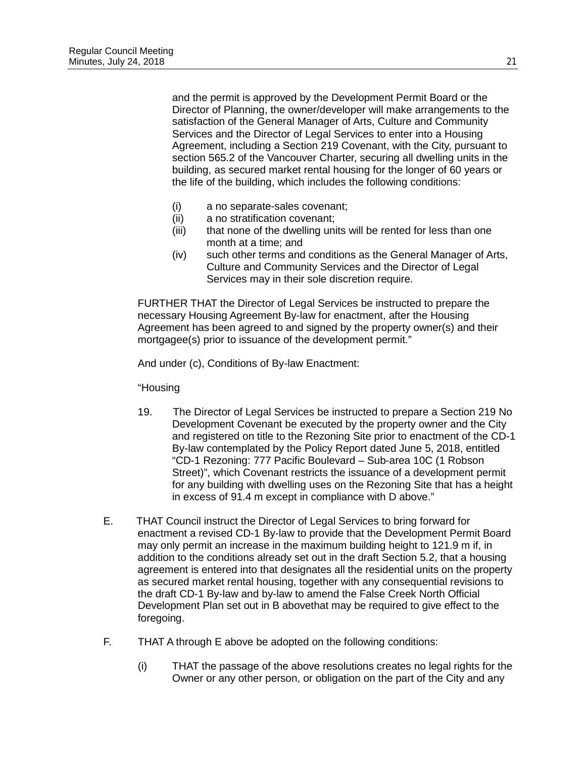and the permit is approved by the Development Permit Board or the Director of Planning, the owner/developer will make arrangements to the satisfaction of the General Manager of Arts, Culture and Community Services and the Director of Legal Services to enter into a Housing Agreement, including a Section 219 Covenant, with the City, pursuant to section 565.2 of the Vancouver Charter, securing all dwelling units in the building, as secured market rental housing for the longer of 60 years or the life of the building, which includes the following conditions:

- (i) a no separate-sales covenant;
- (ii) a no stratification covenant;
- (iii) that none of the dwelling units will be rented for less than one month at a time; and
- (iv) such other terms and conditions as the General Manager of Arts, Culture and Community Services and the Director of Legal Services may in their sole discretion require.

FURTHER THAT the Director of Legal Services be instructed to prepare the necessary Housing Agreement By-law for enactment, after the Housing Agreement has been agreed to and signed by the property owner(s) and their mortgagee(s) prior to issuance of the development permit."

And under (c), Conditions of By-law Enactment:

#### "Housing

- 19. The Director of Legal Services be instructed to prepare a Section 219 No Development Covenant be executed by the property owner and the City and registered on title to the Rezoning Site prior to enactment of the CD-1 By-law contemplated by the Policy Report dated June 5, 2018, entitled "CD-1 Rezoning: 777 Pacific Boulevard – Sub-area 10C (1 Robson Street)", which Covenant restricts the issuance of a development permit for any building with dwelling uses on the Rezoning Site that has a height in excess of 91.4 m except in compliance with D above."
- E. THAT Council instruct the Director of Legal Services to bring forward for enactment a revised CD-1 By-law to provide that the Development Permit Board may only permit an increase in the maximum building height to 121.9 m if, in addition to the conditions already set out in the draft Section 5.2, that a housing agreement is entered into that designates all the residential units on the property as secured market rental housing, together with any consequential revisions to the draft CD-1 By-law and by-law to amend the False Creek North Official Development Plan set out in B abovethat may be required to give effect to the foregoing.
- F. THAT A through E above be adopted on the following conditions:
	- (i) THAT the passage of the above resolutions creates no legal rights for the Owner or any other person, or obligation on the part of the City and any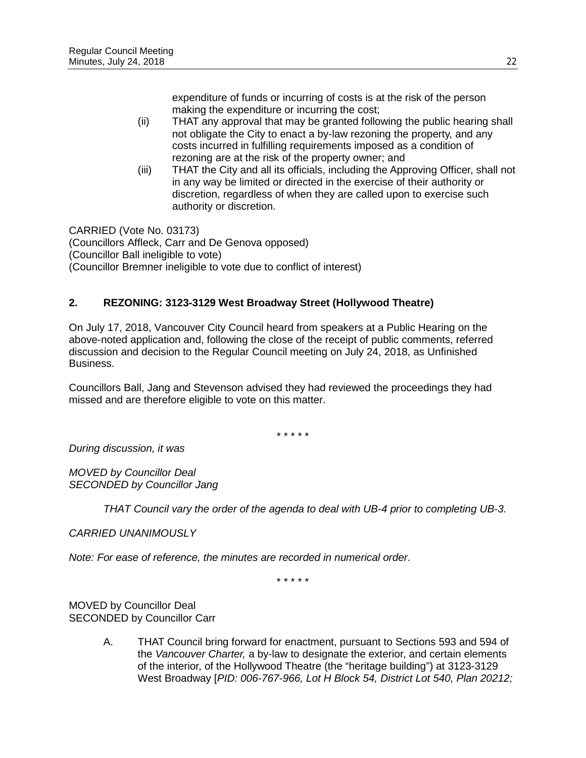expenditure of funds or incurring of costs is at the risk of the person making the expenditure or incurring the cost;

- (ii) THAT any approval that may be granted following the public hearing shall not obligate the City to enact a by-law rezoning the property, and any costs incurred in fulfilling requirements imposed as a condition of rezoning are at the risk of the property owner; and
- (iii) THAT the City and all its officials, including the Approving Officer, shall not in any way be limited or directed in the exercise of their authority or discretion, regardless of when they are called upon to exercise such authority or discretion.

CARRIED (Vote No. 03173) (Councillors Affleck, Carr and De Genova opposed) (Councillor Ball ineligible to vote) (Councillor Bremner ineligible to vote due to conflict of interest)

# **2. REZONING: 3123-3129 West Broadway Street (Hollywood Theatre)**

On July 17, 2018, Vancouver City Council heard from speakers at a Public Hearing on the above-noted application and, following the close of the receipt of public comments, referred discussion and decision to the Regular Council meeting on July 24, 2018, as Unfinished Business.

Councillors Ball, Jang and Stevenson advised they had reviewed the proceedings they had missed and are therefore eligible to vote on this matter.

\* \* \* \* \*

*During discussion, it was*

*MOVED by Councillor Deal SECONDED by Councillor Jang*

*THAT Council vary the order of the agenda to deal with UB-4 prior to completing UB-3.*

*CARRIED UNANIMOUSLY*

*Note: For ease of reference, the minutes are recorded in numerical order*.

\* \* \* \* \*

MOVED by Councillor Deal SECONDED by Councillor Carr

> A. THAT Council bring forward for enactment, pursuant to Sections 593 and 594 of the *Vancouver Charter,* a by-law to designate the exterior, and certain elements of the interior, of the Hollywood Theatre (the "heritage building") at 3123-3129 West Broadway [*PID: 006-767-966, Lot H Block 54, District Lot 540, Plan 20212;*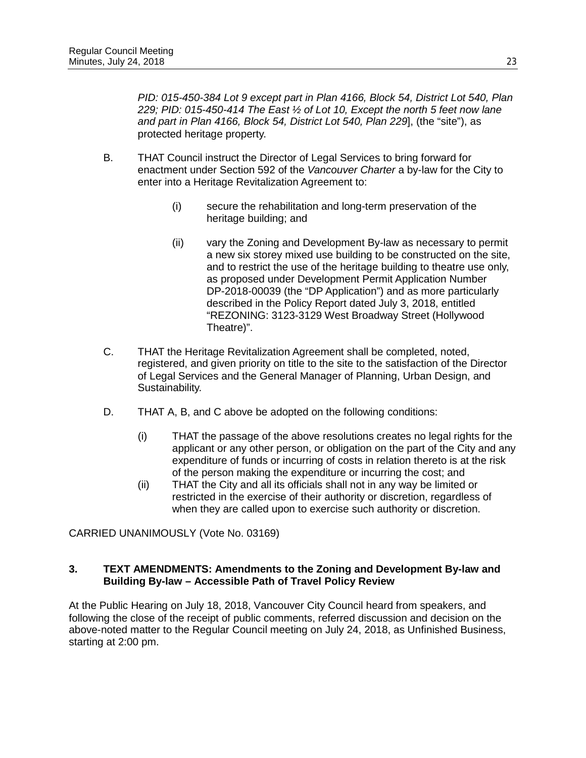*PID: 015-450-384 Lot 9 except part in Plan 4166, Block 54, District Lot 540, Plan 229; PID: 015-450-414 The East ½ of Lot 10, Except the north 5 feet now lane and part in Plan 4166, Block 54, District Lot 540, Plan 229*], (the "site"), as protected heritage property.

- B. THAT Council instruct the Director of Legal Services to bring forward for enactment under Section 592 of the *Vancouver Charter* a by-law for the City to enter into a Heritage Revitalization Agreement to:
	- (i) secure the rehabilitation and long-term preservation of the heritage building; and
	- (ii) vary the Zoning and Development By-law as necessary to permit a new six storey mixed use building to be constructed on the site, and to restrict the use of the heritage building to theatre use only, as proposed under Development Permit Application Number DP-2018-00039 (the "DP Application") and as more particularly described in the Policy Report dated July 3, 2018, entitled "REZONING: 3123-3129 West Broadway Street (Hollywood Theatre)".
- C. THAT the Heritage Revitalization Agreement shall be completed, noted, registered, and given priority on title to the site to the satisfaction of the Director of Legal Services and the General Manager of Planning, Urban Design, and Sustainability.
- D. THAT A, B, and C above be adopted on the following conditions:
	- (i) THAT the passage of the above resolutions creates no legal rights for the applicant or any other person, or obligation on the part of the City and any expenditure of funds or incurring of costs in relation thereto is at the risk of the person making the expenditure or incurring the cost; and
	- (ii) THAT the City and all its officials shall not in any way be limited or restricted in the exercise of their authority or discretion, regardless of when they are called upon to exercise such authority or discretion.

CARRIED UNANIMOUSLY (Vote No. 03169)

# **3. TEXT AMENDMENTS: Amendments to the Zoning and Development By-law and Building By-law – Accessible Path of Travel Policy Review**

At the Public Hearing on July 18, 2018, Vancouver City Council heard from speakers, and following the close of the receipt of public comments, referred discussion and decision on the above-noted matter to the Regular Council meeting on July 24, 2018, as Unfinished Business, starting at 2:00 pm.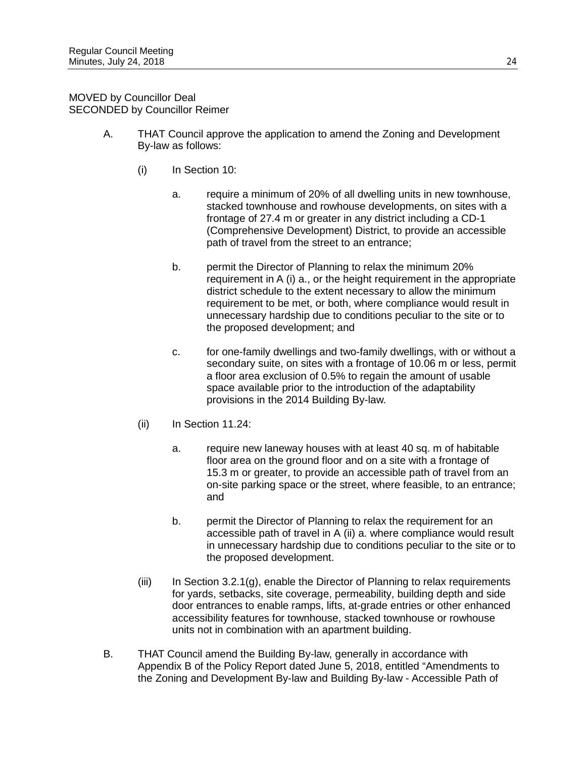MOVED by Councillor Deal SECONDED by Councillor Reimer

- A. THAT Council approve the application to amend the Zoning and Development By-law as follows:
	- (i) In Section 10:
		- a. require a minimum of 20% of all dwelling units in new townhouse, stacked townhouse and rowhouse developments, on sites with a frontage of 27.4 m or greater in any district including a CD-1 (Comprehensive Development) District, to provide an accessible path of travel from the street to an entrance;
		- b. permit the Director of Planning to relax the minimum 20% requirement in A (i) a., or the height requirement in the appropriate district schedule to the extent necessary to allow the minimum requirement to be met, or both, where compliance would result in unnecessary hardship due to conditions peculiar to the site or to the proposed development; and
		- c. for one-family dwellings and two-family dwellings, with or without a secondary suite, on sites with a frontage of 10.06 m or less, permit a floor area exclusion of 0.5% to regain the amount of usable space available prior to the introduction of the adaptability provisions in the 2014 Building By-law.
	- (ii) In Section 11.24:
		- a. require new laneway houses with at least 40 sq. m of habitable floor area on the ground floor and on a site with a frontage of 15.3 m or greater, to provide an accessible path of travel from an on-site parking space or the street, where feasible, to an entrance; and
		- b. permit the Director of Planning to relax the requirement for an accessible path of travel in A (ii) a. where compliance would result in unnecessary hardship due to conditions peculiar to the site or to the proposed development.
	- (iii) In Section 3.2.1(g), enable the Director of Planning to relax requirements for yards, setbacks, site coverage, permeability, building depth and side door entrances to enable ramps, lifts, at-grade entries or other enhanced accessibility features for townhouse, stacked townhouse or rowhouse units not in combination with an apartment building.
- B. THAT Council amend the Building By-law, generally in accordance with Appendix B of the Policy Report dated June 5, 2018, entitled "Amendments to the Zoning and Development By-law and Building By-law - Accessible Path of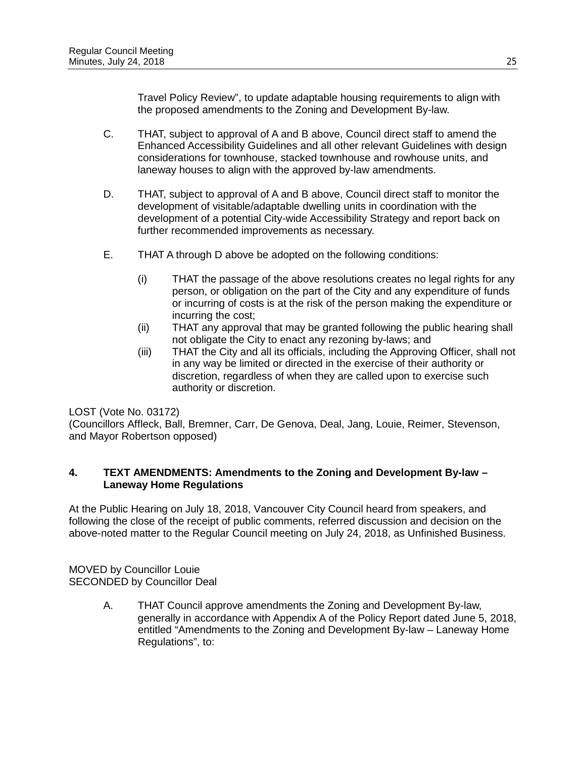Travel Policy Review", to update adaptable housing requirements to align with the proposed amendments to the Zoning and Development By-law.

- C. THAT, subject to approval of A and B above, Council direct staff to amend the Enhanced Accessibility Guidelines and all other relevant Guidelines with design considerations for townhouse, stacked townhouse and rowhouse units, and laneway houses to align with the approved by-law amendments.
- D. THAT, subject to approval of A and B above, Council direct staff to monitor the development of visitable/adaptable dwelling units in coordination with the development of a potential City-wide Accessibility Strategy and report back on further recommended improvements as necessary.
- E. THAT A through D above be adopted on the following conditions:
	- (i) THAT the passage of the above resolutions creates no legal rights for any person, or obligation on the part of the City and any expenditure of funds or incurring of costs is at the risk of the person making the expenditure or incurring the cost;
	- (ii) THAT any approval that may be granted following the public hearing shall not obligate the City to enact any rezoning by-laws; and
	- (iii) THAT the City and all its officials, including the Approving Officer, shall not in any way be limited or directed in the exercise of their authority or discretion, regardless of when they are called upon to exercise such authority or discretion.

# LOST (Vote No. 03172)

(Councillors Affleck, Ball, Bremner, Carr, De Genova, Deal, Jang, Louie, Reimer, Stevenson, and Mayor Robertson opposed)

# **4. TEXT AMENDMENTS: Amendments to the Zoning and Development By-law – Laneway Home Regulations**

At the Public Hearing on July 18, 2018, Vancouver City Council heard from speakers, and following the close of the receipt of public comments, referred discussion and decision on the above-noted matter to the Regular Council meeting on July 24, 2018, as Unfinished Business.

MOVED by Councillor Louie SECONDED by Councillor Deal

> A. THAT Council approve amendments the Zoning and Development By-law, generally in accordance with Appendix A of the Policy Report dated June 5, 2018, entitled "Amendments to the Zoning and Development By-law – Laneway Home Regulations", to: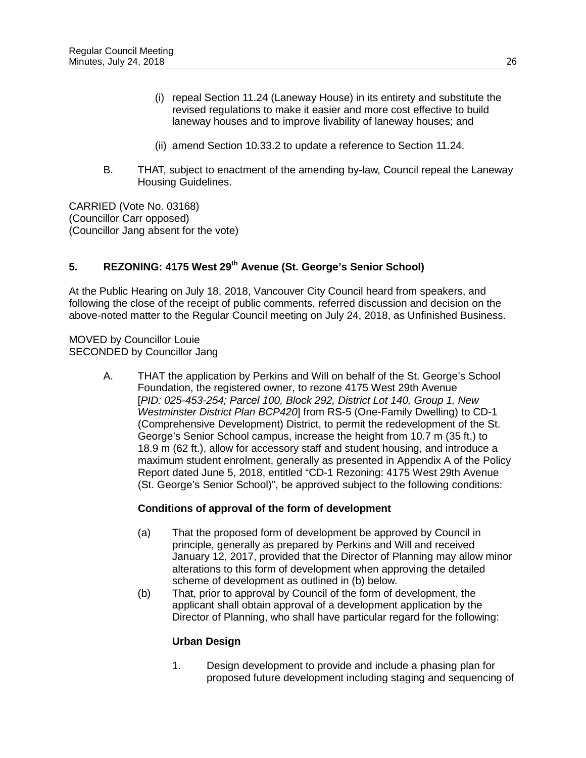- (i) repeal Section 11.24 (Laneway House) in its entirety and substitute the revised regulations to make it easier and more cost effective to build laneway houses and to improve livability of laneway houses; and
- (ii) amend Section 10.33.2 to update a reference to Section 11.24.
- B. THAT, subject to enactment of the amending by-law, Council repeal the Laneway Housing Guidelines.

CARRIED (Vote No. 03168) (Councillor Carr opposed) (Councillor Jang absent for the vote)

# **5. REZONING: 4175 West 29th Avenue (St. George's Senior School)**

At the Public Hearing on July 18, 2018, Vancouver City Council heard from speakers, and following the close of the receipt of public comments, referred discussion and decision on the above-noted matter to the Regular Council meeting on July 24, 2018, as Unfinished Business.

MOVED by Councillor Louie SECONDED by Councillor Jang

> A. THAT the application by Perkins and Will on behalf of the St. George's School Foundation, the registered owner, to rezone 4175 West 29th Avenue [*PID: 025-453-254; Parcel 100, Block 292, District Lot 140, Group 1, New Westminster District Plan BCP420*] from RS-5 (One-Family Dwelling) to CD-1 (Comprehensive Development) District, to permit the redevelopment of the St. George's Senior School campus, increase the height from 10.7 m (35 ft.) to 18.9 m (62 ft.), allow for accessory staff and student housing, and introduce a maximum student enrolment, generally as presented in Appendix A of the Policy Report dated June 5, 2018, entitled "CD-1 Rezoning: 4175 West 29th Avenue (St. George's Senior School)", be approved subject to the following conditions:

#### **Conditions of approval of the form of development**

- (a) That the proposed form of development be approved by Council in principle, generally as prepared by Perkins and Will and received January 12, 2017, provided that the Director of Planning may allow minor alterations to this form of development when approving the detailed scheme of development as outlined in (b) below.
- (b) That, prior to approval by Council of the form of development, the applicant shall obtain approval of a development application by the Director of Planning, who shall have particular regard for the following:

#### **Urban Design**

1. Design development to provide and include a phasing plan for proposed future development including staging and sequencing of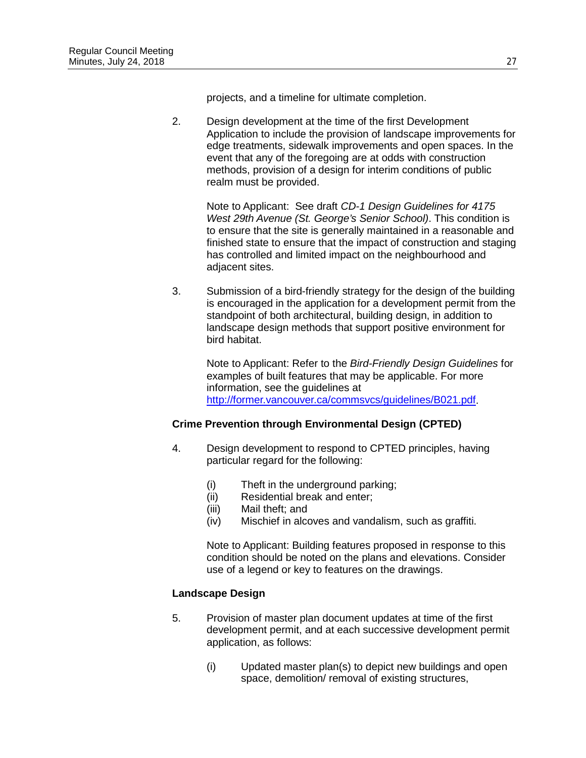projects, and a timeline for ultimate completion.

2. Design development at the time of the first Development Application to include the provision of landscape improvements for edge treatments, sidewalk improvements and open spaces. In the event that any of the foregoing are at odds with construction methods, provision of a design for interim conditions of public realm must be provided.

Note to Applicant: See draft *CD-1 Design Guidelines for 4175 West 29th Avenue (St. George's Senior School)*. This condition is to ensure that the site is generally maintained in a reasonable and finished state to ensure that the impact of construction and staging has controlled and limited impact on the neighbourhood and adjacent sites.

3. Submission of a bird-friendly strategy for the design of the building is encouraged in the application for a development permit from the standpoint of both architectural, building design, in addition to landscape design methods that support positive environment for bird habitat.

Note to Applicant: Refer to the *Bird-Friendly Design Guidelines* for examples of built features that may be applicable. For more information, see the guidelines at [http://former.vancouver.ca/commsvcs/guidelines/B021.pdf.](http://former.vancouver.ca/commsvcs/guidelines/B021.pdf)

# **Crime Prevention through Environmental Design (CPTED)**

- 4. Design development to respond to CPTED principles, having particular regard for the following:
	- (i) Theft in the underground parking;<br>(ii) Residential break and enter;
	- Residential break and enter:
	- (iii) Mail theft; and
	- (iv) Mischief in alcoves and vandalism, such as graffiti.

Note to Applicant: Building features proposed in response to this condition should be noted on the plans and elevations. Consider use of a legend or key to features on the drawings.

# **Landscape Design**

- 5. Provision of master plan document updates at time of the first development permit, and at each successive development permit application, as follows:
	- (i) Updated master plan(s) to depict new buildings and open space, demolition/ removal of existing structures,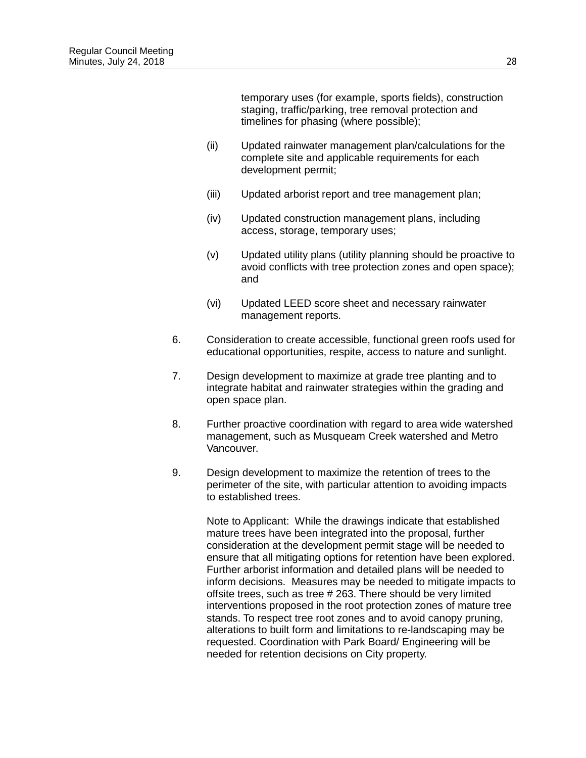temporary uses (for example, sports fields), construction staging, traffic/parking, tree removal protection and timelines for phasing (where possible);

- (ii) Updated rainwater management plan/calculations for the complete site and applicable requirements for each development permit;
- (iii) Updated arborist report and tree management plan;
- (iv) Updated construction management plans, including access, storage, temporary uses;
- (v) Updated utility plans (utility planning should be proactive to avoid conflicts with tree protection zones and open space); and
- (vi) Updated LEED score sheet and necessary rainwater management reports.
- 6. Consideration to create accessible, functional green roofs used for educational opportunities, respite, access to nature and sunlight.
- 7. Design development to maximize at grade tree planting and to integrate habitat and rainwater strategies within the grading and open space plan.
- 8. Further proactive coordination with regard to area wide watershed management, such as Musqueam Creek watershed and Metro Vancouver.
- 9. Design development to maximize the retention of trees to the perimeter of the site, with particular attention to avoiding impacts to established trees.

Note to Applicant: While the drawings indicate that established mature trees have been integrated into the proposal, further consideration at the development permit stage will be needed to ensure that all mitigating options for retention have been explored. Further arborist information and detailed plans will be needed to inform decisions. Measures may be needed to mitigate impacts to offsite trees, such as tree # 263. There should be very limited interventions proposed in the root protection zones of mature tree stands. To respect tree root zones and to avoid canopy pruning, alterations to built form and limitations to re-landscaping may be requested. Coordination with Park Board/ Engineering will be needed for retention decisions on City property.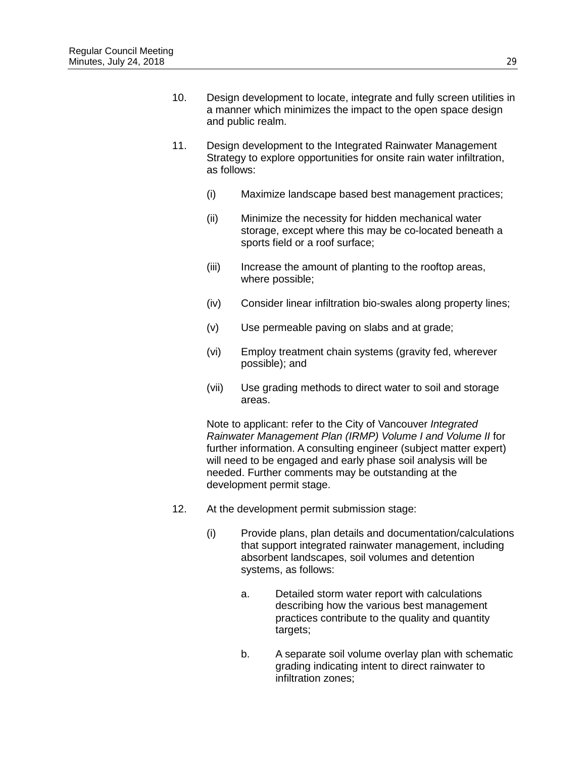- 10. Design development to locate, integrate and fully screen utilities in a manner which minimizes the impact to the open space design and public realm.
- 11. Design development to the Integrated Rainwater Management Strategy to explore opportunities for onsite rain water infiltration, as follows:
	- (i) Maximize landscape based best management practices;
	- (ii) Minimize the necessity for hidden mechanical water storage, except where this may be co-located beneath a sports field or a roof surface;
	- (iii) Increase the amount of planting to the rooftop areas, where possible;
	- (iv) Consider linear infiltration bio-swales along property lines;
	- (v) Use permeable paving on slabs and at grade;
	- (vi) Employ treatment chain systems (gravity fed, wherever possible); and
	- (vii) Use grading methods to direct water to soil and storage areas.

Note to applicant: refer to the City of Vancouver *Integrated Rainwater Management Plan (IRMP) Volume I and Volume II* for further information. A consulting engineer (subject matter expert) will need to be engaged and early phase soil analysis will be needed. Further comments may be outstanding at the development permit stage.

- 12. At the development permit submission stage:
	- (i) Provide plans, plan details and documentation/calculations that support integrated rainwater management, including absorbent landscapes, soil volumes and detention systems, as follows:
		- a. Detailed storm water report with calculations describing how the various best management practices contribute to the quality and quantity targets;
		- b. A separate soil volume overlay plan with schematic grading indicating intent to direct rainwater to infiltration zones;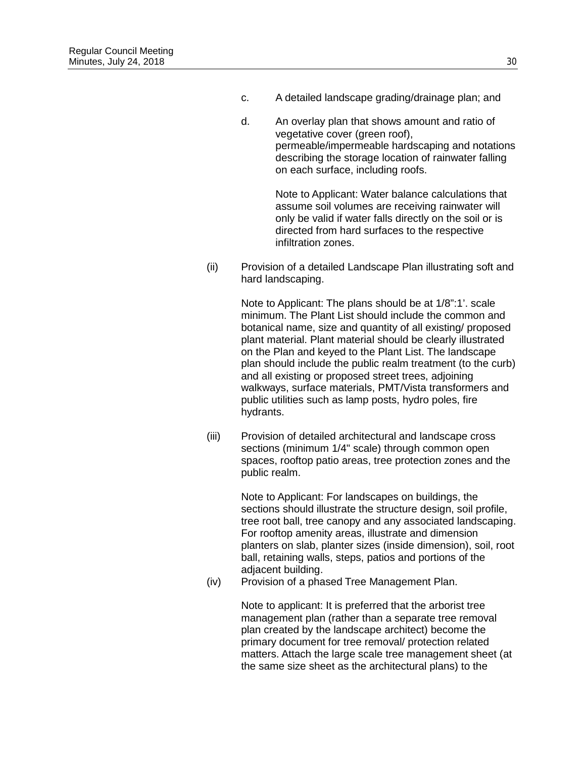- c. A detailed landscape grading/drainage plan; and
- d. An overlay plan that shows amount and ratio of vegetative cover (green roof), permeable/impermeable hardscaping and notations describing the storage location of rainwater falling on each surface, including roofs.

Note to Applicant: Water balance calculations that assume soil volumes are receiving rainwater will only be valid if water falls directly on the soil or is directed from hard surfaces to the respective infiltration zones.

(ii) Provision of a detailed Landscape Plan illustrating soft and hard landscaping.

> Note to Applicant: The plans should be at 1/8":1'. scale minimum. The Plant List should include the common and botanical name, size and quantity of all existing/ proposed plant material. Plant material should be clearly illustrated on the Plan and keyed to the Plant List. The landscape plan should include the public realm treatment (to the curb) and all existing or proposed street trees, adjoining walkways, surface materials, PMT/Vista transformers and public utilities such as lamp posts, hydro poles, fire hydrants.

(iii) Provision of detailed architectural and landscape cross sections (minimum 1/4" scale) through common open spaces, rooftop patio areas, tree protection zones and the public realm.

> Note to Applicant: For landscapes on buildings, the sections should illustrate the structure design, soil profile, tree root ball, tree canopy and any associated landscaping. For rooftop amenity areas, illustrate and dimension planters on slab, planter sizes (inside dimension), soil, root ball, retaining walls, steps, patios and portions of the adjacent building.

(iv) Provision of a phased Tree Management Plan.

Note to applicant: It is preferred that the arborist tree management plan (rather than a separate tree removal plan created by the landscape architect) become the primary document for tree removal/ protection related matters. Attach the large scale tree management sheet (at the same size sheet as the architectural plans) to the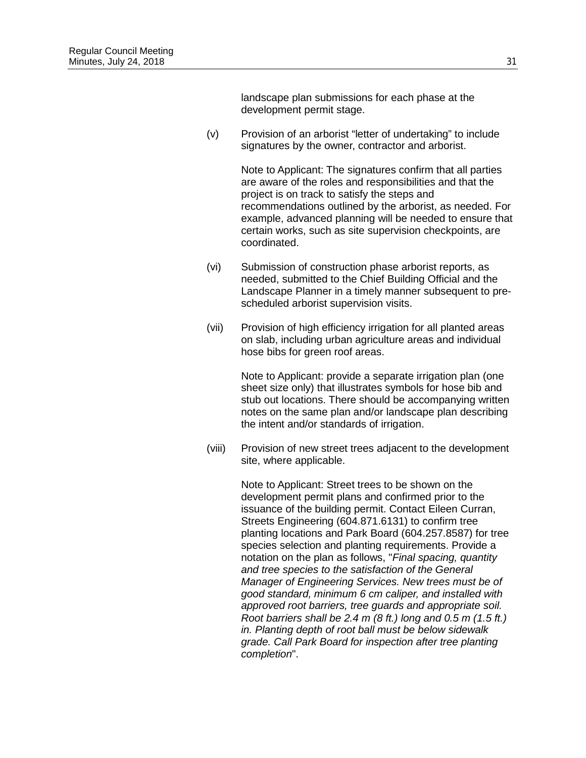landscape plan submissions for each phase at the development permit stage.

(v) Provision of an arborist "letter of undertaking" to include signatures by the owner, contractor and arborist.

> Note to Applicant: The signatures confirm that all parties are aware of the roles and responsibilities and that the project is on track to satisfy the steps and recommendations outlined by the arborist, as needed. For example, advanced planning will be needed to ensure that certain works, such as site supervision checkpoints, are coordinated.

- (vi) Submission of construction phase arborist reports, as needed, submitted to the Chief Building Official and the Landscape Planner in a timely manner subsequent to prescheduled arborist supervision visits.
- (vii) Provision of high efficiency irrigation for all planted areas on slab, including urban agriculture areas and individual hose bibs for green roof areas.

Note to Applicant: provide a separate irrigation plan (one sheet size only) that illustrates symbols for hose bib and stub out locations. There should be accompanying written notes on the same plan and/or landscape plan describing the intent and/or standards of irrigation.

(viii) Provision of new street trees adjacent to the development site, where applicable.

> Note to Applicant: Street trees to be shown on the development permit plans and confirmed prior to the issuance of the building permit. Contact Eileen Curran, Streets Engineering (604.871.6131) to confirm tree planting locations and Park Board (604.257.8587) for tree species selection and planting requirements. Provide a notation on the plan as follows, "*Final spacing, quantity and tree species to the satisfaction of the General Manager of Engineering Services. New trees must be of good standard, minimum 6 cm caliper, and installed with approved root barriers, tree guards and appropriate soil. Root barriers shall be 2.4 m (8 ft.) long and 0.5 m (1.5 ft.) in. Planting depth of root ball must be below sidewalk grade. Call Park Board for inspection after tree planting completion*".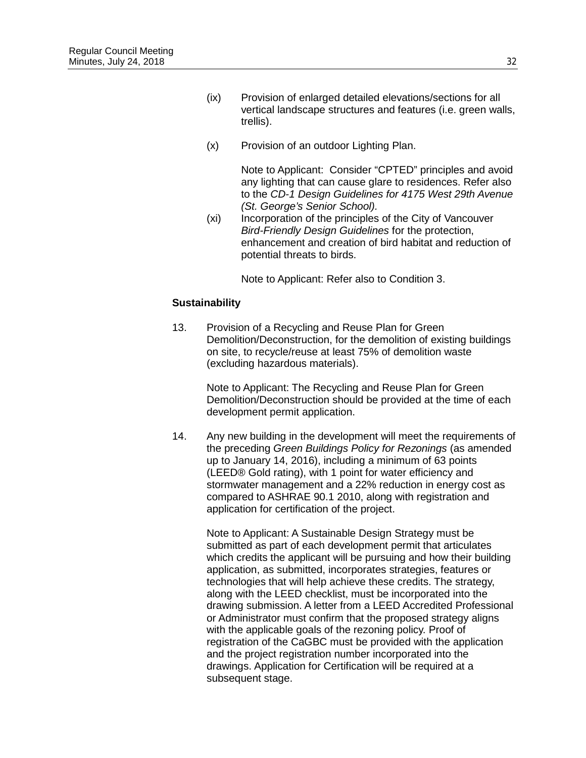- (ix) Provision of enlarged detailed elevations/sections for all vertical landscape structures and features (i.e. green walls, trellis).
- (x) Provision of an outdoor Lighting Plan.

Note to Applicant: Consider "CPTED" principles and avoid any lighting that can cause glare to residences. Refer also to the *CD-1 Design Guidelines for 4175 West 29th Avenue (St. George's Senior School).*

(xi) Incorporation of the principles of the City of Vancouver *Bird-Friendly Design Guidelines* for the protection, enhancement and creation of bird habitat and reduction of potential threats to birds.

Note to Applicant: Refer also to Condition 3.

## **Sustainability**

13. Provision of a Recycling and Reuse Plan for Green Demolition/Deconstruction, for the demolition of existing buildings on site, to recycle/reuse at least 75% of demolition waste (excluding hazardous materials).

> Note to Applicant: The Recycling and Reuse Plan for Green Demolition/Deconstruction should be provided at the time of each development permit application.

14. Any new building in the development will meet the requirements of the preceding *Green Buildings Policy for Rezonings* (as amended up to January 14, 2016), including a minimum of 63 points (LEED® Gold rating), with 1 point for water efficiency and stormwater management and a 22% reduction in energy cost as compared to ASHRAE 90.1 2010, along with registration and application for certification of the project.

Note to Applicant: A Sustainable Design Strategy must be submitted as part of each development permit that articulates which credits the applicant will be pursuing and how their building application, as submitted, incorporates strategies, features or technologies that will help achieve these credits. The strategy, along with the LEED checklist, must be incorporated into the drawing submission. A letter from a LEED Accredited Professional or Administrator must confirm that the proposed strategy aligns with the applicable goals of the rezoning policy. Proof of registration of the CaGBC must be provided with the application and the project registration number incorporated into the drawings. Application for Certification will be required at a subsequent stage.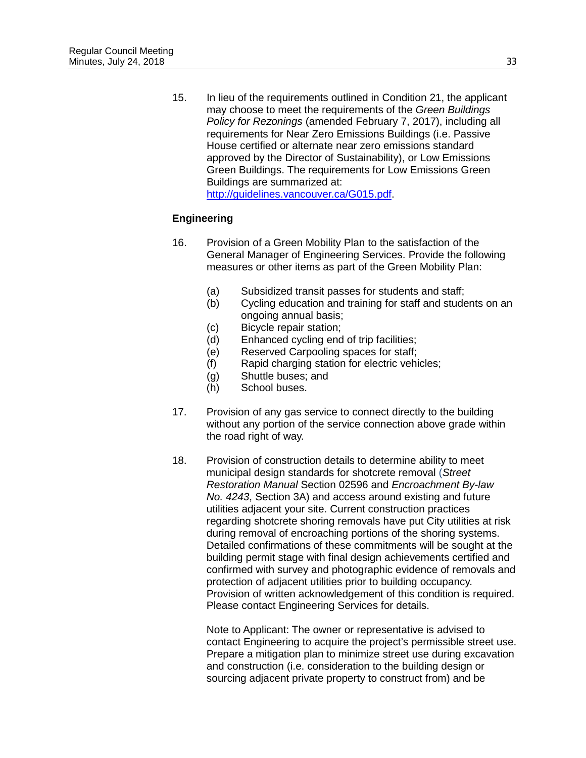15. In lieu of the requirements outlined in Condition 21, the applicant may choose to meet the requirements of the *Green Buildings Policy for Rezonings* (amended February 7, 2017), including all requirements for Near Zero Emissions Buildings (i.e. Passive House certified or alternate near zero emissions standard approved by the Director of Sustainability), or Low Emissions Green Buildings. The requirements for Low Emissions Green Buildings are summarized at: [http://guidelines.vancouver.ca/G015.pdf.](http://guidelines.vancouver.ca/G015.pdf)

# **Engineering**

- 16. Provision of a Green Mobility Plan to the satisfaction of the General Manager of Engineering Services. Provide the following measures or other items as part of the Green Mobility Plan:
	- (a) Subsidized transit passes for students and staff;
	- (b) Cycling education and training for staff and students on an ongoing annual basis;
	- (c) Bicycle repair station;
	- (d) Enhanced cycling end of trip facilities;
	- (e) Reserved Carpooling spaces for staff;
	- (f) Rapid charging station for electric vehicles;
	- (g) Shuttle buses; and
	- (h) School buses.
- 17. Provision of any gas service to connect directly to the building without any portion of the service connection above grade within the road right of way.
- 18. Provision of construction details to determine ability to meet municipal design standards for shotcrete removal (*Street Restoration Manual* Section 02596 and *Encroachment By-law No. 4243*, Section 3A) and access around existing and future utilities adjacent your site. Current construction practices regarding shotcrete shoring removals have put City utilities at risk during removal of encroaching portions of the shoring systems. Detailed confirmations of these commitments will be sought at the building permit stage with final design achievements certified and confirmed with survey and photographic evidence of removals and protection of adjacent utilities prior to building occupancy. Provision of written acknowledgement of this condition is required. Please contact Engineering Services for details.

Note to Applicant: The owner or representative is advised to contact Engineering to acquire the project's permissible street use. Prepare a mitigation plan to minimize street use during excavation and construction (i.e. consideration to the building design or sourcing adjacent private property to construct from) and be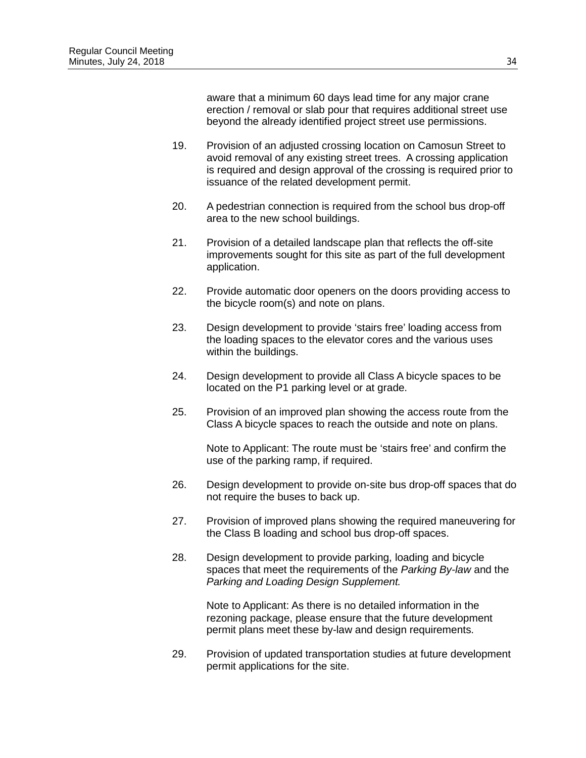aware that a minimum 60 days lead time for any major crane erection / removal or slab pour that requires additional street use beyond the already identified project street use permissions.

- 19. Provision of an adjusted crossing location on Camosun Street to avoid removal of any existing street trees. A crossing application is required and design approval of the crossing is required prior to issuance of the related development permit.
- 20. A pedestrian connection is required from the school bus drop-off area to the new school buildings.
- 21. Provision of a detailed landscape plan that reflects the off-site improvements sought for this site as part of the full development application.
- 22. Provide automatic door openers on the doors providing access to the bicycle room(s) and note on plans.
- 23. Design development to provide 'stairs free' loading access from the loading spaces to the elevator cores and the various uses within the buildings.
- 24. Design development to provide all Class A bicycle spaces to be located on the P1 parking level or at grade.
- 25. Provision of an improved plan showing the access route from the Class A bicycle spaces to reach the outside and note on plans.

Note to Applicant: The route must be 'stairs free' and confirm the use of the parking ramp, if required.

- 26. Design development to provide on-site bus drop-off spaces that do not require the buses to back up.
- 27. Provision of improved plans showing the required maneuvering for the Class B loading and school bus drop-off spaces.
- 28. Design development to provide parking, loading and bicycle spaces that meet the requirements of the *Parking By-law* and the *Parking and Loading Design Supplement.*

Note to Applicant: As there is no detailed information in the rezoning package, please ensure that the future development permit plans meet these by-law and design requirements.

29. Provision of updated transportation studies at future development permit applications for the site.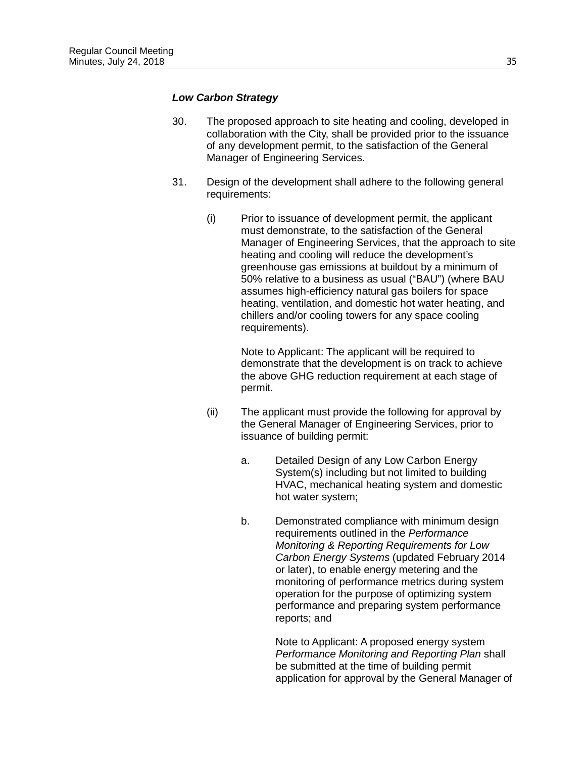#### *Low Carbon Strategy*

- 30. The proposed approach to site heating and cooling, developed in collaboration with the City, shall be provided prior to the issuance of any development permit, to the satisfaction of the General Manager of Engineering Services.
- 31. Design of the development shall adhere to the following general requirements:
	- (i) Prior to issuance of development permit, the applicant must demonstrate, to the satisfaction of the General Manager of Engineering Services, that the approach to site heating and cooling will reduce the development's greenhouse gas emissions at buildout by a minimum of 50% relative to a business as usual ("BAU") (where BAU assumes high-efficiency natural gas boilers for space heating, ventilation, and domestic hot water heating, and chillers and/or cooling towers for any space cooling requirements).

Note to Applicant: The applicant will be required to demonstrate that the development is on track to achieve the above GHG reduction requirement at each stage of permit.

- (ii) The applicant must provide the following for approval by the General Manager of Engineering Services, prior to issuance of building permit:
	- a. Detailed Design of any Low Carbon Energy System(s) including but not limited to building HVAC, mechanical heating system and domestic hot water system;
	- b. Demonstrated compliance with minimum design requirements outlined in the *Performance Monitoring & Reporting Requirements for Low Carbon Energy Systems* (updated February 2014 or later), to enable energy metering and the monitoring of performance metrics during system operation for the purpose of optimizing system performance and preparing system performance reports; and

Note to Applicant: A proposed energy system *Performance Monitoring and Reporting Plan* shall be submitted at the time of building permit application for approval by the General Manager of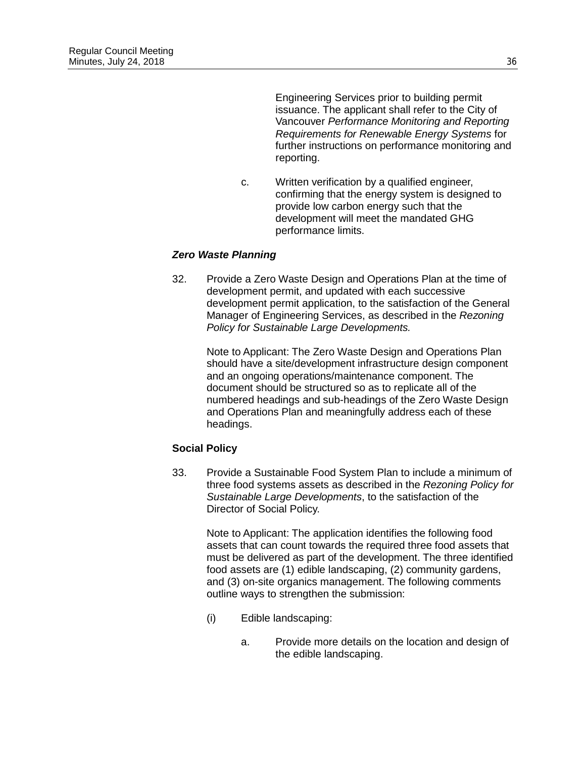Engineering Services prior to building permit issuance. The applicant shall refer to the City of Vancouver *Performance Monitoring and Reporting Requirements for Renewable Energy Systems* for further instructions on performance monitoring and reporting.

c. Written verification by a qualified engineer, confirming that the energy system is designed to provide low carbon energy such that the development will meet the mandated GHG performance limits.

# *Zero Waste Planning*

32. Provide a Zero Waste Design and Operations Plan at the time of development permit, and updated with each successive development permit application, to the satisfaction of the General Manager of Engineering Services, as described in the *Rezoning Policy for Sustainable Large Developments.*

> Note to Applicant: The Zero Waste Design and Operations Plan should have a site/development infrastructure design component and an ongoing operations/maintenance component. The document should be structured so as to replicate all of the numbered headings and sub-headings of the Zero Waste Design and Operations Plan and meaningfully address each of these headings.

# **Social Policy**

33. Provide a Sustainable Food System Plan to include a minimum of three food systems assets as described in the *Rezoning Policy for Sustainable Large Developments*, to the satisfaction of the Director of Social Policy.

> Note to Applicant: The application identifies the following food assets that can count towards the required three food assets that must be delivered as part of the development. The three identified food assets are (1) edible landscaping, (2) community gardens, and (3) on-site organics management. The following comments outline ways to strengthen the submission:

- (i) Edible landscaping:
	- a. Provide more details on the location and design of the edible landscaping.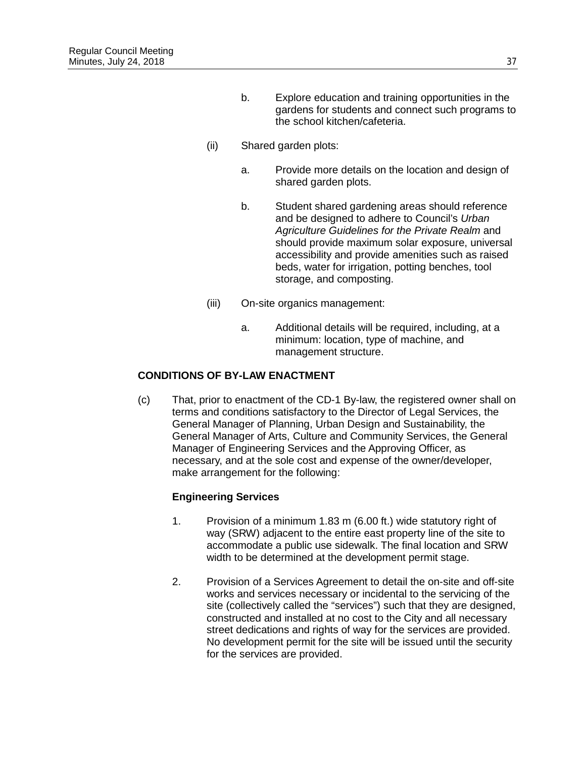- b. Explore education and training opportunities in the gardens for students and connect such programs to the school kitchen/cafeteria.
- (ii) Shared garden plots:
	- a. Provide more details on the location and design of shared garden plots.
	- b. Student shared gardening areas should reference and be designed to adhere to Council's *Urban Agriculture Guidelines for the Private Realm* and should provide maximum solar exposure, universal accessibility and provide amenities such as raised beds, water for irrigation, potting benches, tool storage, and composting.
- (iii) On-site organics management:
	- a. Additional details will be required, including, at a minimum: location, type of machine, and management structure.

# **CONDITIONS OF BY-LAW ENACTMENT**

(c) That, prior to enactment of the CD-1 By-law, the registered owner shall on terms and conditions satisfactory to the Director of Legal Services, the General Manager of Planning, Urban Design and Sustainability, the General Manager of Arts, Culture and Community Services, the General Manager of Engineering Services and the Approving Officer, as necessary, and at the sole cost and expense of the owner/developer, make arrangement for the following:

## **Engineering Services**

- 1. Provision of a minimum 1.83 m (6.00 ft.) wide statutory right of way (SRW) adjacent to the entire east property line of the site to accommodate a public use sidewalk. The final location and SRW width to be determined at the development permit stage.
- 2. Provision of a Services Agreement to detail the on-site and off-site works and services necessary or incidental to the servicing of the site (collectively called the "services") such that they are designed, constructed and installed at no cost to the City and all necessary street dedications and rights of way for the services are provided. No development permit for the site will be issued until the security for the services are provided.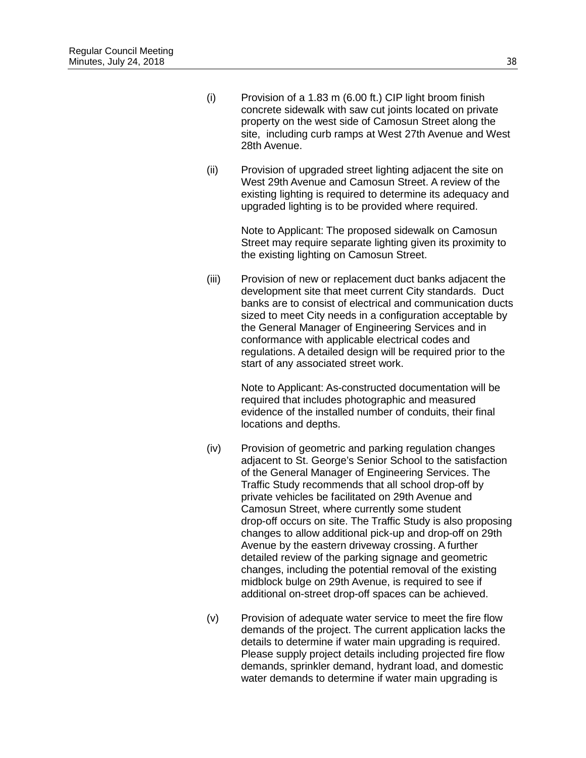- (i) Provision of a 1.83 m (6.00 ft.) CIP light broom finish concrete sidewalk with saw cut joints located on private property on the west side of Camosun Street along the site, including curb ramps at West 27th Avenue and West 28th Avenue.
- (ii) Provision of upgraded street lighting adjacent the site on West 29th Avenue and Camosun Street. A review of the existing lighting is required to determine its adequacy and upgraded lighting is to be provided where required.

Note to Applicant: The proposed sidewalk on Camosun Street may require separate lighting given its proximity to the existing lighting on Camosun Street.

(iii) Provision of new or replacement duct banks adjacent the development site that meet current City standards. Duct banks are to consist of electrical and communication ducts sized to meet City needs in a configuration acceptable by the General Manager of Engineering Services and in conformance with applicable electrical codes and regulations. A detailed design will be required prior to the start of any associated street work.

> Note to Applicant: As-constructed documentation will be required that includes photographic and measured evidence of the installed number of conduits, their final locations and depths.

- (iv) Provision of geometric and parking regulation changes adjacent to St. George's Senior School to the satisfaction of the General Manager of Engineering Services. The Traffic Study recommends that all school drop-off by private vehicles be facilitated on 29th Avenue and Camosun Street, where currently some student drop-off occurs on site. The Traffic Study is also proposing changes to allow additional pick-up and drop-off on 29th Avenue by the eastern driveway crossing. A further detailed review of the parking signage and geometric changes, including the potential removal of the existing midblock bulge on 29th Avenue, is required to see if additional on-street drop-off spaces can be achieved.
- (v) Provision of adequate water service to meet the fire flow demands of the project. The current application lacks the details to determine if water main upgrading is required. Please supply project details including projected fire flow demands, sprinkler demand, hydrant load, and domestic water demands to determine if water main upgrading is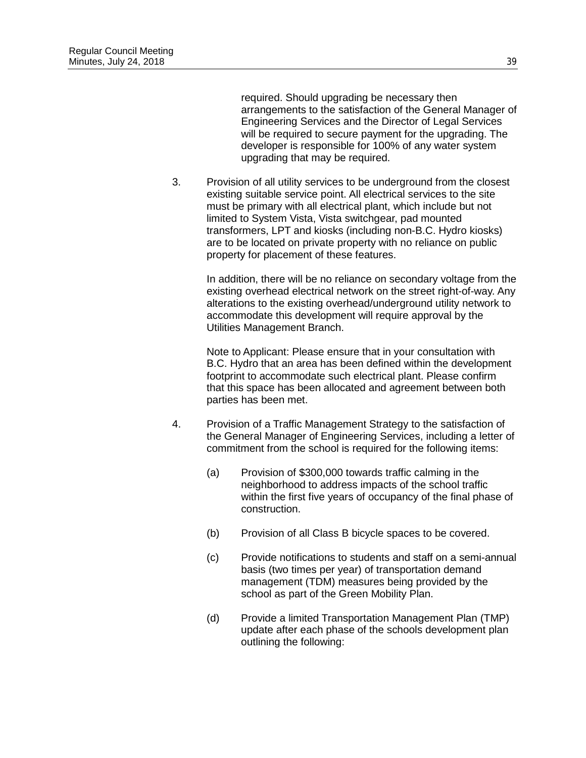required. Should upgrading be necessary then arrangements to the satisfaction of the General Manager of Engineering Services and the Director of Legal Services will be required to secure payment for the upgrading. The developer is responsible for 100% of any water system upgrading that may be required.

3. Provision of all utility services to be underground from the closest existing suitable service point. All electrical services to the site must be primary with all electrical plant, which include but not limited to System Vista, Vista switchgear, pad mounted transformers, LPT and kiosks (including non-B.C. Hydro kiosks) are to be located on private property with no reliance on public property for placement of these features.

> In addition, there will be no reliance on secondary voltage from the existing overhead electrical network on the street right-of-way. Any alterations to the existing overhead/underground utility network to accommodate this development will require approval by the Utilities Management Branch.

Note to Applicant: Please ensure that in your consultation with B.C. Hydro that an area has been defined within the development footprint to accommodate such electrical plant. Please confirm that this space has been allocated and agreement between both parties has been met.

- 4. Provision of a Traffic Management Strategy to the satisfaction of the General Manager of Engineering Services, including a letter of commitment from the school is required for the following items:
	- (a) Provision of \$300,000 towards traffic calming in the neighborhood to address impacts of the school traffic within the first five years of occupancy of the final phase of construction.
	- (b) Provision of all Class B bicycle spaces to be covered.
	- (c) Provide notifications to students and staff on a semi-annual basis (two times per year) of transportation demand management (TDM) measures being provided by the school as part of the Green Mobility Plan.
	- (d) Provide a limited Transportation Management Plan (TMP) update after each phase of the schools development plan outlining the following: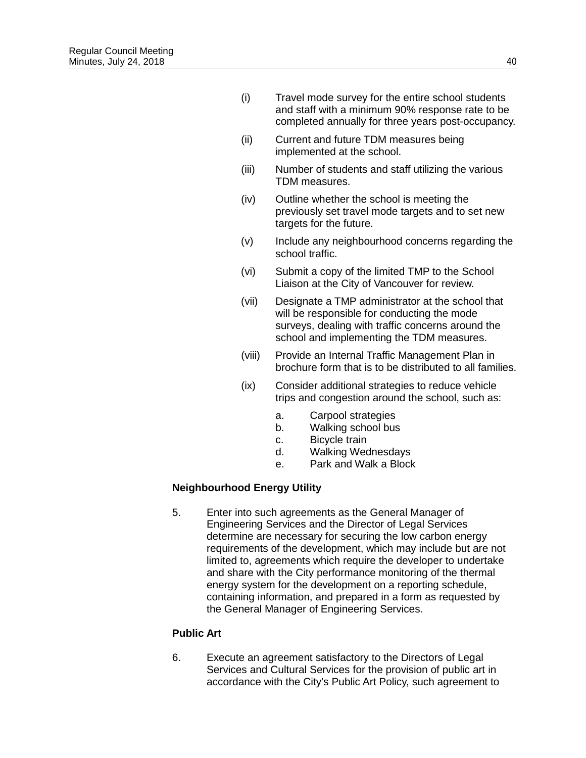- (i) Travel mode survey for the entire school students and staff with a minimum 90% response rate to be completed annually for three years post-occupancy.
- (ii) Current and future TDM measures being implemented at the school.
- (iii) Number of students and staff utilizing the various TDM measures.
- (iv) Outline whether the school is meeting the previously set travel mode targets and to set new targets for the future.
- (v) Include any neighbourhood concerns regarding the school traffic.
- (vi) Submit a copy of the limited TMP to the School Liaison at the City of Vancouver for review.
- (vii) Designate a TMP administrator at the school that will be responsible for conducting the mode surveys, dealing with traffic concerns around the school and implementing the TDM measures.
- (viii) Provide an Internal Traffic Management Plan in brochure form that is to be distributed to all families.
- (ix) Consider additional strategies to reduce vehicle trips and congestion around the school, such as:
	- a. Carpool strategies
	- b. Walking school bus
	- c. Bicycle train
	- d. Walking Wednesdays
	- e. Park and Walk a Block

## **Neighbourhood Energy Utility**

5. Enter into such agreements as the General Manager of Engineering Services and the Director of Legal Services determine are necessary for securing the low carbon energy requirements of the development, which may include but are not limited to, agreements which require the developer to undertake and share with the City performance monitoring of the thermal energy system for the development on a reporting schedule, containing information, and prepared in a form as requested by the General Manager of Engineering Services.

## **Public Art**

6. Execute an agreement satisfactory to the Directors of Legal Services and Cultural Services for the provision of public art in accordance with the City's Public Art Policy, such agreement to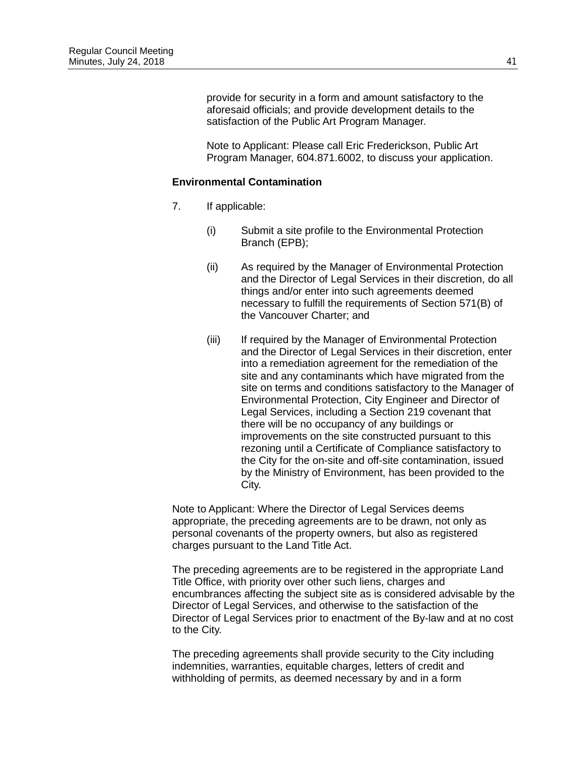provide for security in a form and amount satisfactory to the aforesaid officials; and provide development details to the satisfaction of the Public Art Program Manager.

Note to Applicant: Please call Eric Frederickson, Public Art Program Manager, 604.871.6002, to discuss your application.

#### **Environmental Contamination**

- 7. If applicable:
	- (i) Submit a site profile to the Environmental Protection Branch (EPB);
	- (ii) As required by the Manager of Environmental Protection and the Director of Legal Services in their discretion, do all things and/or enter into such agreements deemed necessary to fulfill the requirements of Section 571(B) of the Vancouver Charter; and
	- (iii) If required by the Manager of Environmental Protection and the Director of Legal Services in their discretion, enter into a remediation agreement for the remediation of the site and any contaminants which have migrated from the site on terms and conditions satisfactory to the Manager of Environmental Protection, City Engineer and Director of Legal Services, including a Section 219 covenant that there will be no occupancy of any buildings or improvements on the site constructed pursuant to this rezoning until a Certificate of Compliance satisfactory to the City for the on-site and off-site contamination, issued by the Ministry of Environment, has been provided to the City.

Note to Applicant: Where the Director of Legal Services deems appropriate, the preceding agreements are to be drawn, not only as personal covenants of the property owners, but also as registered charges pursuant to the Land Title Act.

The preceding agreements are to be registered in the appropriate Land Title Office, with priority over other such liens, charges and encumbrances affecting the subject site as is considered advisable by the Director of Legal Services, and otherwise to the satisfaction of the Director of Legal Services prior to enactment of the By-law and at no cost to the City.

The preceding agreements shall provide security to the City including indemnities, warranties, equitable charges, letters of credit and withholding of permits, as deemed necessary by and in a form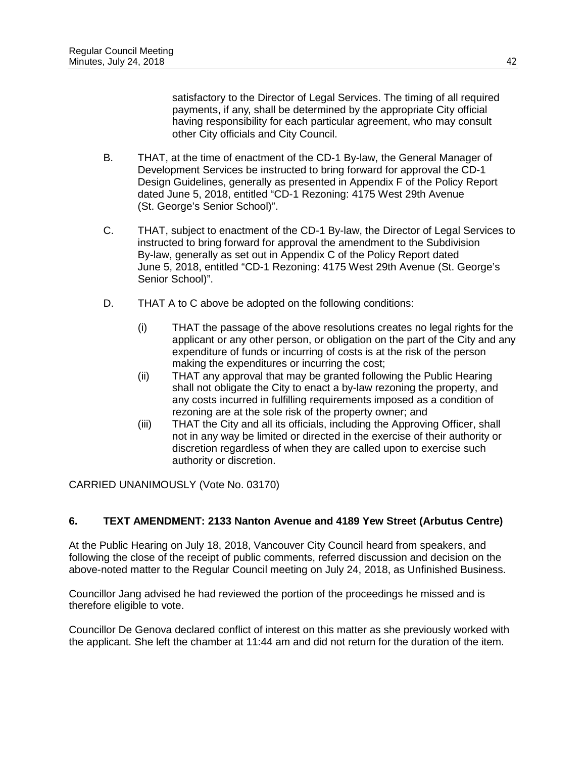satisfactory to the Director of Legal Services. The timing of all required payments, if any, shall be determined by the appropriate City official having responsibility for each particular agreement, who may consult other City officials and City Council.

- B. THAT, at the time of enactment of the CD-1 By-law, the General Manager of Development Services be instructed to bring forward for approval the CD-1 Design Guidelines, generally as presented in Appendix F of the Policy Report dated June 5, 2018, entitled "CD-1 Rezoning: 4175 West 29th Avenue (St. George's Senior School)".
- C. THAT, subject to enactment of the CD-1 By-law, the Director of Legal Services to instructed to bring forward for approval the amendment to the Subdivision By-law, generally as set out in Appendix C of the Policy Report dated June 5, 2018, entitled "CD-1 Rezoning: 4175 West 29th Avenue (St. George's Senior School)".
- D. THAT A to C above be adopted on the following conditions:
	- (i) THAT the passage of the above resolutions creates no legal rights for the applicant or any other person, or obligation on the part of the City and any expenditure of funds or incurring of costs is at the risk of the person making the expenditures or incurring the cost;
	- (ii) THAT any approval that may be granted following the Public Hearing shall not obligate the City to enact a by-law rezoning the property, and any costs incurred in fulfilling requirements imposed as a condition of rezoning are at the sole risk of the property owner; and
	- (iii) THAT the City and all its officials, including the Approving Officer, shall not in any way be limited or directed in the exercise of their authority or discretion regardless of when they are called upon to exercise such authority or discretion.

CARRIED UNANIMOUSLY (Vote No. 03170)

## **6. TEXT AMENDMENT: 2133 Nanton Avenue and 4189 Yew Street (Arbutus Centre)**

At the Public Hearing on July 18, 2018, Vancouver City Council heard from speakers, and following the close of the receipt of public comments, referred discussion and decision on the above-noted matter to the Regular Council meeting on July 24, 2018, as Unfinished Business.

Councillor Jang advised he had reviewed the portion of the proceedings he missed and is therefore eligible to vote.

Councillor De Genova declared conflict of interest on this matter as she previously worked with the applicant. She left the chamber at 11:44 am and did not return for the duration of the item.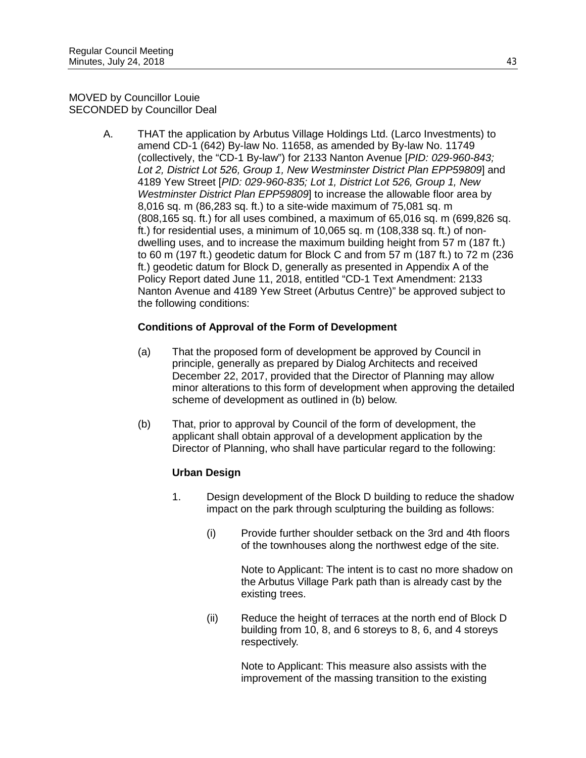MOVED by Councillor Louie SECONDED by Councillor Deal

> A. THAT the application by Arbutus Village Holdings Ltd. (Larco Investments) to amend CD-1 (642) By-law No. 11658, as amended by By-law No. 11749 (collectively, the "CD-1 By-law") for 2133 Nanton Avenue [*PID: 029-960-843; Lot 2, District Lot 526, Group 1, New Westminster District Plan EPP59809*] and 4189 Yew Street [*PID: 029-960-835; Lot 1, District Lot 526, Group 1, New Westminster District Plan EPP59809*] to increase the allowable floor area by 8,016 sq. m (86,283 sq. ft.) to a site-wide maximum of 75,081 sq. m (808,165 sq. ft.) for all uses combined, a maximum of 65,016 sq. m (699,826 sq. ft.) for residential uses, a minimum of 10,065 sq. m (108,338 sq. ft.) of nondwelling uses, and to increase the maximum building height from 57 m (187 ft.) to 60 m (197 ft.) geodetic datum for Block C and from 57 m (187 ft.) to 72 m (236 ft.) geodetic datum for Block D, generally as presented in Appendix A of the Policy Report dated June 11, 2018, entitled "CD-1 Text Amendment: 2133 Nanton Avenue and 4189 Yew Street (Arbutus Centre)" be approved subject to the following conditions:

## **Conditions of Approval of the Form of Development**

- (a) That the proposed form of development be approved by Council in principle, generally as prepared by Dialog Architects and received December 22, 2017, provided that the Director of Planning may allow minor alterations to this form of development when approving the detailed scheme of development as outlined in (b) below.
- (b) That, prior to approval by Council of the form of development, the applicant shall obtain approval of a development application by the Director of Planning, who shall have particular regard to the following:

# **Urban Design**

- 1. Design development of the Block D building to reduce the shadow impact on the park through sculpturing the building as follows:
	- (i) Provide further shoulder setback on the 3rd and 4th floors of the townhouses along the northwest edge of the site.

Note to Applicant: The intent is to cast no more shadow on the Arbutus Village Park path than is already cast by the existing trees.

(ii) Reduce the height of terraces at the north end of Block D building from 10, 8, and 6 storeys to 8, 6, and 4 storeys respectively.

> Note to Applicant: This measure also assists with the improvement of the massing transition to the existing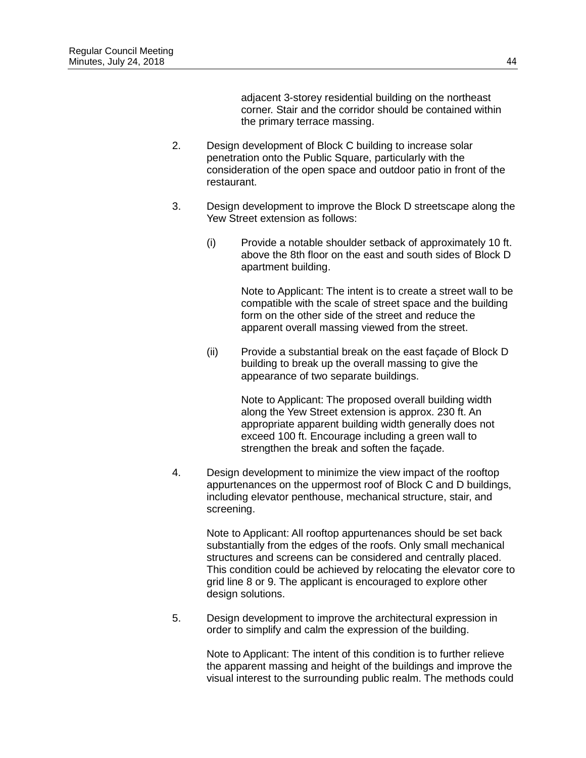adjacent 3-storey residential building on the northeast corner. Stair and the corridor should be contained within the primary terrace massing.

- 2. Design development of Block C building to increase solar penetration onto the Public Square, particularly with the consideration of the open space and outdoor patio in front of the restaurant.
- 3. Design development to improve the Block D streetscape along the Yew Street extension as follows:
	- (i) Provide a notable shoulder setback of approximately 10 ft. above the 8th floor on the east and south sides of Block D apartment building.

Note to Applicant: The intent is to create a street wall to be compatible with the scale of street space and the building form on the other side of the street and reduce the apparent overall massing viewed from the street.

(ii) Provide a substantial break on the east façade of Block D building to break up the overall massing to give the appearance of two separate buildings.

> Note to Applicant: The proposed overall building width along the Yew Street extension is approx. 230 ft. An appropriate apparent building width generally does not exceed 100 ft. Encourage including a green wall to strengthen the break and soften the façade.

4. Design development to minimize the view impact of the rooftop appurtenances on the uppermost roof of Block C and D buildings, including elevator penthouse, mechanical structure, stair, and screening.

> Note to Applicant: All rooftop appurtenances should be set back substantially from the edges of the roofs. Only small mechanical structures and screens can be considered and centrally placed. This condition could be achieved by relocating the elevator core to grid line 8 or 9. The applicant is encouraged to explore other design solutions.

5. Design development to improve the architectural expression in order to simplify and calm the expression of the building.

> Note to Applicant: The intent of this condition is to further relieve the apparent massing and height of the buildings and improve the visual interest to the surrounding public realm. The methods could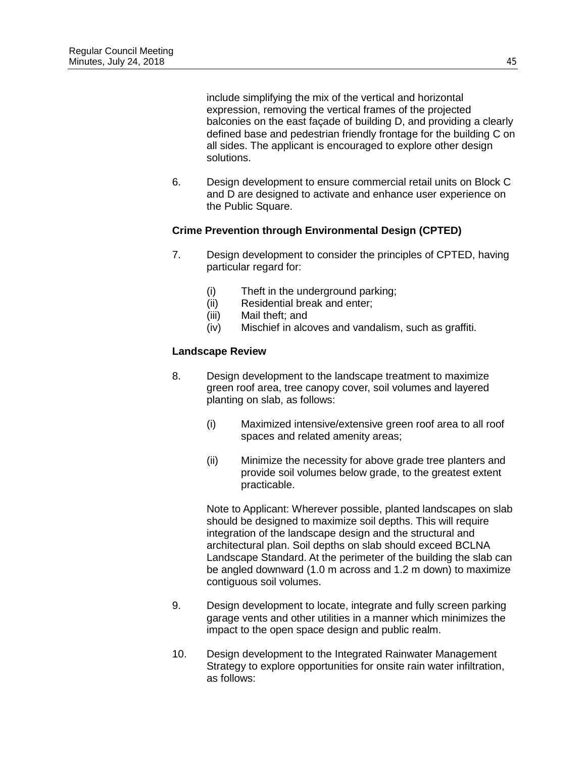include simplifying the mix of the vertical and horizontal expression, removing the vertical frames of the projected balconies on the east façade of building D, and providing a clearly defined base and pedestrian friendly frontage for the building C on all sides. The applicant is encouraged to explore other design solutions.

6. Design development to ensure commercial retail units on Block C and D are designed to activate and enhance user experience on the Public Square.

### **Crime Prevention through Environmental Design (CPTED)**

- 7. Design development to consider the principles of CPTED, having particular regard for:
	- (i) Theft in the underground parking;<br>(ii) Residential break and enter;
	- (ii) Residential break and enter;<br>(iii) Mail theft; and
	- (iii) Mail theft; and<br>(iv) Mischief in alco
	- Mischief in alcoves and vandalism, such as graffiti.

### **Landscape Review**

- 8. Design development to the landscape treatment to maximize green roof area, tree canopy cover, soil volumes and layered planting on slab, as follows:
	- (i) Maximized intensive/extensive green roof area to all roof spaces and related amenity areas;
	- (ii) Minimize the necessity for above grade tree planters and provide soil volumes below grade, to the greatest extent practicable.

Note to Applicant: Wherever possible, planted landscapes on slab should be designed to maximize soil depths. This will require integration of the landscape design and the structural and architectural plan. Soil depths on slab should exceed BCLNA Landscape Standard. At the perimeter of the building the slab can be angled downward (1.0 m across and 1.2 m down) to maximize contiguous soil volumes.

- 9. Design development to locate, integrate and fully screen parking garage vents and other utilities in a manner which minimizes the impact to the open space design and public realm.
- 10. Design development to the Integrated Rainwater Management Strategy to explore opportunities for onsite rain water infiltration, as follows: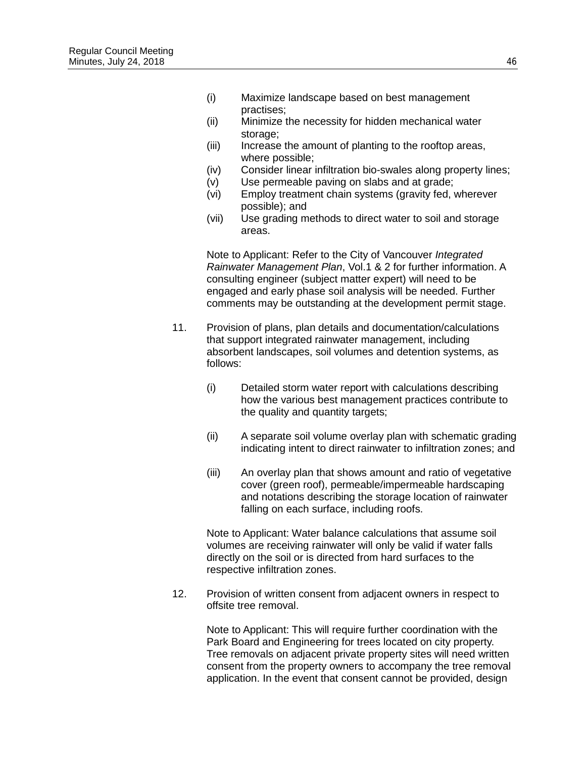- (i) Maximize landscape based on best management practises;
- (ii) Minimize the necessity for hidden mechanical water storage;
- (iii) Increase the amount of planting to the rooftop areas, where possible;
- (iv) Consider linear infiltration bio-swales along property lines;
- (v) Use permeable paving on slabs and at grade;
- (vi) Employ treatment chain systems (gravity fed, wherever possible); and
- (vii) Use grading methods to direct water to soil and storage areas.

Note to Applicant: Refer to the City of Vancouver *Integrated Rainwater Management Plan*, Vol.1 & 2 for further information. A consulting engineer (subject matter expert) will need to be engaged and early phase soil analysis will be needed. Further comments may be outstanding at the development permit stage.

- 11. Provision of plans, plan details and documentation/calculations that support integrated rainwater management, including absorbent landscapes, soil volumes and detention systems, as follows:
	- (i) Detailed storm water report with calculations describing how the various best management practices contribute to the quality and quantity targets;
	- (ii) A separate soil volume overlay plan with schematic grading indicating intent to direct rainwater to infiltration zones; and
	- (iii) An overlay plan that shows amount and ratio of vegetative cover (green roof), permeable/impermeable hardscaping and notations describing the storage location of rainwater falling on each surface, including roofs.

Note to Applicant: Water balance calculations that assume soil volumes are receiving rainwater will only be valid if water falls directly on the soil or is directed from hard surfaces to the respective infiltration zones.

12. Provision of written consent from adjacent owners in respect to offsite tree removal.

> Note to Applicant: This will require further coordination with the Park Board and Engineering for trees located on city property. Tree removals on adjacent private property sites will need written consent from the property owners to accompany the tree removal application. In the event that consent cannot be provided, design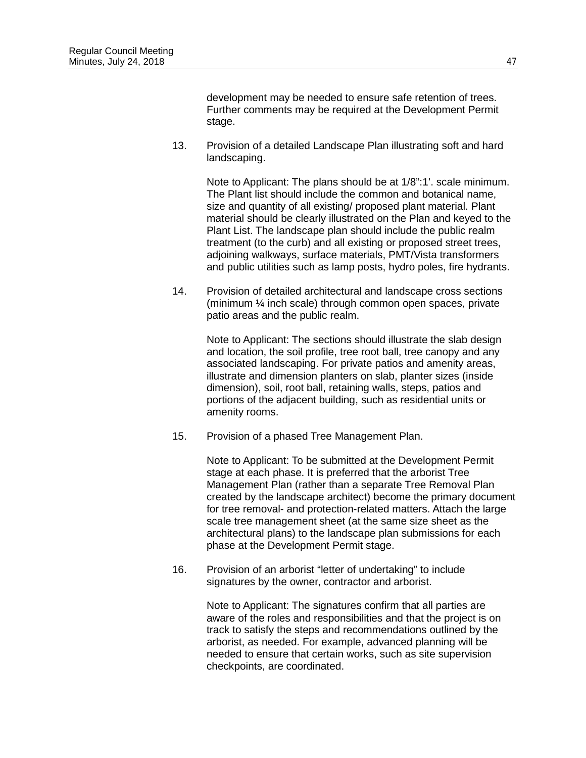development may be needed to ensure safe retention of trees. Further comments may be required at the Development Permit stage.

13. Provision of a detailed Landscape Plan illustrating soft and hard landscaping.

> Note to Applicant: The plans should be at 1/8":1'. scale minimum. The Plant list should include the common and botanical name, size and quantity of all existing/ proposed plant material. Plant material should be clearly illustrated on the Plan and keyed to the Plant List. The landscape plan should include the public realm treatment (to the curb) and all existing or proposed street trees, adjoining walkways, surface materials, PMT/Vista transformers and public utilities such as lamp posts, hydro poles, fire hydrants.

14. Provision of detailed architectural and landscape cross sections (minimum ¼ inch scale) through common open spaces, private patio areas and the public realm.

> Note to Applicant: The sections should illustrate the slab design and location, the soil profile, tree root ball, tree canopy and any associated landscaping. For private patios and amenity areas, illustrate and dimension planters on slab, planter sizes (inside dimension), soil, root ball, retaining walls, steps, patios and portions of the adjacent building, such as residential units or amenity rooms.

15. Provision of a phased Tree Management Plan.

Note to Applicant: To be submitted at the Development Permit stage at each phase. It is preferred that the arborist Tree Management Plan (rather than a separate Tree Removal Plan created by the landscape architect) become the primary document for tree removal- and protection-related matters. Attach the large scale tree management sheet (at the same size sheet as the architectural plans) to the landscape plan submissions for each phase at the Development Permit stage.

16. Provision of an arborist "letter of undertaking" to include signatures by the owner, contractor and arborist.

> Note to Applicant: The signatures confirm that all parties are aware of the roles and responsibilities and that the project is on track to satisfy the steps and recommendations outlined by the arborist, as needed. For example, advanced planning will be needed to ensure that certain works, such as site supervision checkpoints, are coordinated.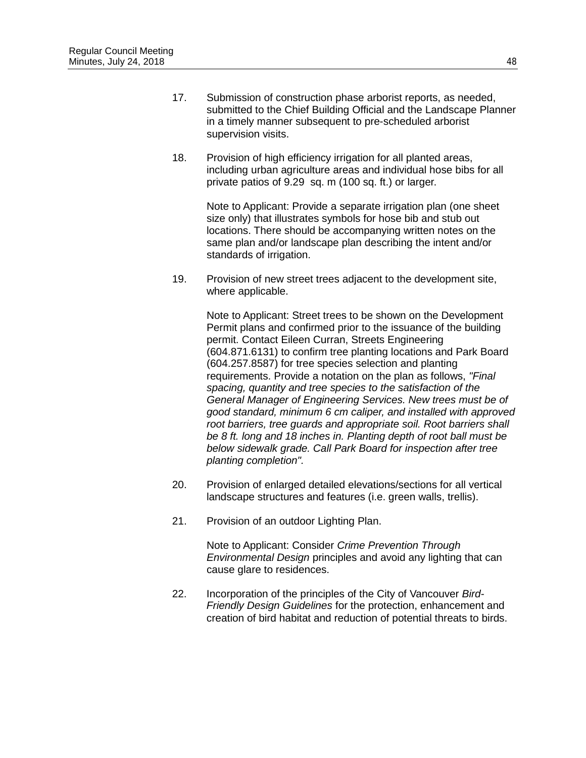- 17. Submission of construction phase arborist reports, as needed, submitted to the Chief Building Official and the Landscape Planner in a timely manner subsequent to pre-scheduled arborist supervision visits.
- 18. Provision of high efficiency irrigation for all planted areas, including urban agriculture areas and individual hose bibs for all private patios of 9.29 sq. m (100 sq. ft.) or larger.

Note to Applicant: Provide a separate irrigation plan (one sheet size only) that illustrates symbols for hose bib and stub out locations. There should be accompanying written notes on the same plan and/or landscape plan describing the intent and/or standards of irrigation.

19. Provision of new street trees adjacent to the development site, where applicable.

> Note to Applicant: Street trees to be shown on the Development Permit plans and confirmed prior to the issuance of the building permit. Contact Eileen Curran, Streets Engineering (604.871.6131) to confirm tree planting locations and Park Board (604.257.8587) for tree species selection and planting requirements. Provide a notation on the plan as follows, *"Final spacing, quantity and tree species to the satisfaction of the General Manager of Engineering Services. New trees must be of good standard, minimum 6 cm caliper, and installed with approved root barriers, tree guards and appropriate soil. Root barriers shall be 8 ft. long and 18 inches in. Planting depth of root ball must be below sidewalk grade. Call Park Board for inspection after tree planting completion".*

- 20. Provision of enlarged detailed elevations/sections for all vertical landscape structures and features (i.e. green walls, trellis).
- 21. Provision of an outdoor Lighting Plan.

Note to Applicant: Consider *Crime Prevention Through Environmental Design* principles and avoid any lighting that can cause glare to residences.

22. Incorporation of the principles of the City of Vancouver *Bird-Friendly Design Guidelines* for the protection, enhancement and creation of bird habitat and reduction of potential threats to birds.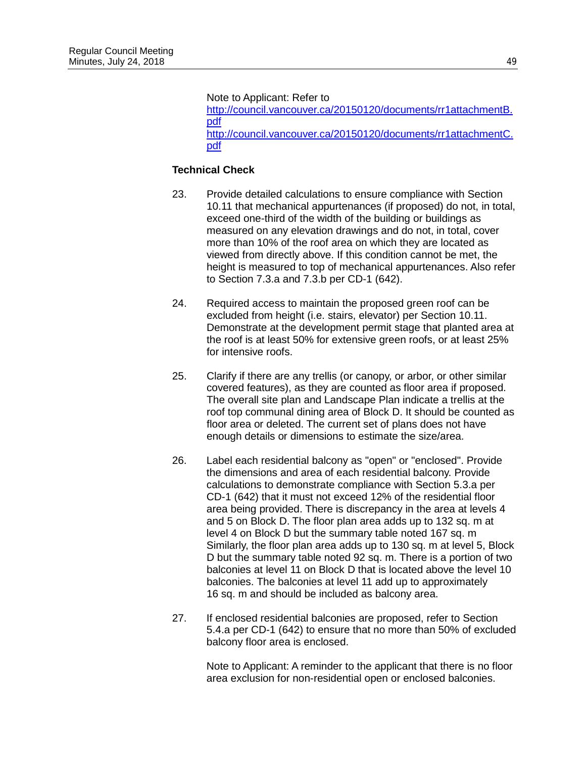Note to Applicant: Refer to

[http://council.vancouver.ca/20150120/documents/rr1attachmentB.](http://council.vancouver.ca/20150120/documents/rr1attachmentB.pdf) [pdf](http://council.vancouver.ca/20150120/documents/rr1attachmentB.pdf) [http://council.vancouver.ca/20150120/documents/rr1attachmentC.](http://council.vancouver.ca/20150120/documents/rr1attachmentC.pdf) [pdf](http://council.vancouver.ca/20150120/documents/rr1attachmentC.pdf) 

## **Technical Check**

- 23. Provide detailed calculations to ensure compliance with Section 10.11 that mechanical appurtenances (if proposed) do not, in total, exceed one-third of the width of the building or buildings as measured on any elevation drawings and do not, in total, cover more than 10% of the roof area on which they are located as viewed from directly above. If this condition cannot be met, the height is measured to top of mechanical appurtenances. Also refer to Section 7.3.a and 7.3.b per CD-1 (642).
- 24. Required access to maintain the proposed green roof can be excluded from height (i.e. stairs, elevator) per Section 10.11. Demonstrate at the development permit stage that planted area at the roof is at least 50% for extensive green roofs, or at least 25% for intensive roofs.
- 25. Clarify if there are any trellis (or canopy, or arbor, or other similar covered features), as they are counted as floor area if proposed. The overall site plan and Landscape Plan indicate a trellis at the roof top communal dining area of Block D. It should be counted as floor area or deleted. The current set of plans does not have enough details or dimensions to estimate the size/area.
- 26. Label each residential balcony as "open" or "enclosed". Provide the dimensions and area of each residential balcony. Provide calculations to demonstrate compliance with Section 5.3.a per CD-1 (642) that it must not exceed 12% of the residential floor area being provided. There is discrepancy in the area at levels 4 and 5 on Block D. The floor plan area adds up to 132 sq. m at level 4 on Block D but the summary table noted 167 sq. m Similarly, the floor plan area adds up to 130 sq. m at level 5, Block D but the summary table noted 92 sq. m. There is a portion of two balconies at level 11 on Block D that is located above the level 10 balconies. The balconies at level 11 add up to approximately 16 sq. m and should be included as balcony area.
- 27. If enclosed residential balconies are proposed, refer to Section 5.4.a per CD-1 (642) to ensure that no more than 50% of excluded balcony floor area is enclosed.

Note to Applicant: A reminder to the applicant that there is no floor area exclusion for non-residential open or enclosed balconies.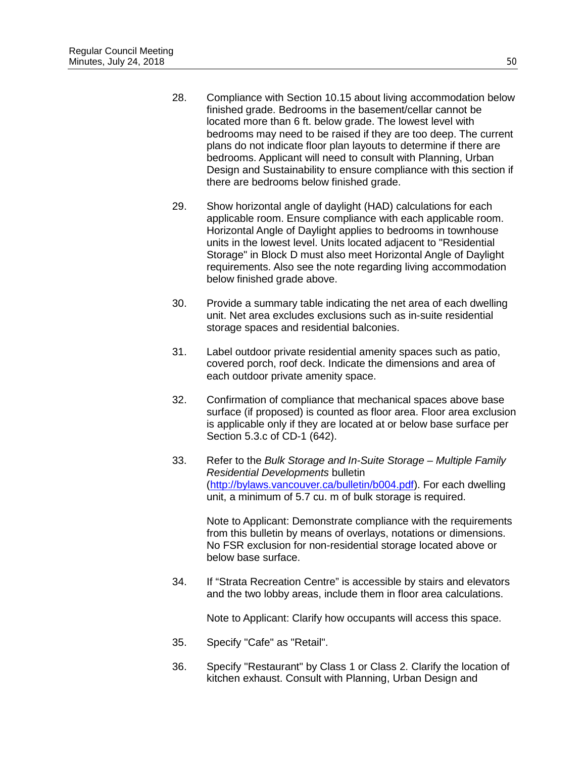- 28. Compliance with Section 10.15 about living accommodation below finished grade. Bedrooms in the basement/cellar cannot be located more than 6 ft. below grade. The lowest level with bedrooms may need to be raised if they are too deep. The current plans do not indicate floor plan layouts to determine if there are bedrooms. Applicant will need to consult with Planning, Urban Design and Sustainability to ensure compliance with this section if there are bedrooms below finished grade.
- 29. Show horizontal angle of daylight (HAD) calculations for each applicable room. Ensure compliance with each applicable room. Horizontal Angle of Daylight applies to bedrooms in townhouse units in the lowest level. Units located adjacent to "Residential Storage" in Block D must also meet Horizontal Angle of Daylight requirements. Also see the note regarding living accommodation below finished grade above.
- 30. Provide a summary table indicating the net area of each dwelling unit. Net area excludes exclusions such as in-suite residential storage spaces and residential balconies.
- 31. Label outdoor private residential amenity spaces such as patio, covered porch, roof deck. Indicate the dimensions and area of each outdoor private amenity space.
- 32. Confirmation of compliance that mechanical spaces above base surface (if proposed) is counted as floor area. Floor area exclusion is applicable only if they are located at or below base surface per Section 5.3.c of CD-1 (642).
- 33. Refer to the *Bulk Storage and In-Suite Storage Multiple Family Residential Developments* bulletin [\(http://bylaws.vancouver.ca/bulletin/b004.pdf\)](http://bylaws.vancouver.ca/bulletin/b004.pdf). For each dwelling unit, a minimum of 5.7 cu. m of bulk storage is required.

Note to Applicant: Demonstrate compliance with the requirements from this bulletin by means of overlays, notations or dimensions. No FSR exclusion for non-residential storage located above or below base surface.

34. If "Strata Recreation Centre" is accessible by stairs and elevators and the two lobby areas, include them in floor area calculations.

Note to Applicant: Clarify how occupants will access this space.

- 35. Specify "Cafe" as "Retail".
- 36. Specify "Restaurant" by Class 1 or Class 2. Clarify the location of kitchen exhaust. Consult with Planning, Urban Design and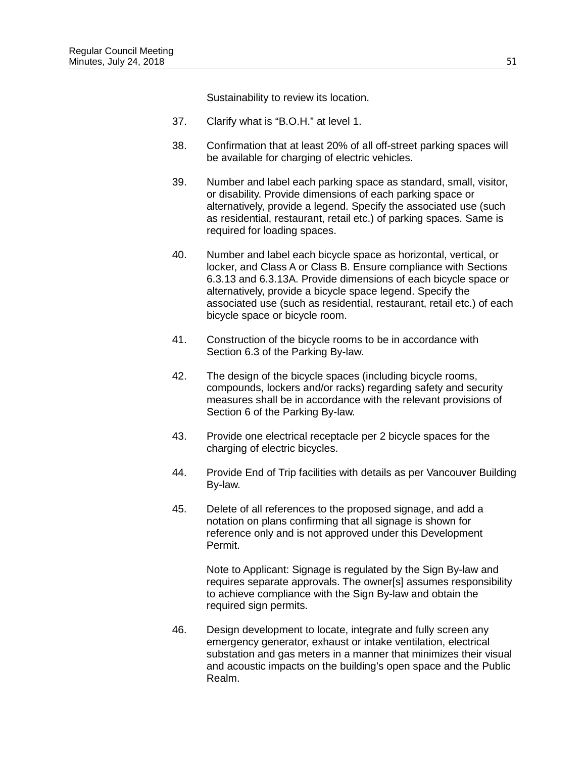Sustainability to review its location.

- 37. Clarify what is "B.O.H." at level 1.
- 38. Confirmation that at least 20% of all off-street parking spaces will be available for charging of electric vehicles.
- 39. Number and label each parking space as standard, small, visitor, or disability. Provide dimensions of each parking space or alternatively, provide a legend. Specify the associated use (such as residential, restaurant, retail etc.) of parking spaces. Same is required for loading spaces.
- 40. Number and label each bicycle space as horizontal, vertical, or locker, and Class A or Class B. Ensure compliance with Sections 6.3.13 and 6.3.13A. Provide dimensions of each bicycle space or alternatively, provide a bicycle space legend. Specify the associated use (such as residential, restaurant, retail etc.) of each bicycle space or bicycle room.
- 41. Construction of the bicycle rooms to be in accordance with Section 6.3 of the Parking By-law.
- 42. The design of the bicycle spaces (including bicycle rooms, compounds, lockers and/or racks) regarding safety and security measures shall be in accordance with the relevant provisions of Section 6 of the Parking By-law.
- 43. Provide one electrical receptacle per 2 bicycle spaces for the charging of electric bicycles.
- 44. Provide End of Trip facilities with details as per Vancouver Building By-law.
- 45. Delete of all references to the proposed signage, and add a notation on plans confirming that all signage is shown for reference only and is not approved under this Development Permit.

Note to Applicant: Signage is regulated by the Sign By-law and requires separate approvals. The owner[s] assumes responsibility to achieve compliance with the Sign By-law and obtain the required sign permits.

46. Design development to locate, integrate and fully screen any emergency generator, exhaust or intake ventilation, electrical substation and gas meters in a manner that minimizes their visual and acoustic impacts on the building's open space and the Public Realm.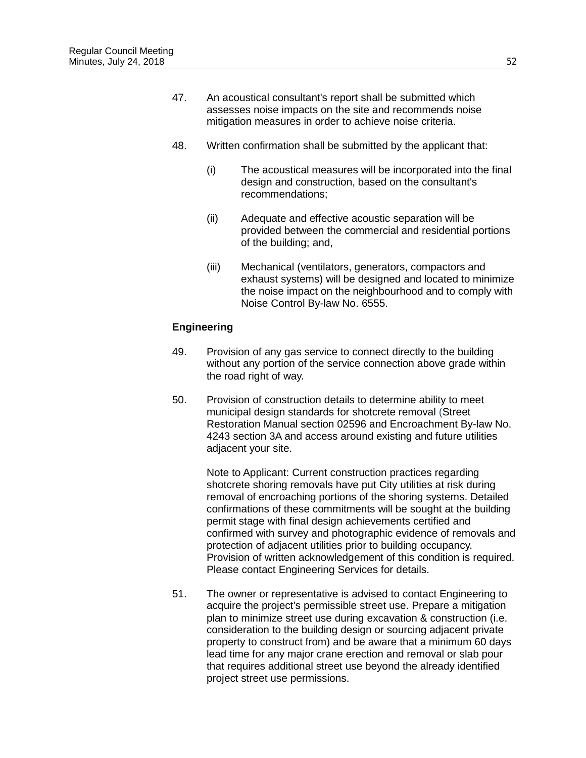- 47. An acoustical consultant's report shall be submitted which assesses noise impacts on the site and recommends noise mitigation measures in order to achieve noise criteria.
- 48. Written confirmation shall be submitted by the applicant that:
	- (i) The acoustical measures will be incorporated into the final design and construction, based on the consultant's recommendations;
	- (ii) Adequate and effective acoustic separation will be provided between the commercial and residential portions of the building; and,
	- (iii) Mechanical (ventilators, generators, compactors and exhaust systems) will be designed and located to minimize the noise impact on the neighbourhood and to comply with Noise Control By-law No. 6555.

### **Engineering**

- 49. Provision of any gas service to connect directly to the building without any portion of the service connection above grade within the road right of way.
- 50. Provision of construction details to determine ability to meet municipal design standards for shotcrete removal (Street Restoration Manual section 02596 and Encroachment By-law No. 4243 section 3A and access around existing and future utilities adjacent your site.

Note to Applicant: Current construction practices regarding shotcrete shoring removals have put City utilities at risk during removal of encroaching portions of the shoring systems. Detailed confirmations of these commitments will be sought at the building permit stage with final design achievements certified and confirmed with survey and photographic evidence of removals and protection of adjacent utilities prior to building occupancy. Provision of written acknowledgement of this condition is required. Please contact Engineering Services for details.

51. The owner or representative is advised to contact Engineering to acquire the project's permissible street use. Prepare a mitigation plan to minimize street use during excavation & construction (i.e. consideration to the building design or sourcing adjacent private property to construct from) and be aware that a minimum 60 days lead time for any major crane erection and removal or slab pour that requires additional street use beyond the already identified project street use permissions.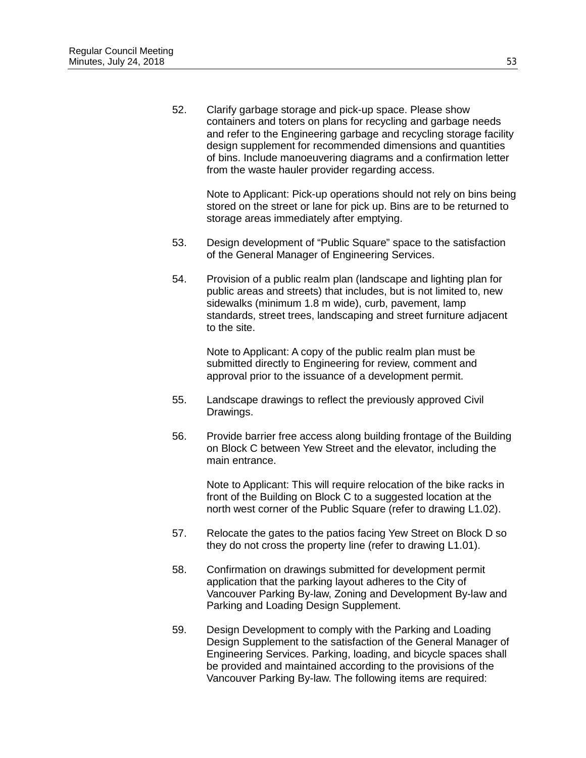52. Clarify garbage storage and pick-up space. Please show containers and toters on plans for recycling and garbage needs and refer to the Engineering garbage and recycling storage facility design supplement for recommended dimensions and quantities of bins. Include manoeuvering diagrams and a confirmation letter from the waste hauler provider regarding access.

> Note to Applicant: Pick-up operations should not rely on bins being stored on the street or lane for pick up. Bins are to be returned to storage areas immediately after emptying.

- 53. Design development of "Public Square" space to the satisfaction of the General Manager of Engineering Services.
- 54. Provision of a public realm plan (landscape and lighting plan for public areas and streets) that includes, but is not limited to, new sidewalks (minimum 1.8 m wide), curb, pavement, lamp standards, street trees, landscaping and street furniture adjacent to the site.

Note to Applicant: A copy of the public realm plan must be submitted directly to Engineering for review, comment and approval prior to the issuance of a development permit.

- 55. Landscape drawings to reflect the previously approved Civil Drawings.
- 56. Provide barrier free access along building frontage of the Building on Block C between Yew Street and the elevator, including the main entrance.

Note to Applicant: This will require relocation of the bike racks in front of the Building on Block C to a suggested location at the north west corner of the Public Square (refer to drawing L1.02).

- 57. Relocate the gates to the patios facing Yew Street on Block D so they do not cross the property line (refer to drawing L1.01).
- 58. Confirmation on drawings submitted for development permit application that the parking layout adheres to the City of Vancouver Parking By-law, Zoning and Development By-law and Parking and Loading Design Supplement.
- 59. Design Development to comply with the Parking and Loading Design Supplement to the satisfaction of the General Manager of Engineering Services. Parking, loading, and bicycle spaces shall be provided and maintained according to the provisions of the Vancouver Parking By-law. The following items are required: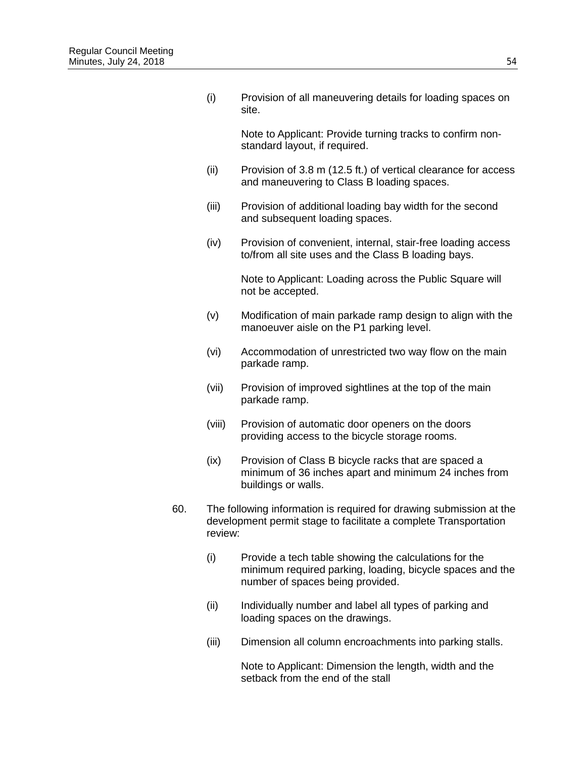(i) Provision of all maneuvering details for loading spaces on site.

> Note to Applicant: Provide turning tracks to confirm nonstandard layout, if required.

- (ii) Provision of 3.8 m (12.5 ft.) of vertical clearance for access and maneuvering to Class B loading spaces.
- (iii) Provision of additional loading bay width for the second and subsequent loading spaces.
- (iv) Provision of convenient, internal, stair-free loading access to/from all site uses and the Class B loading bays.

Note to Applicant: Loading across the Public Square will not be accepted.

- (v) Modification of main parkade ramp design to align with the manoeuver aisle on the P1 parking level.
- (vi) Accommodation of unrestricted two way flow on the main parkade ramp.
- (vii) Provision of improved sightlines at the top of the main parkade ramp.
- (viii) Provision of automatic door openers on the doors providing access to the bicycle storage rooms.
- (ix) Provision of Class B bicycle racks that are spaced a minimum of 36 inches apart and minimum 24 inches from buildings or walls.
- 60. The following information is required for drawing submission at the development permit stage to facilitate a complete Transportation review:
	- (i) Provide a tech table showing the calculations for the minimum required parking, loading, bicycle spaces and the number of spaces being provided.
	- (ii) Individually number and label all types of parking and loading spaces on the drawings.
	- (iii) Dimension all column encroachments into parking stalls.

Note to Applicant: Dimension the length, width and the setback from the end of the stall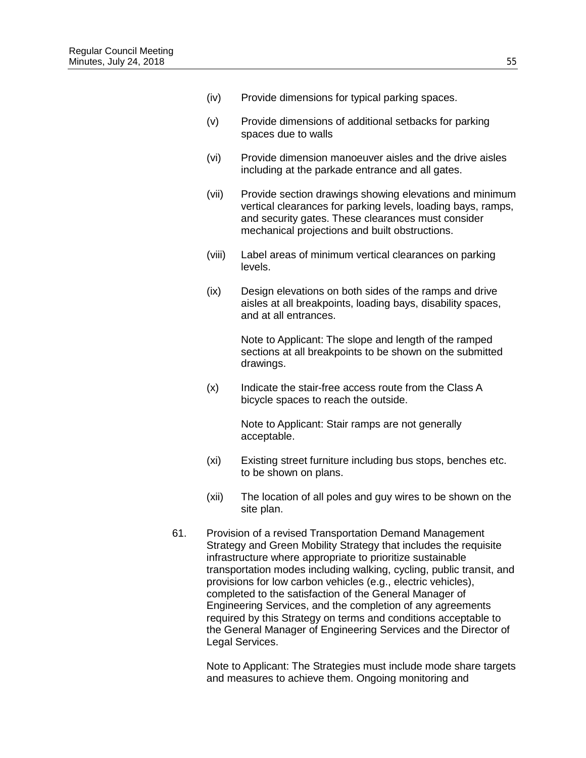- (v) Provide dimensions of additional setbacks for parking spaces due to walls
- (vi) Provide dimension manoeuver aisles and the drive aisles including at the parkade entrance and all gates.
- (vii) Provide section drawings showing elevations and minimum vertical clearances for parking levels, loading bays, ramps, and security gates. These clearances must consider mechanical projections and built obstructions.
- (viii) Label areas of minimum vertical clearances on parking levels.
- (ix) Design elevations on both sides of the ramps and drive aisles at all breakpoints, loading bays, disability spaces, and at all entrances.

Note to Applicant: The slope and length of the ramped sections at all breakpoints to be shown on the submitted drawings.

(x) Indicate the stair-free access route from the Class A bicycle spaces to reach the outside.

> Note to Applicant: Stair ramps are not generally acceptable.

- (xi) Existing street furniture including bus stops, benches etc. to be shown on plans.
- (xii) The location of all poles and guy wires to be shown on the site plan.
- 61. Provision of a revised Transportation Demand Management Strategy and Green Mobility Strategy that includes the requisite infrastructure where appropriate to prioritize sustainable transportation modes including walking, cycling, public transit, and provisions for low carbon vehicles (e.g., electric vehicles), completed to the satisfaction of the General Manager of Engineering Services, and the completion of any agreements required by this Strategy on terms and conditions acceptable to the General Manager of Engineering Services and the Director of Legal Services.

Note to Applicant: The Strategies must include mode share targets and measures to achieve them. Ongoing monitoring and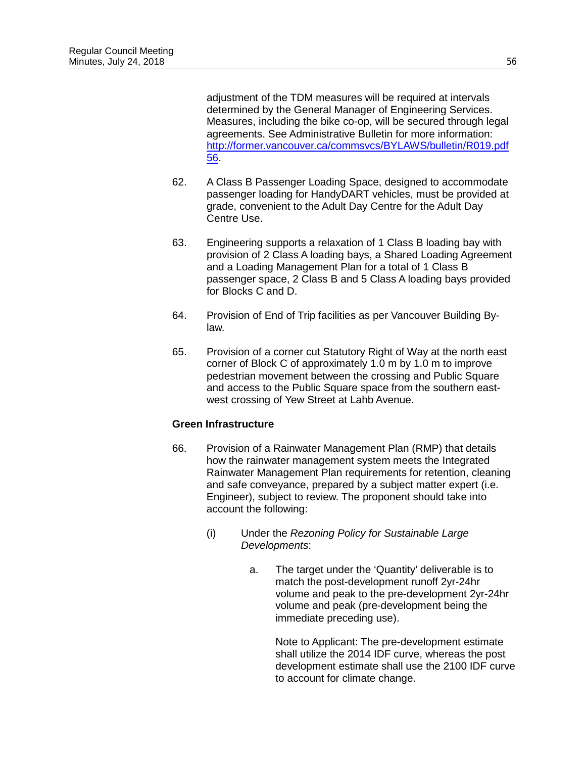adjustment of the TDM measures will be required at intervals determined by the General Manager of Engineering Services. Measures, including the bike co-op, will be secured through legal agreements. See Administrative Bulletin for more information: [http://former.vancouver.ca/commsvcs/BYLAWS/bulletin/R019.pdf](http://former.vancouver.ca/commsvcs/BYLAWS/bulletin/R019.pdf%2056)  [56.](http://former.vancouver.ca/commsvcs/BYLAWS/bulletin/R019.pdf%2056)

- 62. A Class B Passenger Loading Space, designed to accommodate passenger loading for HandyDART vehicles, must be provided at grade, convenient to the Adult Day Centre for the Adult Day Centre Use.
- 63. Engineering supports a relaxation of 1 Class B loading bay with provision of 2 Class A loading bays, a Shared Loading Agreement and a Loading Management Plan for a total of 1 Class B passenger space, 2 Class B and 5 Class A loading bays provided for Blocks C and D.
- 64. Provision of End of Trip facilities as per Vancouver Building Bylaw.
- 65. Provision of a corner cut Statutory Right of Way at the north east corner of Block C of approximately 1.0 m by 1.0 m to improve pedestrian movement between the crossing and Public Square and access to the Public Square space from the southern eastwest crossing of Yew Street at Lahb Avenue.

## **Green Infrastructure**

- 66. Provision of a Rainwater Management Plan (RMP) that details how the rainwater management system meets the Integrated Rainwater Management Plan requirements for retention, cleaning and safe conveyance, prepared by a subject matter expert (i.e. Engineer), subject to review. The proponent should take into account the following:
	- (i) Under the *Rezoning Policy for Sustainable Large Developments*:
		- a. The target under the 'Quantity' deliverable is to match the post-development runoff 2yr-24hr volume and peak to the pre-development 2yr-24hr volume and peak (pre-development being the immediate preceding use).

Note to Applicant: The pre-development estimate shall utilize the 2014 IDF curve, whereas the post development estimate shall use the 2100 IDF curve to account for climate change.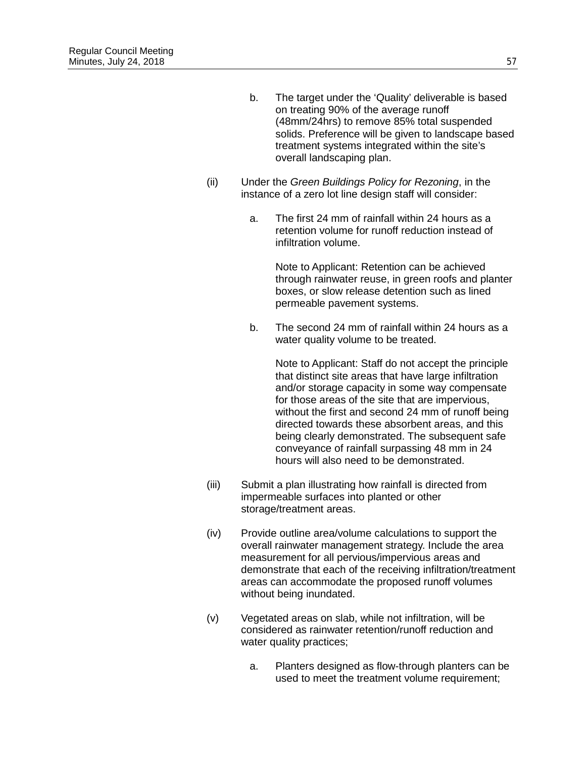- b. The target under the 'Quality' deliverable is based on treating 90% of the average runoff (48mm/24hrs) to remove 85% total suspended solids. Preference will be given to landscape based treatment systems integrated within the site's overall landscaping plan.
- (ii) Under the *Green Buildings Policy for Rezoning*, in the instance of a zero lot line design staff will consider:
	- a. The first 24 mm of rainfall within 24 hours as a retention volume for runoff reduction instead of infiltration volume.

Note to Applicant: Retention can be achieved through rainwater reuse, in green roofs and planter boxes, or slow release detention such as lined permeable pavement systems.

b. The second 24 mm of rainfall within 24 hours as a water quality volume to be treated.

> Note to Applicant: Staff do not accept the principle that distinct site areas that have large infiltration and/or storage capacity in some way compensate for those areas of the site that are impervious, without the first and second 24 mm of runoff being directed towards these absorbent areas, and this being clearly demonstrated. The subsequent safe conveyance of rainfall surpassing 48 mm in 24 hours will also need to be demonstrated.

- (iii) Submit a plan illustrating how rainfall is directed from impermeable surfaces into planted or other storage/treatment areas.
- (iv) Provide outline area/volume calculations to support the overall rainwater management strategy. Include the area measurement for all pervious/impervious areas and demonstrate that each of the receiving infiltration/treatment areas can accommodate the proposed runoff volumes without being inundated.
- (v) Vegetated areas on slab, while not infiltration, will be considered as rainwater retention/runoff reduction and water quality practices;
	- a. Planters designed as flow-through planters can be used to meet the treatment volume requirement;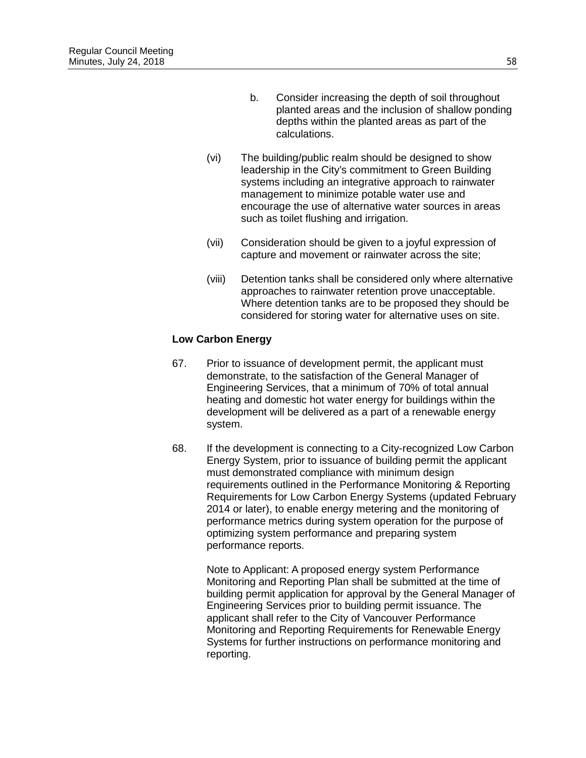- b. Consider increasing the depth of soil throughout planted areas and the inclusion of shallow ponding depths within the planted areas as part of the calculations.
- (vi) The building/public realm should be designed to show leadership in the City's commitment to Green Building systems including an integrative approach to rainwater management to minimize potable water use and encourage the use of alternative water sources in areas such as toilet flushing and irrigation.
- (vii) Consideration should be given to a joyful expression of capture and movement or rainwater across the site;
- (viii) Detention tanks shall be considered only where alternative approaches to rainwater retention prove unacceptable. Where detention tanks are to be proposed they should be considered for storing water for alternative uses on site.

## **Low Carbon Energy**

- 67. Prior to issuance of development permit, the applicant must demonstrate, to the satisfaction of the General Manager of Engineering Services, that a minimum of 70% of total annual heating and domestic hot water energy for buildings within the development will be delivered as a part of a renewable energy system.
- 68. If the development is connecting to a City-recognized Low Carbon Energy System, prior to issuance of building permit the applicant must demonstrated compliance with minimum design requirements outlined in the Performance Monitoring & Reporting Requirements for Low Carbon Energy Systems (updated February 2014 or later), to enable energy metering and the monitoring of performance metrics during system operation for the purpose of optimizing system performance and preparing system performance reports.

Note to Applicant: A proposed energy system Performance Monitoring and Reporting Plan shall be submitted at the time of building permit application for approval by the General Manager of Engineering Services prior to building permit issuance. The applicant shall refer to the City of Vancouver Performance Monitoring and Reporting Requirements for Renewable Energy Systems for further instructions on performance monitoring and reporting.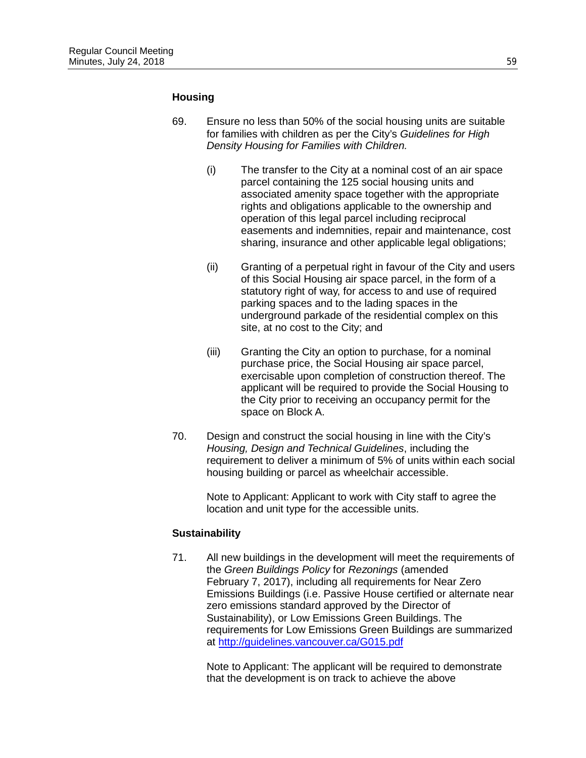#### **Housing**

- 69. Ensure no less than 50% of the social housing units are suitable for families with children as per the City's *Guidelines for High Density Housing for Families with Children.*
	- (i) The transfer to the City at a nominal cost of an air space parcel containing the 125 social housing units and associated amenity space together with the appropriate rights and obligations applicable to the ownership and operation of this legal parcel including reciprocal easements and indemnities, repair and maintenance, cost sharing, insurance and other applicable legal obligations;
	- (ii) Granting of a perpetual right in favour of the City and users of this Social Housing air space parcel, in the form of a statutory right of way, for access to and use of required parking spaces and to the lading spaces in the underground parkade of the residential complex on this site, at no cost to the City; and
	- (iii) Granting the City an option to purchase, for a nominal purchase price, the Social Housing air space parcel, exercisable upon completion of construction thereof. The applicant will be required to provide the Social Housing to the City prior to receiving an occupancy permit for the space on Block A.
- 70. Design and construct the social housing in line with the City's *Housing, Design and Technical Guidelines*, including the requirement to deliver a minimum of 5% of units within each social housing building or parcel as wheelchair accessible.

Note to Applicant: Applicant to work with City staff to agree the location and unit type for the accessible units.

#### **Sustainability**

71. All new buildings in the development will meet the requirements of the *Green Buildings Policy* for *Rezonings* (amended February 7, 2017), including all requirements for Near Zero Emissions Buildings (i.e. Passive House certified or alternate near zero emissions standard approved by the Director of Sustainability), or Low Emissions Green Buildings. The requirements for Low Emissions Green Buildings are summarized at<http://guidelines.vancouver.ca/G015.pdf>

> Note to Applicant: The applicant will be required to demonstrate that the development is on track to achieve the above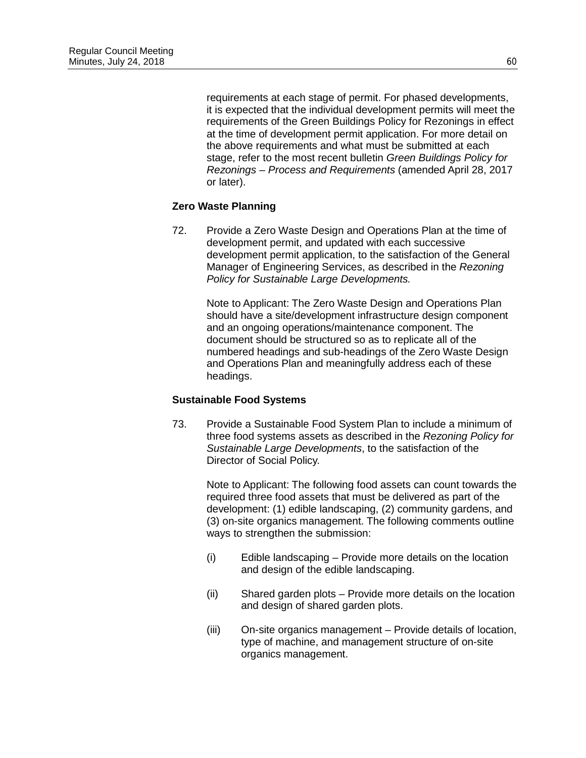requirements at each stage of permit. For phased developments, it is expected that the individual development permits will meet the requirements of the Green Buildings Policy for Rezonings in effect at the time of development permit application. For more detail on the above requirements and what must be submitted at each stage, refer to the most recent bulletin *Green Buildings Policy for Rezonings – Process and Requirements* (amended April 28, 2017 or later).

## **Zero Waste Planning**

72. Provide a Zero Waste Design and Operations Plan at the time of development permit, and updated with each successive development permit application, to the satisfaction of the General Manager of Engineering Services, as described in the *Rezoning Policy for Sustainable Large Developments.*

> Note to Applicant: The Zero Waste Design and Operations Plan should have a site/development infrastructure design component and an ongoing operations/maintenance component. The document should be structured so as to replicate all of the numbered headings and sub-headings of the Zero Waste Design and Operations Plan and meaningfully address each of these headings.

## **Sustainable Food Systems**

73. Provide a Sustainable Food System Plan to include a minimum of three food systems assets as described in the *Rezoning Policy for Sustainable Large Developments*, to the satisfaction of the Director of Social Policy.

Note to Applicant: The following food assets can count towards the required three food assets that must be delivered as part of the development: (1) edible landscaping, (2) community gardens, and (3) on-site organics management. The following comments outline ways to strengthen the submission:

- (i) Edible landscaping Provide more details on the location and design of the edible landscaping.
- (ii) Shared garden plots Provide more details on the location and design of shared garden plots.
- (iii) On-site organics management Provide details of location, type of machine, and management structure of on-site organics management.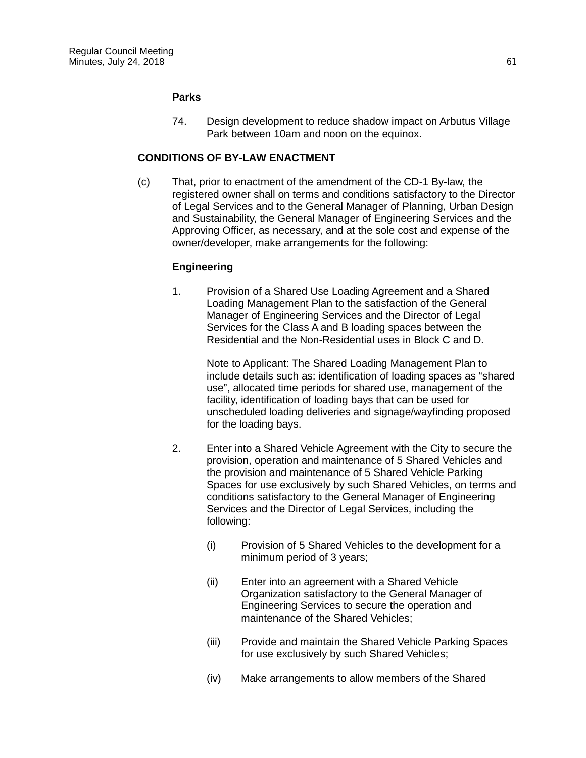#### **Parks**

74. Design development to reduce shadow impact on Arbutus Village Park between 10am and noon on the equinox.

# **CONDITIONS OF BY-LAW ENACTMENT**

(c) That, prior to enactment of the amendment of the CD-1 By-law, the registered owner shall on terms and conditions satisfactory to the Director of Legal Services and to the General Manager of Planning, Urban Design and Sustainability, the General Manager of Engineering Services and the Approving Officer, as necessary, and at the sole cost and expense of the owner/developer, make arrangements for the following:

### **Engineering**

1. Provision of a Shared Use Loading Agreement and a Shared Loading Management Plan to the satisfaction of the General Manager of Engineering Services and the Director of Legal Services for the Class A and B loading spaces between the Residential and the Non-Residential uses in Block C and D.

> Note to Applicant: The Shared Loading Management Plan to include details such as: identification of loading spaces as "shared use", allocated time periods for shared use, management of the facility, identification of loading bays that can be used for unscheduled loading deliveries and signage/wayfinding proposed for the loading bays.

- 2. Enter into a Shared Vehicle Agreement with the City to secure the provision, operation and maintenance of 5 Shared Vehicles and the provision and maintenance of 5 Shared Vehicle Parking Spaces for use exclusively by such Shared Vehicles, on terms and conditions satisfactory to the General Manager of Engineering Services and the Director of Legal Services, including the following:
	- (i) Provision of 5 Shared Vehicles to the development for a minimum period of 3 years;
	- (ii) Enter into an agreement with a Shared Vehicle Organization satisfactory to the General Manager of Engineering Services to secure the operation and maintenance of the Shared Vehicles;
	- (iii) Provide and maintain the Shared Vehicle Parking Spaces for use exclusively by such Shared Vehicles;
	- (iv) Make arrangements to allow members of the Shared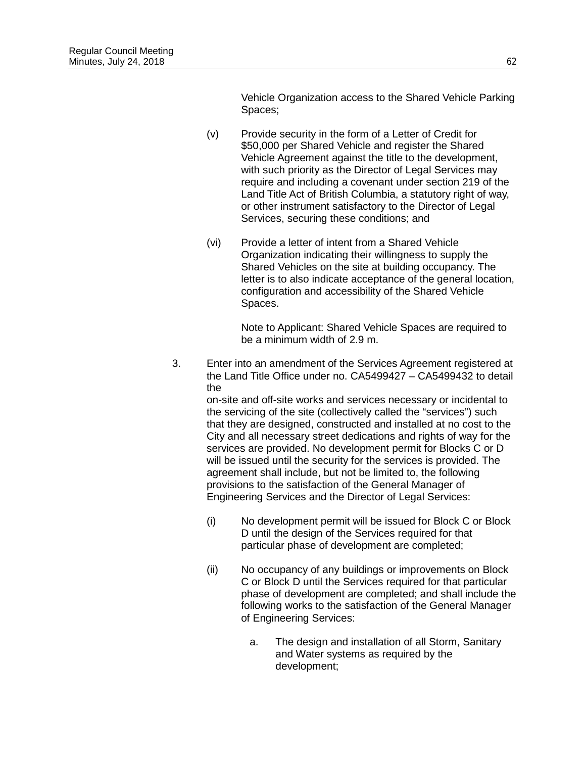Vehicle Organization access to the Shared Vehicle Parking Spaces;

- (v) Provide security in the form of a Letter of Credit for \$50,000 per Shared Vehicle and register the Shared Vehicle Agreement against the title to the development, with such priority as the Director of Legal Services may require and including a covenant under section 219 of the Land Title Act of British Columbia, a statutory right of way, or other instrument satisfactory to the Director of Legal Services, securing these conditions; and
- (vi) Provide a letter of intent from a Shared Vehicle Organization indicating their willingness to supply the Shared Vehicles on the site at building occupancy. The letter is to also indicate acceptance of the general location, configuration and accessibility of the Shared Vehicle Spaces.

Note to Applicant: Shared Vehicle Spaces are required to be a minimum width of 2.9 m.

3. Enter into an amendment of the Services Agreement registered at the Land Title Office under no. CA5499427 – CA5499432 to detail the

on-site and off-site works and services necessary or incidental to the servicing of the site (collectively called the "services") such that they are designed, constructed and installed at no cost to the City and all necessary street dedications and rights of way for the services are provided. No development permit for Blocks C or D will be issued until the security for the services is provided. The agreement shall include, but not be limited to, the following provisions to the satisfaction of the General Manager of Engineering Services and the Director of Legal Services:

- (i) No development permit will be issued for Block C or Block D until the design of the Services required for that particular phase of development are completed;
- (ii) No occupancy of any buildings or improvements on Block C or Block D until the Services required for that particular phase of development are completed; and shall include the following works to the satisfaction of the General Manager of Engineering Services:
	- a. The design and installation of all Storm, Sanitary and Water systems as required by the development;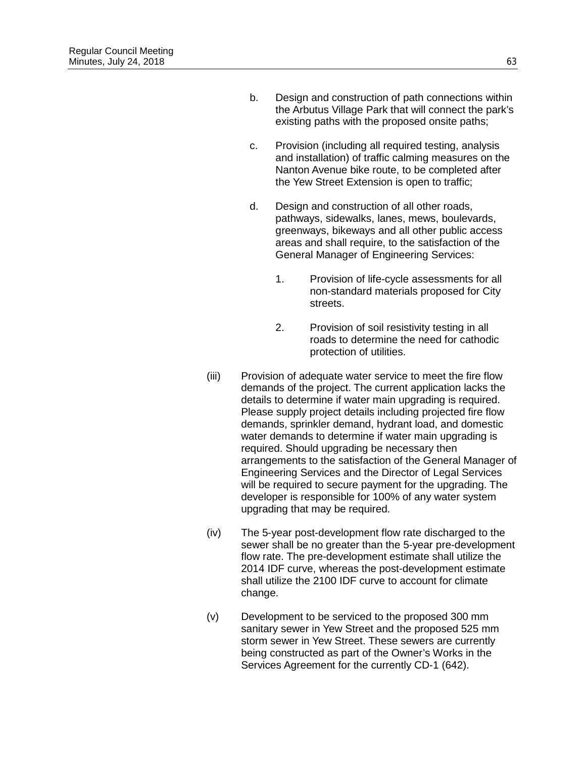- b. Design and construction of path connections within the Arbutus Village Park that will connect the park's existing paths with the proposed onsite paths;
- c. Provision (including all required testing, analysis and installation) of traffic calming measures on the Nanton Avenue bike route, to be completed after the Yew Street Extension is open to traffic;
- d. Design and construction of all other roads, pathways, sidewalks, lanes, mews, boulevards, greenways, bikeways and all other public access areas and shall require, to the satisfaction of the General Manager of Engineering Services:
	- 1. Provision of life-cycle assessments for all non-standard materials proposed for City streets.
	- 2. Provision of soil resistivity testing in all roads to determine the need for cathodic protection of utilities.
- (iii) Provision of adequate water service to meet the fire flow demands of the project. The current application lacks the details to determine if water main upgrading is required. Please supply project details including projected fire flow demands, sprinkler demand, hydrant load, and domestic water demands to determine if water main upgrading is required. Should upgrading be necessary then arrangements to the satisfaction of the General Manager of Engineering Services and the Director of Legal Services will be required to secure payment for the upgrading. The developer is responsible for 100% of any water system upgrading that may be required.
- (iv) The 5-year post-development flow rate discharged to the sewer shall be no greater than the 5-year pre-development flow rate. The pre-development estimate shall utilize the 2014 IDF curve, whereas the post-development estimate shall utilize the 2100 IDF curve to account for climate change.
- (v) Development to be serviced to the proposed 300 mm sanitary sewer in Yew Street and the proposed 525 mm storm sewer in Yew Street. These sewers are currently being constructed as part of the Owner's Works in the Services Agreement for the currently CD-1 (642).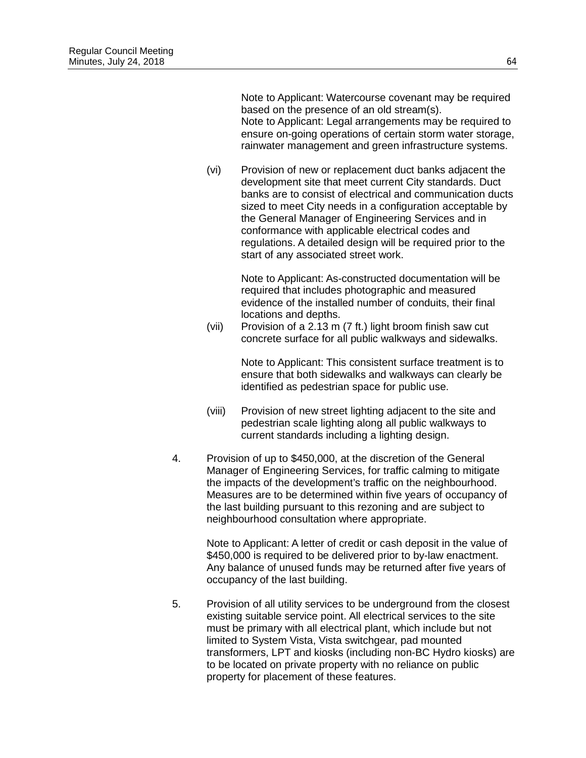Note to Applicant: Watercourse covenant may be required based on the presence of an old stream(s). Note to Applicant: Legal arrangements may be required to ensure on-going operations of certain storm water storage, rainwater management and green infrastructure systems.

(vi) Provision of new or replacement duct banks adjacent the development site that meet current City standards. Duct banks are to consist of electrical and communication ducts sized to meet City needs in a configuration acceptable by the General Manager of Engineering Services and in conformance with applicable electrical codes and regulations. A detailed design will be required prior to the start of any associated street work.

> Note to Applicant: As-constructed documentation will be required that includes photographic and measured evidence of the installed number of conduits, their final locations and depths.

(vii) Provision of a 2.13 m (7 ft.) light broom finish saw cut concrete surface for all public walkways and sidewalks.

> Note to Applicant: This consistent surface treatment is to ensure that both sidewalks and walkways can clearly be identified as pedestrian space for public use.

- (viii) Provision of new street lighting adjacent to the site and pedestrian scale lighting along all public walkways to current standards including a lighting design.
- 4. Provision of up to \$450,000, at the discretion of the General Manager of Engineering Services, for traffic calming to mitigate the impacts of the development's traffic on the neighbourhood. Measures are to be determined within five years of occupancy of the last building pursuant to this rezoning and are subject to neighbourhood consultation where appropriate.

Note to Applicant: A letter of credit or cash deposit in the value of \$450,000 is required to be delivered prior to by-law enactment. Any balance of unused funds may be returned after five years of occupancy of the last building.

5. Provision of all utility services to be underground from the closest existing suitable service point. All electrical services to the site must be primary with all electrical plant, which include but not limited to System Vista, Vista switchgear, pad mounted transformers, LPT and kiosks (including non-BC Hydro kiosks) are to be located on private property with no reliance on public property for placement of these features.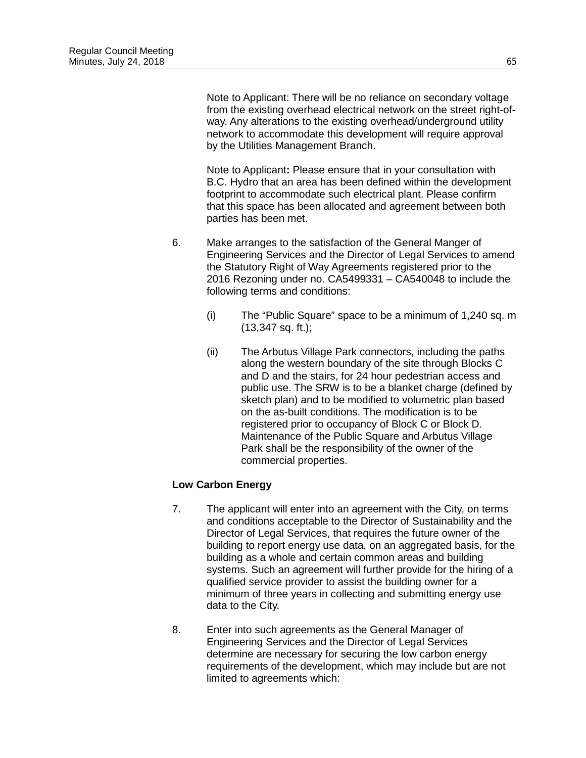Note to Applicant: There will be no reliance on secondary voltage from the existing overhead electrical network on the street right-ofway. Any alterations to the existing overhead/underground utility network to accommodate this development will require approval by the Utilities Management Branch.

Note to Applicant**:** Please ensure that in your consultation with B.C. Hydro that an area has been defined within the development footprint to accommodate such electrical plant. Please confirm that this space has been allocated and agreement between both parties has been met.

- 6. Make arranges to the satisfaction of the General Manger of Engineering Services and the Director of Legal Services to amend the Statutory Right of Way Agreements registered prior to the 2016 Rezoning under no. CA5499331 – CA540048 to include the following terms and conditions:
	- (i) The "Public Square" space to be a minimum of 1,240 sq. m (13,347 sq. ft.);
	- (ii) The Arbutus Village Park connectors, including the paths along the western boundary of the site through Blocks C and D and the stairs, for 24 hour pedestrian access and public use. The SRW is to be a blanket charge (defined by sketch plan) and to be modified to volumetric plan based on the as-built conditions. The modification is to be registered prior to occupancy of Block C or Block D. Maintenance of the Public Square and Arbutus Village Park shall be the responsibility of the owner of the commercial properties.

## **Low Carbon Energy**

- 7. The applicant will enter into an agreement with the City, on terms and conditions acceptable to the Director of Sustainability and the Director of Legal Services, that requires the future owner of the building to report energy use data, on an aggregated basis, for the building as a whole and certain common areas and building systems. Such an agreement will further provide for the hiring of a qualified service provider to assist the building owner for a minimum of three years in collecting and submitting energy use data to the City.
- 8. Enter into such agreements as the General Manager of Engineering Services and the Director of Legal Services determine are necessary for securing the low carbon energy requirements of the development, which may include but are not limited to agreements which: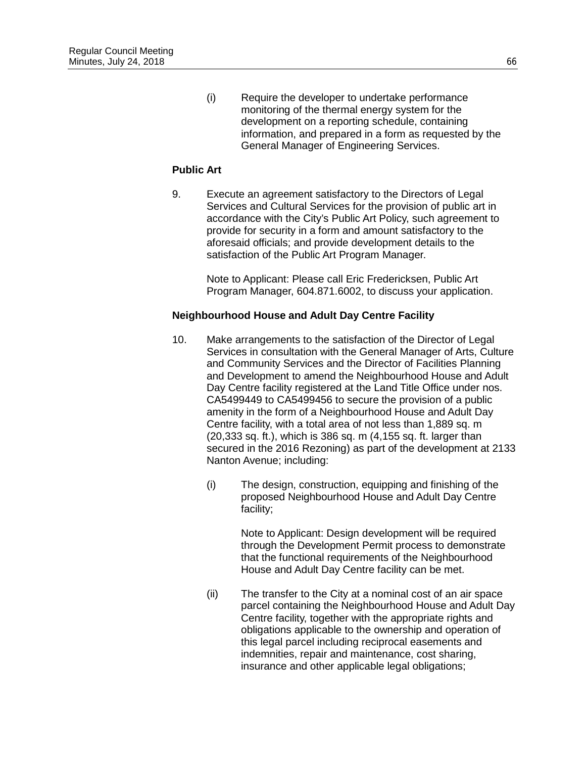(i) Require the developer to undertake performance monitoring of the thermal energy system for the development on a reporting schedule, containing information, and prepared in a form as requested by the General Manager of Engineering Services.

## **Public Art**

9. Execute an agreement satisfactory to the Directors of Legal Services and Cultural Services for the provision of public art in accordance with the City's Public Art Policy, such agreement to provide for security in a form and amount satisfactory to the aforesaid officials; and provide development details to the satisfaction of the Public Art Program Manager.

> Note to Applicant: Please call Eric Fredericksen, Public Art Program Manager, 604.871.6002, to discuss your application.

# **Neighbourhood House and Adult Day Centre Facility**

- 10. Make arrangements to the satisfaction of the Director of Legal Services in consultation with the General Manager of Arts, Culture and Community Services and the Director of Facilities Planning and Development to amend the Neighbourhood House and Adult Day Centre facility registered at the Land Title Office under nos. CA5499449 to CA5499456 to secure the provision of a public amenity in the form of a Neighbourhood House and Adult Day Centre facility, with a total area of not less than 1,889 sq. m (20,333 sq. ft.), which is 386 sq. m (4,155 sq. ft. larger than secured in the 2016 Rezoning) as part of the development at 2133 Nanton Avenue; including:
	- (i) The design, construction, equipping and finishing of the proposed Neighbourhood House and Adult Day Centre facility;

Note to Applicant: Design development will be required through the Development Permit process to demonstrate that the functional requirements of the Neighbourhood House and Adult Day Centre facility can be met.

(ii) The transfer to the City at a nominal cost of an air space parcel containing the Neighbourhood House and Adult Day Centre facility, together with the appropriate rights and obligations applicable to the ownership and operation of this legal parcel including reciprocal easements and indemnities, repair and maintenance, cost sharing, insurance and other applicable legal obligations;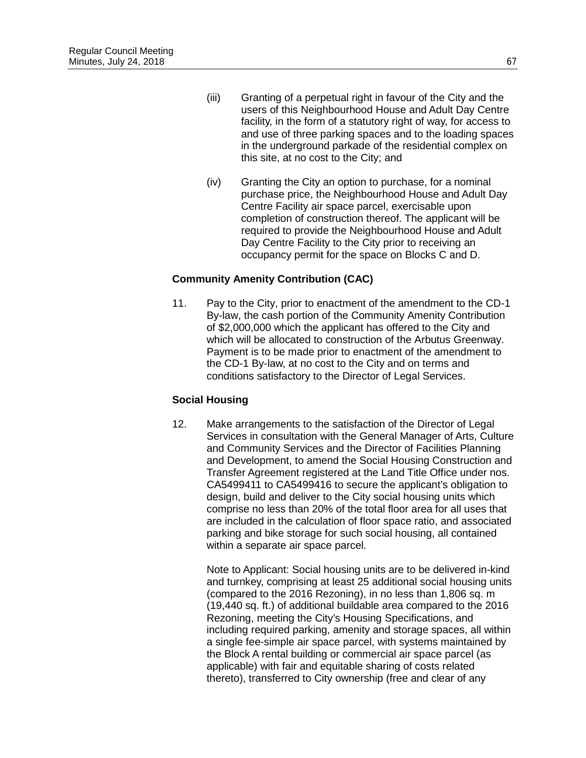- (iii) Granting of a perpetual right in favour of the City and the users of this Neighbourhood House and Adult Day Centre facility, in the form of a statutory right of way, for access to and use of three parking spaces and to the loading spaces in the underground parkade of the residential complex on this site, at no cost to the City; and
- (iv) Granting the City an option to purchase, for a nominal purchase price, the Neighbourhood House and Adult Day Centre Facility air space parcel, exercisable upon completion of construction thereof. The applicant will be required to provide the Neighbourhood House and Adult Day Centre Facility to the City prior to receiving an occupancy permit for the space on Blocks C and D.

# **Community Amenity Contribution (CAC)**

11. Pay to the City, prior to enactment of the amendment to the CD-1 By-law, the cash portion of the Community Amenity Contribution of \$2,000,000 which the applicant has offered to the City and which will be allocated to construction of the Arbutus Greenway. Payment is to be made prior to enactment of the amendment to the CD-1 By-law, at no cost to the City and on terms and conditions satisfactory to the Director of Legal Services.

## **Social Housing**

12. Make arrangements to the satisfaction of the Director of Legal Services in consultation with the General Manager of Arts, Culture and Community Services and the Director of Facilities Planning and Development, to amend the Social Housing Construction and Transfer Agreement registered at the Land Title Office under nos. CA5499411 to CA5499416 to secure the applicant's obligation to design, build and deliver to the City social housing units which comprise no less than 20% of the total floor area for all uses that are included in the calculation of floor space ratio, and associated parking and bike storage for such social housing, all contained within a separate air space parcel.

Note to Applicant: Social housing units are to be delivered in-kind and turnkey, comprising at least 25 additional social housing units (compared to the 2016 Rezoning), in no less than 1,806 sq. m (19,440 sq. ft.) of additional buildable area compared to the 2016 Rezoning, meeting the City's Housing Specifications, and including required parking, amenity and storage spaces, all within a single fee-simple air space parcel, with systems maintained by the Block A rental building or commercial air space parcel (as applicable) with fair and equitable sharing of costs related thereto), transferred to City ownership (free and clear of any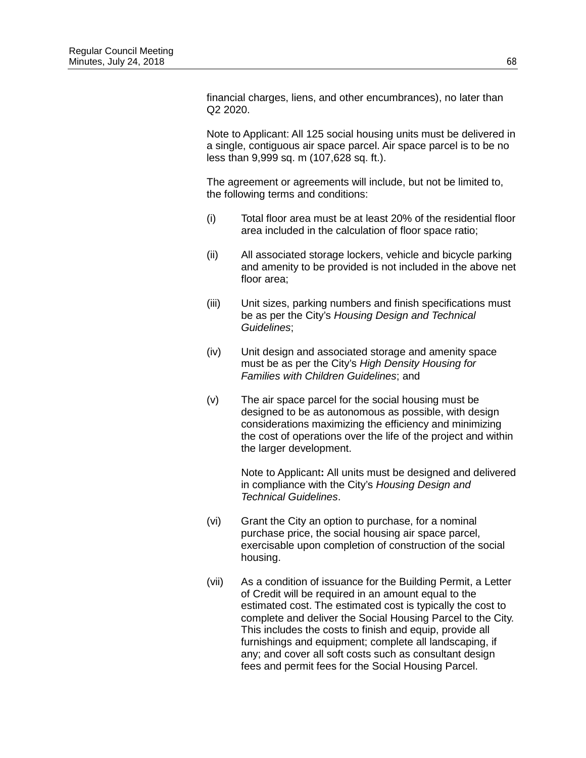financial charges, liens, and other encumbrances), no later than Q2 2020.

Note to Applicant: All 125 social housing units must be delivered in a single, contiguous air space parcel. Air space parcel is to be no less than 9,999 sq. m (107,628 sq. ft.).

The agreement or agreements will include, but not be limited to, the following terms and conditions:

- (i) Total floor area must be at least 20% of the residential floor area included in the calculation of floor space ratio;
- (ii) All associated storage lockers, vehicle and bicycle parking and amenity to be provided is not included in the above net floor area;
- (iii) Unit sizes, parking numbers and finish specifications must be as per the City's *Housing Design and Technical Guidelines*;
- (iv) Unit design and associated storage and amenity space must be as per the City's *High Density Housing for Families with Children Guidelines*; and
- (v) The air space parcel for the social housing must be designed to be as autonomous as possible, with design considerations maximizing the efficiency and minimizing the cost of operations over the life of the project and within the larger development.

Note to Applicant**:** All units must be designed and delivered in compliance with the City's *Housing Design and Technical Guidelines*.

- (vi) Grant the City an option to purchase, for a nominal purchase price, the social housing air space parcel, exercisable upon completion of construction of the social housing.
- (vii) As a condition of issuance for the Building Permit, a Letter of Credit will be required in an amount equal to the estimated cost. The estimated cost is typically the cost to complete and deliver the Social Housing Parcel to the City. This includes the costs to finish and equip, provide all furnishings and equipment; complete all landscaping, if any; and cover all soft costs such as consultant design fees and permit fees for the Social Housing Parcel.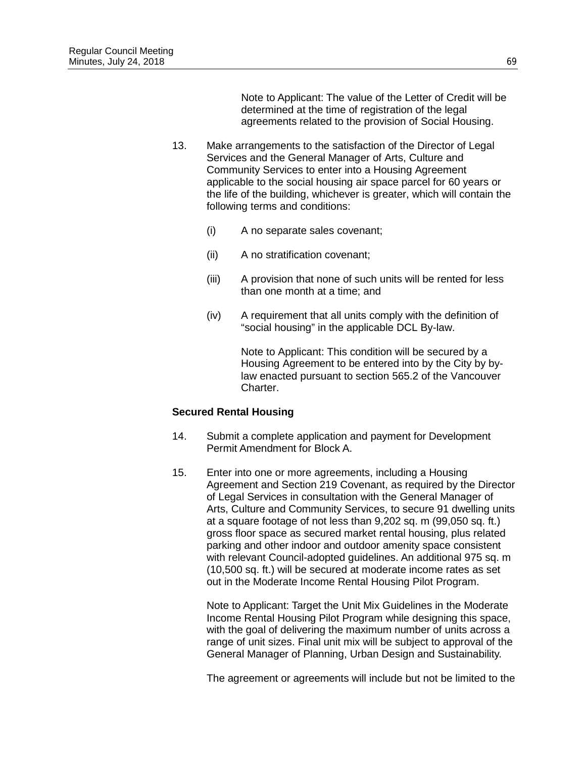Note to Applicant: The value of the Letter of Credit will be determined at the time of registration of the legal agreements related to the provision of Social Housing.

- 13. Make arrangements to the satisfaction of the Director of Legal Services and the General Manager of Arts, Culture and Community Services to enter into a Housing Agreement applicable to the social housing air space parcel for 60 years or the life of the building, whichever is greater, which will contain the following terms and conditions:
	- (i) A no separate sales covenant;
	- (ii) A no stratification covenant;
	- (iii) A provision that none of such units will be rented for less than one month at a time; and
	- (iv) A requirement that all units comply with the definition of "social housing" in the applicable DCL By-law.

Note to Applicant: This condition will be secured by a Housing Agreement to be entered into by the City by bylaw enacted pursuant to section 565.2 of the Vancouver Charter.

#### **Secured Rental Housing**

- 14. Submit a complete application and payment for Development Permit Amendment for Block A.
- 15. Enter into one or more agreements, including a Housing Agreement and Section 219 Covenant, as required by the Director of Legal Services in consultation with the General Manager of Arts, Culture and Community Services, to secure 91 dwelling units at a square footage of not less than 9,202 sq. m (99,050 sq. ft.) gross floor space as secured market rental housing, plus related parking and other indoor and outdoor amenity space consistent with relevant Council-adopted guidelines. An additional 975 sq. m (10,500 sq. ft.) will be secured at moderate income rates as set out in the Moderate Income Rental Housing Pilot Program.

Note to Applicant: Target the Unit Mix Guidelines in the Moderate Income Rental Housing Pilot Program while designing this space, with the goal of delivering the maximum number of units across a range of unit sizes. Final unit mix will be subject to approval of the General Manager of Planning, Urban Design and Sustainability.

The agreement or agreements will include but not be limited to the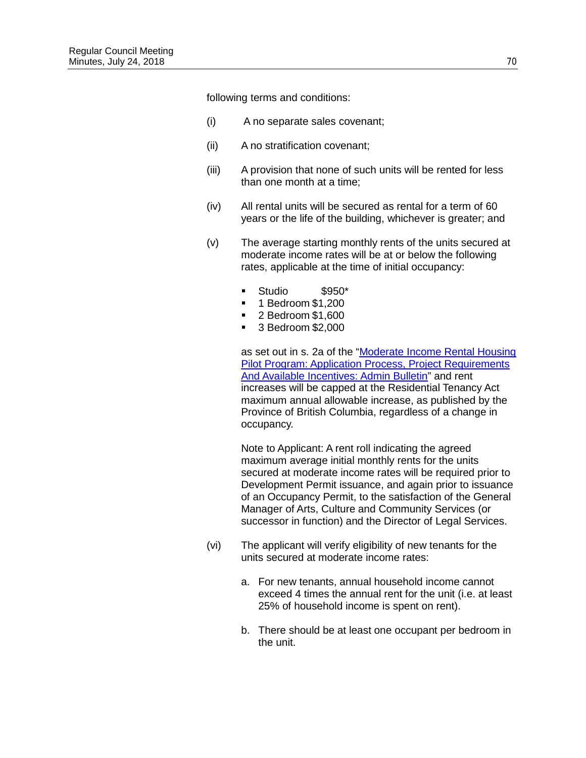following terms and conditions:

- (i) A no separate sales covenant;
- (ii) A no stratification covenant;
- (iii) A provision that none of such units will be rented for less than one month at a time;
- (iv) All rental units will be secured as rental for a term of 60 years or the life of the building, whichever is greater; and
- (v) The average starting monthly rents of the units secured at moderate income rates will be at or below the following rates, applicable at the time of initial occupancy:
	- Studio \$950\*
	- $\blacksquare$  1 Bedroom \$1,200
	- 2 Bedroom \$1,600
	- 3 Bedroom \$2,000

as set out in s. 2a of the "Moderate Income Rental Housing [Pilot Program: Application Process, Project Requirements](http://vancouver.ca/files/cov/moderate-income-rental-housing-pilot-program-bulletin.pdf)  [And Available Incentives: Admin Bulletin"](http://vancouver.ca/files/cov/moderate-income-rental-housing-pilot-program-bulletin.pdf) and rent increases will be capped at the Residential Tenancy Act maximum annual allowable increase, as published by the Province of British Columbia, regardless of a change in occupancy.

Note to Applicant: A rent roll indicating the agreed maximum average initial monthly rents for the units secured at moderate income rates will be required prior to Development Permit issuance, and again prior to issuance of an Occupancy Permit, to the satisfaction of the General Manager of Arts, Culture and Community Services (or successor in function) and the Director of Legal Services.

- (vi) The applicant will verify eligibility of new tenants for the units secured at moderate income rates:
	- a. For new tenants, annual household income cannot exceed 4 times the annual rent for the unit (i.e. at least 25% of household income is spent on rent).
	- b. There should be at least one occupant per bedroom in the unit.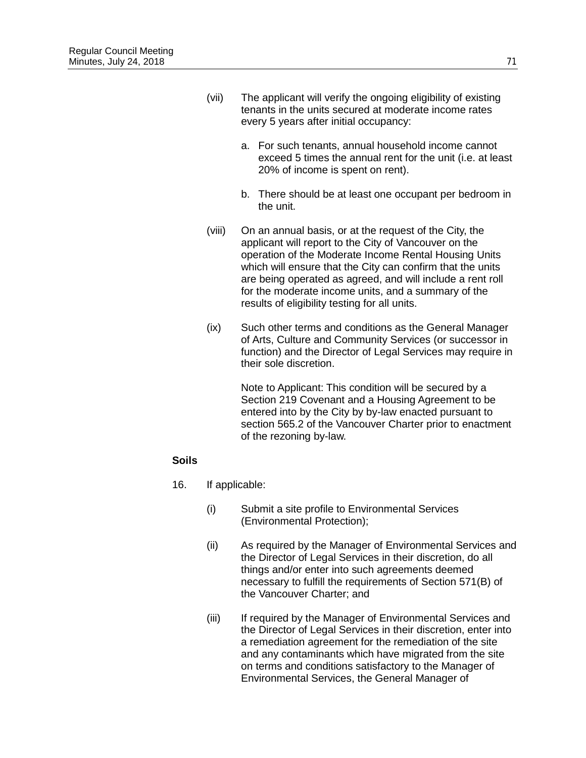- (vii) The applicant will verify the ongoing eligibility of existing tenants in the units secured at moderate income rates every 5 years after initial occupancy:
	- a. For such tenants, annual household income cannot exceed 5 times the annual rent for the unit (i.e. at least 20% of income is spent on rent).
	- b. There should be at least one occupant per bedroom in the unit.
- (viii) On an annual basis, or at the request of the City, the applicant will report to the City of Vancouver on the operation of the Moderate Income Rental Housing Units which will ensure that the City can confirm that the units are being operated as agreed, and will include a rent roll for the moderate income units, and a summary of the results of eligibility testing for all units.
- (ix) Such other terms and conditions as the General Manager of Arts, Culture and Community Services (or successor in function) and the Director of Legal Services may require in their sole discretion.

Note to Applicant: This condition will be secured by a Section 219 Covenant and a Housing Agreement to be entered into by the City by by-law enacted pursuant to section 565.2 of the Vancouver Charter prior to enactment of the rezoning by-law.

#### **Soils**

- 16. If applicable:
	- (i) Submit a site profile to Environmental Services (Environmental Protection);
	- (ii) As required by the Manager of Environmental Services and the Director of Legal Services in their discretion, do all things and/or enter into such agreements deemed necessary to fulfill the requirements of Section 571(B) of the Vancouver Charter; and
	- (iii) If required by the Manager of Environmental Services and the Director of Legal Services in their discretion, enter into a remediation agreement for the remediation of the site and any contaminants which have migrated from the site on terms and conditions satisfactory to the Manager of Environmental Services, the General Manager of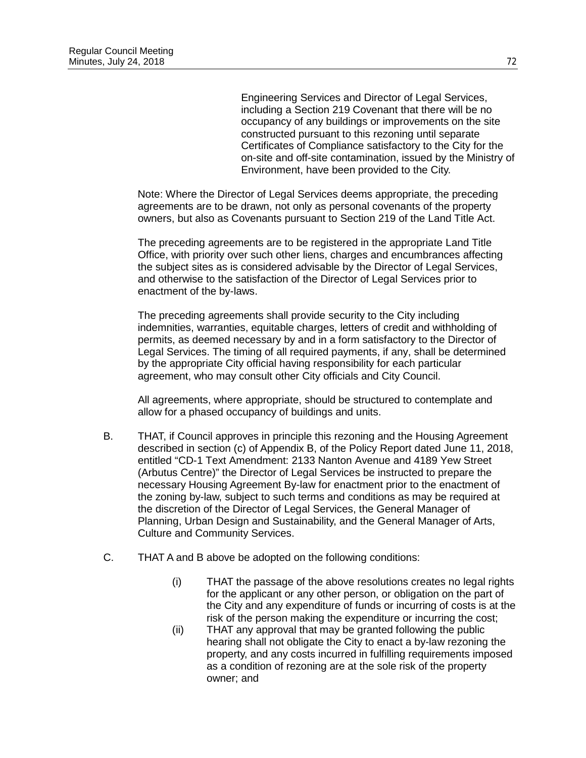Engineering Services and Director of Legal Services, including a Section 219 Covenant that there will be no occupancy of any buildings or improvements on the site constructed pursuant to this rezoning until separate Certificates of Compliance satisfactory to the City for the on-site and off-site contamination, issued by the Ministry of Environment, have been provided to the City.

Note: Where the Director of Legal Services deems appropriate, the preceding agreements are to be drawn, not only as personal covenants of the property owners, but also as Covenants pursuant to Section 219 of the Land Title Act.

The preceding agreements are to be registered in the appropriate Land Title Office, with priority over such other liens, charges and encumbrances affecting the subject sites as is considered advisable by the Director of Legal Services, and otherwise to the satisfaction of the Director of Legal Services prior to enactment of the by-laws.

The preceding agreements shall provide security to the City including indemnities, warranties, equitable charges, letters of credit and withholding of permits, as deemed necessary by and in a form satisfactory to the Director of Legal Services. The timing of all required payments, if any, shall be determined by the appropriate City official having responsibility for each particular agreement, who may consult other City officials and City Council.

All agreements, where appropriate, should be structured to contemplate and allow for a phased occupancy of buildings and units.

- B. THAT, if Council approves in principle this rezoning and the Housing Agreement described in section (c) of Appendix B, of the Policy Report dated June 11, 2018, entitled "CD-1 Text Amendment: 2133 Nanton Avenue and 4189 Yew Street (Arbutus Centre)" the Director of Legal Services be instructed to prepare the necessary Housing Agreement By-law for enactment prior to the enactment of the zoning by-law, subject to such terms and conditions as may be required at the discretion of the Director of Legal Services, the General Manager of Planning, Urban Design and Sustainability, and the General Manager of Arts, Culture and Community Services.
- C. THAT A and B above be adopted on the following conditions:
	- (i) THAT the passage of the above resolutions creates no legal rights for the applicant or any other person, or obligation on the part of the City and any expenditure of funds or incurring of costs is at the risk of the person making the expenditure or incurring the cost;
	- (ii) THAT any approval that may be granted following the public hearing shall not obligate the City to enact a by-law rezoning the property, and any costs incurred in fulfilling requirements imposed as a condition of rezoning are at the sole risk of the property owner; and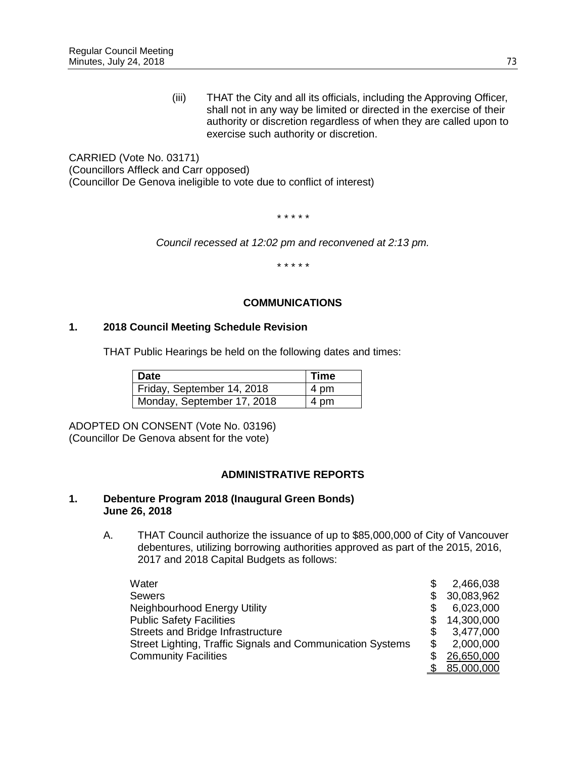(iii) THAT the City and all its officials, including the Approving Officer, shall not in any way be limited or directed in the exercise of their authority or discretion regardless of when they are called upon to exercise such authority or discretion.

CARRIED (Vote No. 03171) (Councillors Affleck and Carr opposed) (Councillor De Genova ineligible to vote due to conflict of interest)

*\* \* \* \* \**

*Council recessed at 12:02 pm and reconvened at 2:13 pm.*

*\* \* \* \* \**

### **COMMUNICATIONS**

### **1. 2018 Council Meeting Schedule Revision**

THAT Public Hearings be held on the following dates and times:

| <b>Date</b>                | Time |
|----------------------------|------|
| Friday, September 14, 2018 | 4 pm |
| Monday, September 17, 2018 | 4 pm |

ADOPTED ON CONSENT (Vote No. 03196) (Councillor De Genova absent for the vote)

#### **ADMINISTRATIVE REPORTS**

#### **1. Debenture Program 2018 (Inaugural Green Bonds) June 26, 2018**

A. THAT Council authorize the issuance of up to \$85,000,000 of City of Vancouver debentures, utilizing borrowing authorities approved as part of the 2015, 2016, 2017 and 2018 Capital Budgets as follows:

| Water                                                      | 2,466,038  |
|------------------------------------------------------------|------------|
| <b>Sewers</b>                                              | 30,083,962 |
| Neighbourhood Energy Utility                               | 6,023,000  |
| <b>Public Safety Facilities</b>                            | 14,300,000 |
| Streets and Bridge Infrastructure                          | 3,477,000  |
| Street Lighting, Traffic Signals and Communication Systems | 2,000,000  |
| <b>Community Facilities</b>                                | 26,650,000 |
|                                                            | 85,000,000 |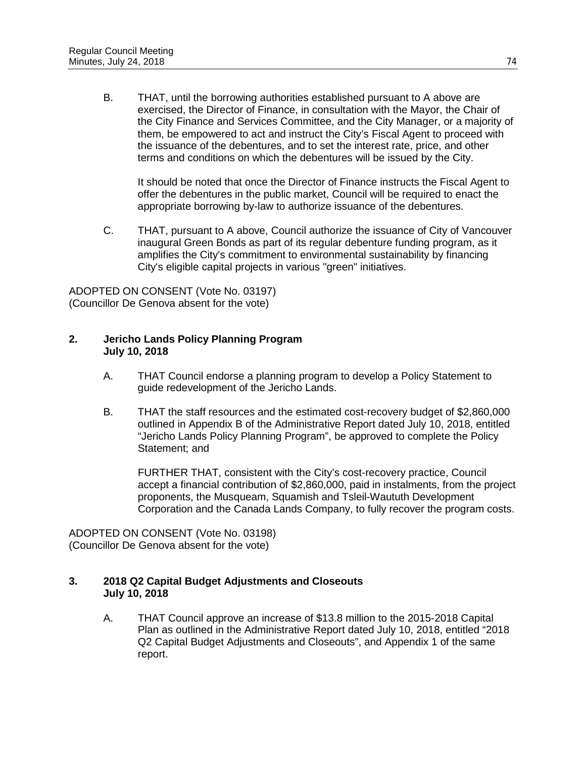B. THAT, until the borrowing authorities established pursuant to A above are exercised, the Director of Finance, in consultation with the Mayor, the Chair of the City Finance and Services Committee, and the City Manager, or a majority of them, be empowered to act and instruct the City's Fiscal Agent to proceed with the issuance of the debentures, and to set the interest rate, price, and other terms and conditions on which the debentures will be issued by the City.

It should be noted that once the Director of Finance instructs the Fiscal Agent to offer the debentures in the public market, Council will be required to enact the appropriate borrowing by-law to authorize issuance of the debentures.

C. THAT, pursuant to A above, Council authorize the issuance of City of Vancouver inaugural Green Bonds as part of its regular debenture funding program, as it amplifies the City's commitment to environmental sustainability by financing City's eligible capital projects in various "green" initiatives.

ADOPTED ON CONSENT (Vote No. 03197) (Councillor De Genova absent for the vote)

### **2. Jericho Lands Policy Planning Program July 10, 2018**

- A. THAT Council endorse a planning program to develop a Policy Statement to guide redevelopment of the Jericho Lands.
- B. THAT the staff resources and the estimated cost-recovery budget of \$2,860,000 outlined in Appendix B of the Administrative Report dated July 10, 2018, entitled "Jericho Lands Policy Planning Program", be approved to complete the Policy Statement; and

FURTHER THAT, consistent with the City's cost-recovery practice, Council accept a financial contribution of \$2,860,000, paid in instalments, from the project proponents, the Musqueam, Squamish and Tsleil-Waututh Development Corporation and the Canada Lands Company, to fully recover the program costs.

ADOPTED ON CONSENT (Vote No. 03198) (Councillor De Genova absent for the vote)

## **3. 2018 Q2 Capital Budget Adjustments and Closeouts July 10, 2018**

A. THAT Council approve an increase of \$13.8 million to the 2015-2018 Capital Plan as outlined in the Administrative Report dated July 10, 2018, entitled "2018 Q2 Capital Budget Adjustments and Closeouts", and Appendix 1 of the same report.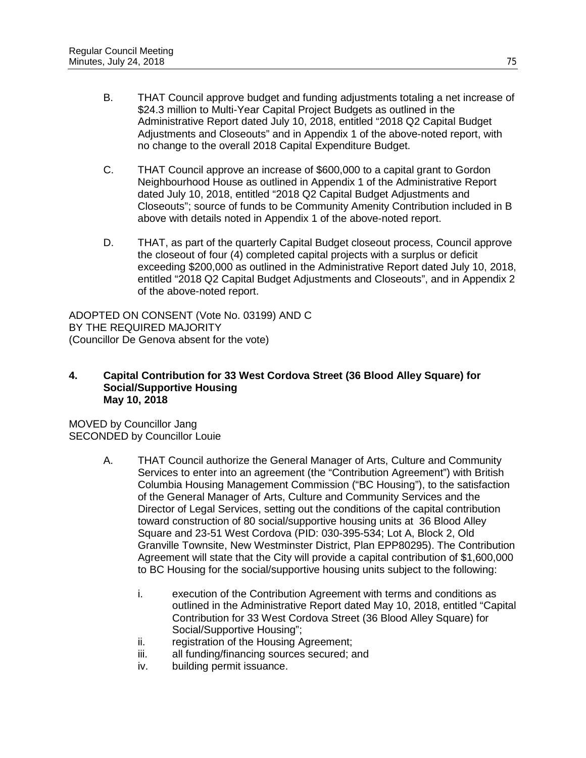- B. THAT Council approve budget and funding adjustments totaling a net increase of \$24.3 million to Multi-Year Capital Project Budgets as outlined in the Administrative Report dated July 10, 2018, entitled "2018 Q2 Capital Budget Adjustments and Closeouts" and in Appendix 1 of the above-noted report, with no change to the overall 2018 Capital Expenditure Budget.
- C. THAT Council approve an increase of \$600,000 to a capital grant to Gordon Neighbourhood House as outlined in Appendix 1 of the Administrative Report dated July 10, 2018, entitled "2018 Q2 Capital Budget Adjustments and Closeouts"; source of funds to be Community Amenity Contribution included in B above with details noted in Appendix 1 of the above-noted report.
- D. THAT, as part of the quarterly Capital Budget closeout process, Council approve the closeout of four (4) completed capital projects with a surplus or deficit exceeding \$200,000 as outlined in the Administrative Report dated July 10, 2018, entitled "2018 Q2 Capital Budget Adjustments and Closeouts", and in Appendix 2 of the above-noted report.

ADOPTED ON CONSENT (Vote No. 03199) AND C BY THE REQUIRED MAJORITY (Councillor De Genova absent for the vote)

#### **4. Capital Contribution for 33 West Cordova Street (36 Blood Alley Square) for Social/Supportive Housing May 10, 2018**

MOVED by Councillor Jang SECONDED by Councillor Louie

- A. THAT Council authorize the General Manager of Arts, Culture and Community Services to enter into an agreement (the "Contribution Agreement") with British Columbia Housing Management Commission ("BC Housing"), to the satisfaction of the General Manager of Arts, Culture and Community Services and the Director of Legal Services, setting out the conditions of the capital contribution toward construction of 80 social/supportive housing units at 36 Blood Alley Square and 23-51 West Cordova (PID: 030-395-534; Lot A, Block 2, Old Granville Townsite, New Westminster District, Plan EPP80295). The Contribution Agreement will state that the City will provide a capital contribution of \$1,600,000 to BC Housing for the social/supportive housing units subject to the following:
	- i. execution of the Contribution Agreement with terms and conditions as outlined in the Administrative Report dated May 10, 2018, entitled "Capital Contribution for 33 West Cordova Street (36 Blood Alley Square) for Social/Supportive Housing";
	- ii. registration of the Housing Agreement;
	- iii. all funding/financing sources secured; and
	- iv. building permit issuance.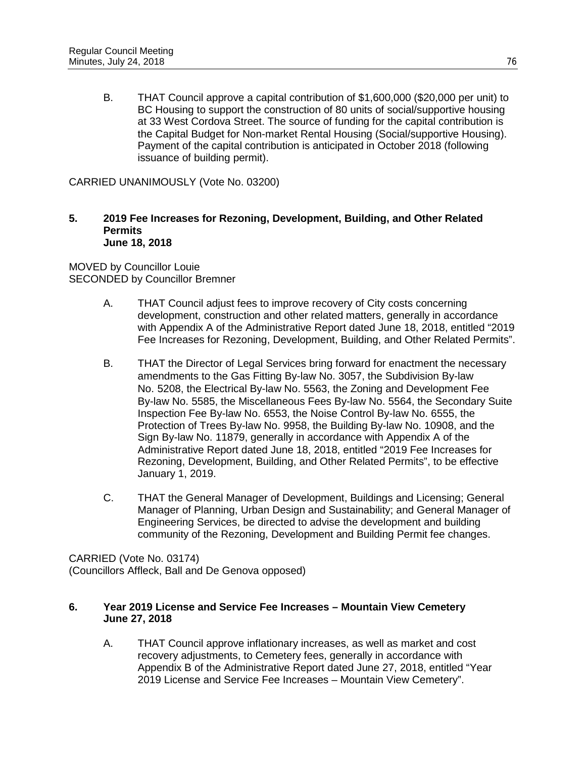B. THAT Council approve a capital contribution of \$1,600,000 (\$20,000 per unit) to BC Housing to support the construction of 80 units of social/supportive housing at 33 West Cordova Street. The source of funding for the capital contribution is the Capital Budget for Non-market Rental Housing (Social/supportive Housing). Payment of the capital contribution is anticipated in October 2018 (following issuance of building permit).

CARRIED UNANIMOUSLY (Vote No. 03200)

#### **5. 2019 Fee Increases for Rezoning, Development, Building, and Other Related Permits June 18, 2018**

MOVED by Councillor Louie SECONDED by Councillor Bremner

- A. THAT Council adjust fees to improve recovery of City costs concerning development, construction and other related matters, generally in accordance with Appendix A of the Administrative Report dated June 18, 2018, entitled "2019 Fee Increases for Rezoning, Development, Building, and Other Related Permits".
- B. THAT the Director of Legal Services bring forward for enactment the necessary amendments to the Gas Fitting By-law No. 3057, the Subdivision By-law No. 5208, the Electrical By-law No. 5563, the Zoning and Development Fee By-law No. 5585, the Miscellaneous Fees By-law No. 5564, the Secondary Suite Inspection Fee By-law No. 6553, the Noise Control By-law No. 6555, the Protection of Trees By-law No. 9958, the Building By-law No. 10908, and the Sign By-law No. 11879, generally in accordance with Appendix A of the Administrative Report dated June 18, 2018, entitled "2019 Fee Increases for Rezoning, Development, Building, and Other Related Permits", to be effective January 1, 2019.
- C. THAT the General Manager of Development, Buildings and Licensing; General Manager of Planning, Urban Design and Sustainability; and General Manager of Engineering Services, be directed to advise the development and building community of the Rezoning, Development and Building Permit fee changes.

CARRIED (Vote No. 03174) (Councillors Affleck, Ball and De Genova opposed)

### **6. Year 2019 License and Service Fee Increases – Mountain View Cemetery June 27, 2018**

A. THAT Council approve inflationary increases, as well as market and cost recovery adjustments, to Cemetery fees, generally in accordance with Appendix B of the Administrative Report dated June 27, 2018, entitled "Year 2019 License and Service Fee Increases – Mountain View Cemetery".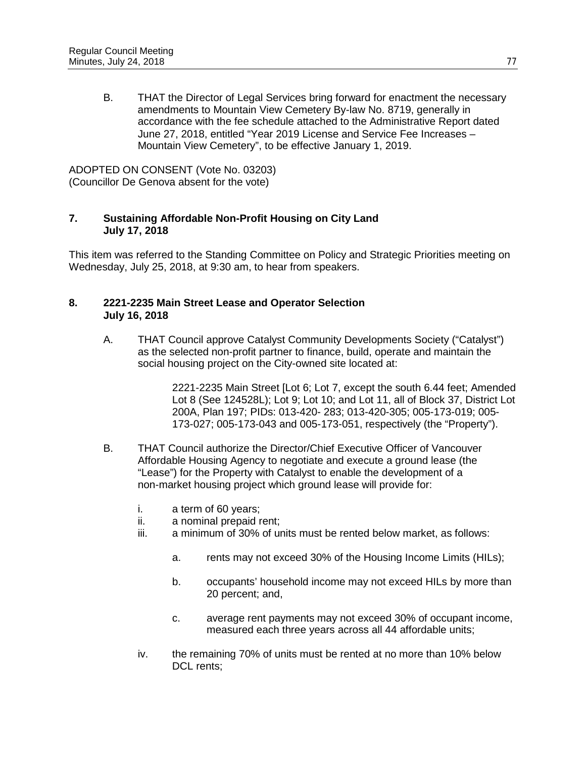B. THAT the Director of Legal Services bring forward for enactment the necessary amendments to Mountain View Cemetery By-law No. 8719, generally in accordance with the fee schedule attached to the Administrative Report dated June 27, 2018, entitled "Year 2019 License and Service Fee Increases – Mountain View Cemetery", to be effective January 1, 2019.

ADOPTED ON CONSENT (Vote No. 03203) (Councillor De Genova absent for the vote)

## **7. Sustaining Affordable Non-Profit Housing on City Land July 17, 2018**

This item was referred to the Standing Committee on Policy and Strategic Priorities meeting on Wednesday, July 25, 2018, at 9:30 am, to hear from speakers.

# **8. 2221-2235 Main Street Lease and Operator Selection July 16, 2018**

A. THAT Council approve Catalyst Community Developments Society ("Catalyst") as the selected non-profit partner to finance, build, operate and maintain the social housing project on the City-owned site located at:

> 2221-2235 Main Street [Lot 6; Lot 7, except the south 6.44 feet; Amended Lot 8 (See 124528L); Lot 9; Lot 10; and Lot 11, all of Block 37, District Lot 200A, Plan 197; PIDs: 013-420- 283; 013-420-305; 005-173-019; 005- 173-027; 005-173-043 and 005-173-051, respectively (the "Property").

- B. THAT Council authorize the Director/Chief Executive Officer of Vancouver Affordable Housing Agency to negotiate and execute a ground lease (the "Lease") for the Property with Catalyst to enable the development of a non-market housing project which ground lease will provide for:
	- i. a term of 60 years;
	- ii. a nominal prepaid rent;
	- iii. a minimum of 30% of units must be rented below market, as follows:
		- a. rents may not exceed 30% of the Housing Income Limits (HILs);
		- b. occupants' household income may not exceed HILs by more than 20 percent; and,
		- c. average rent payments may not exceed 30% of occupant income, measured each three years across all 44 affordable units;
	- iv. the remaining 70% of units must be rented at no more than 10% below DCL rents;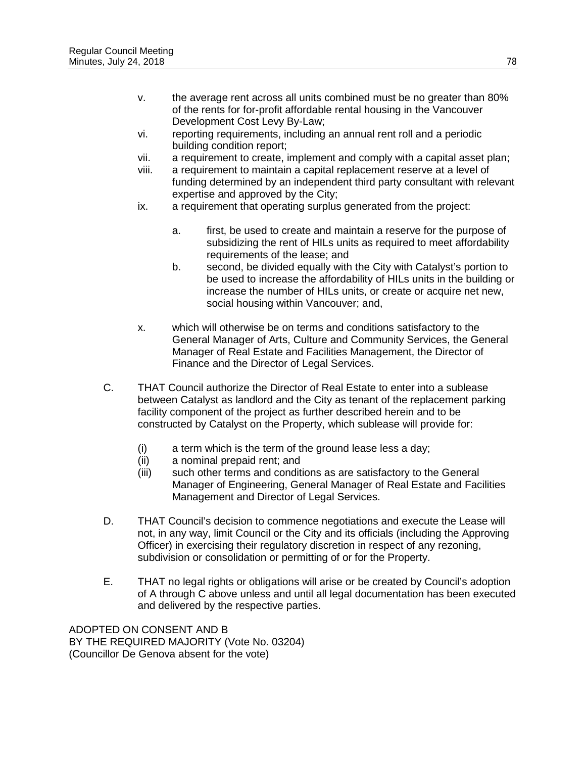- v. the average rent across all units combined must be no greater than 80% of the rents for for-profit affordable rental housing in the Vancouver Development Cost Levy By-Law;
- vi. reporting requirements, including an annual rent roll and a periodic building condition report;
- vii. a requirement to create, implement and comply with a capital asset plan;
- viii. a requirement to maintain a capital replacement reserve at a level of funding determined by an independent third party consultant with relevant expertise and approved by the City;
- ix. a requirement that operating surplus generated from the project:
	- a. first, be used to create and maintain a reserve for the purpose of subsidizing the rent of HILs units as required to meet affordability requirements of the lease; and
	- b. second, be divided equally with the City with Catalyst's portion to be used to increase the affordability of HILs units in the building or increase the number of HILs units, or create or acquire net new, social housing within Vancouver; and,
- x. which will otherwise be on terms and conditions satisfactory to the General Manager of Arts, Culture and Community Services, the General Manager of Real Estate and Facilities Management, the Director of Finance and the Director of Legal Services.
- C. THAT Council authorize the Director of Real Estate to enter into a sublease between Catalyst as landlord and the City as tenant of the replacement parking facility component of the project as further described herein and to be constructed by Catalyst on the Property, which sublease will provide for:
	- (i) a term which is the term of the ground lease less a day;
	- (ii) a nominal prepaid rent; and
	- (iii) such other terms and conditions as are satisfactory to the General Manager of Engineering, General Manager of Real Estate and Facilities Management and Director of Legal Services.
- D. THAT Council's decision to commence negotiations and execute the Lease will not, in any way, limit Council or the City and its officials (including the Approving Officer) in exercising their regulatory discretion in respect of any rezoning, subdivision or consolidation or permitting of or for the Property.
- E. THAT no legal rights or obligations will arise or be created by Council's adoption of A through C above unless and until all legal documentation has been executed and delivered by the respective parties.

ADOPTED ON CONSENT AND B BY THE REQUIRED MAJORITY (Vote No. 03204) (Councillor De Genova absent for the vote)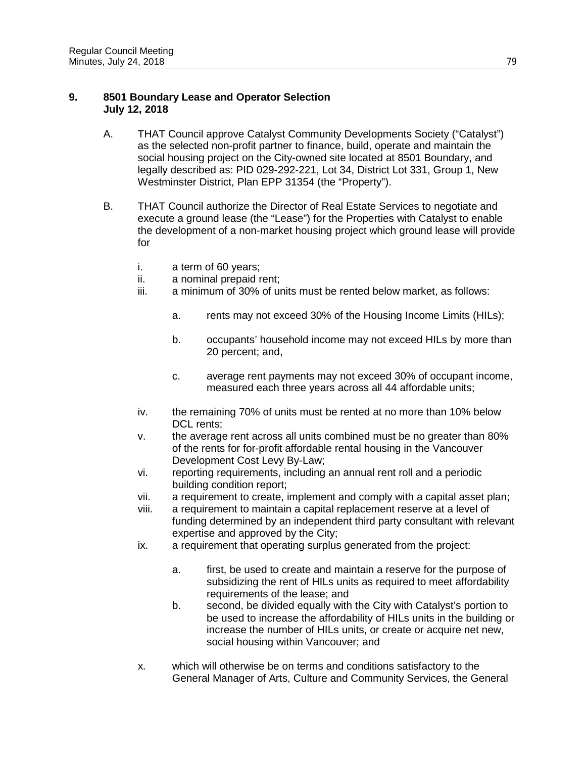## **9. 8501 Boundary Lease and Operator Selection July 12, 2018**

- A. THAT Council approve Catalyst Community Developments Society ("Catalyst") as the selected non-profit partner to finance, build, operate and maintain the social housing project on the City-owned site located at 8501 Boundary, and legally described as: PID 029-292-221, Lot 34, District Lot 331, Group 1, New Westminster District, Plan EPP 31354 (the "Property").
- B. THAT Council authorize the Director of Real Estate Services to negotiate and execute a ground lease (the "Lease") for the Properties with Catalyst to enable the development of a non-market housing project which ground lease will provide for
	- i. a term of 60 years;
	- ii. a nominal prepaid rent;
	- iii. a minimum of 30% of units must be rented below market, as follows:
		- a. rents may not exceed 30% of the Housing Income Limits (HILs);
		- b. occupants' household income may not exceed HILs by more than 20 percent; and,
		- c. average rent payments may not exceed 30% of occupant income, measured each three years across all 44 affordable units;
	- iv. the remaining 70% of units must be rented at no more than 10% below DCL rents:
	- v. the average rent across all units combined must be no greater than 80% of the rents for for-profit affordable rental housing in the Vancouver Development Cost Levy By-Law;
	- vi. reporting requirements, including an annual rent roll and a periodic building condition report;
	- vii. a requirement to create, implement and comply with a capital asset plan;
	- viii. a requirement to maintain a capital replacement reserve at a level of funding determined by an independent third party consultant with relevant expertise and approved by the City;
	- ix. a requirement that operating surplus generated from the project:
		- a. first, be used to create and maintain a reserve for the purpose of subsidizing the rent of HILs units as required to meet affordability requirements of the lease; and
		- b. second, be divided equally with the City with Catalyst's portion to be used to increase the affordability of HILs units in the building or increase the number of HILs units, or create or acquire net new, social housing within Vancouver; and
	- x. which will otherwise be on terms and conditions satisfactory to the General Manager of Arts, Culture and Community Services, the General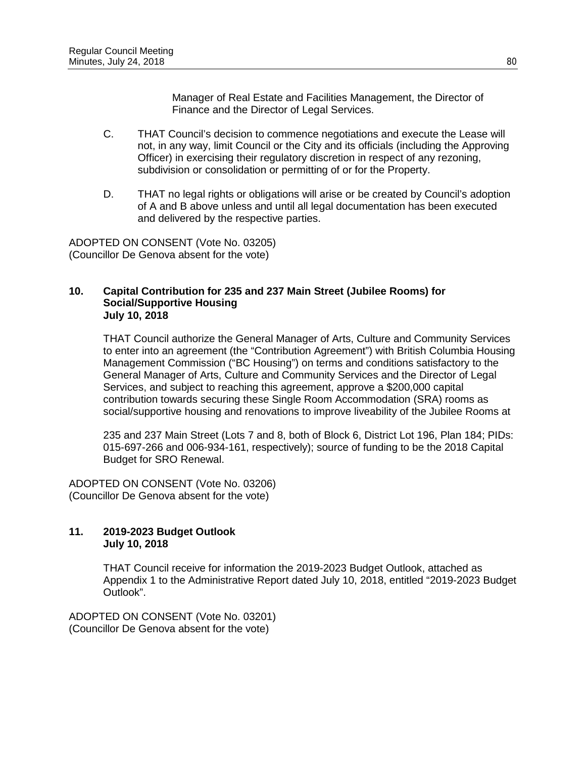Manager of Real Estate and Facilities Management, the Director of Finance and the Director of Legal Services.

- C. THAT Council's decision to commence negotiations and execute the Lease will not, in any way, limit Council or the City and its officials (including the Approving Officer) in exercising their regulatory discretion in respect of any rezoning, subdivision or consolidation or permitting of or for the Property.
- D. THAT no legal rights or obligations will arise or be created by Council's adoption of A and B above unless and until all legal documentation has been executed and delivered by the respective parties.

ADOPTED ON CONSENT (Vote No. 03205) (Councillor De Genova absent for the vote)

#### **10. Capital Contribution for 235 and 237 Main Street (Jubilee Rooms) for Social/Supportive Housing July 10, 2018**

THAT Council authorize the General Manager of Arts, Culture and Community Services to enter into an agreement (the "Contribution Agreement") with British Columbia Housing Management Commission ("BC Housing") on terms and conditions satisfactory to the General Manager of Arts, Culture and Community Services and the Director of Legal Services, and subject to reaching this agreement, approve a \$200,000 capital contribution towards securing these Single Room Accommodation (SRA) rooms as social/supportive housing and renovations to improve liveability of the Jubilee Rooms at

235 and 237 Main Street (Lots 7 and 8, both of Block 6, District Lot 196, Plan 184; PIDs: 015-697-266 and 006-934-161, respectively); source of funding to be the 2018 Capital Budget for SRO Renewal.

ADOPTED ON CONSENT (Vote No. 03206) (Councillor De Genova absent for the vote)

## **11. 2019-2023 Budget Outlook July 10, 2018**

THAT Council receive for information the 2019-2023 Budget Outlook, attached as Appendix 1 to the Administrative Report dated July 10, 2018, entitled "2019-2023 Budget Outlook".

ADOPTED ON CONSENT (Vote No. 03201) (Councillor De Genova absent for the vote)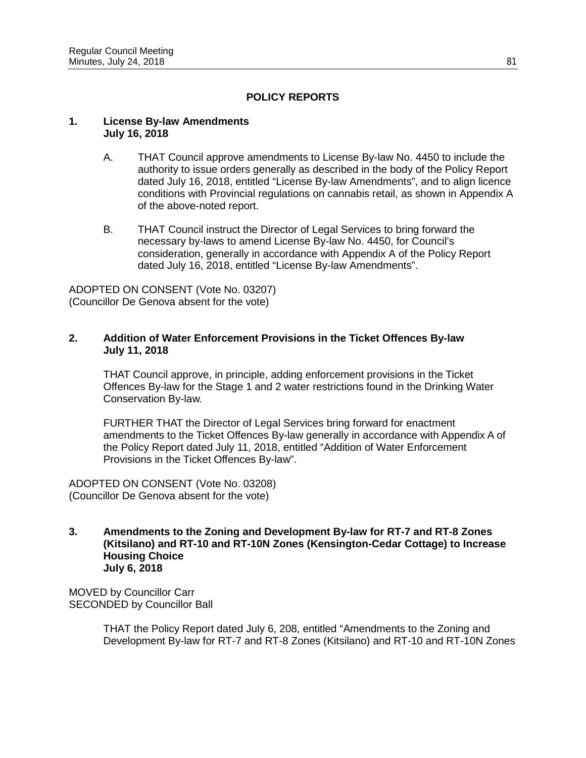# **POLICY REPORTS**

#### **1. License By-law Amendments July 16, 2018**

- A. THAT Council approve amendments to License By-law No. 4450 to include the authority to issue orders generally as described in the body of the Policy Report dated July 16, 2018, entitled "License By-law Amendments", and to align licence conditions with Provincial regulations on cannabis retail, as shown in Appendix A of the above-noted report.
- B. THAT Council instruct the Director of Legal Services to bring forward the necessary by-laws to amend License By-law No. 4450, for Council's consideration, generally in accordance with Appendix A of the Policy Report dated July 16, 2018, entitled "License By-law Amendments".

ADOPTED ON CONSENT (Vote No. 03207) (Councillor De Genova absent for the vote)

### **2. Addition of Water Enforcement Provisions in the Ticket Offences By-law July 11, 2018**

THAT Council approve, in principle, adding enforcement provisions in the Ticket Offences By-law for the Stage 1 and 2 water restrictions found in the Drinking Water Conservation By-law.

FURTHER THAT the Director of Legal Services bring forward for enactment amendments to the Ticket Offences By-law generally in accordance with Appendix A of the Policy Report dated July 11, 2018, entitled "Addition of Water Enforcement Provisions in the Ticket Offences By-law".

ADOPTED ON CONSENT (Vote No. 03208) (Councillor De Genova absent for the vote)

**3. Amendments to the Zoning and Development By-law for RT-7 and RT-8 Zones (Kitsilano) and RT-10 and RT-10N Zones (Kensington-Cedar Cottage) to Increase Housing Choice July 6, 2018**

MOVED by Councillor Carr SECONDED by Councillor Ball

> THAT the Policy Report dated July 6, 208, entitled "Amendments to the Zoning and Development By-law for RT-7 and RT-8 Zones (Kitsilano) and RT-10 and RT-10N Zones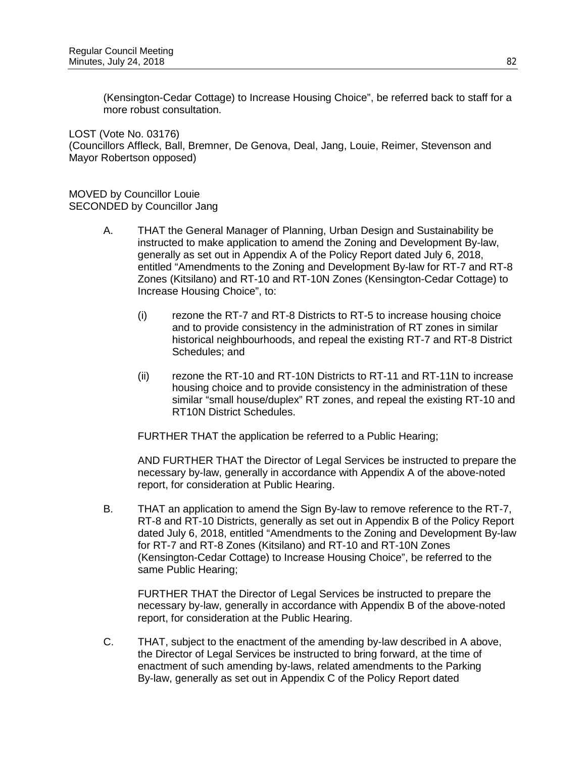(Kensington-Cedar Cottage) to Increase Housing Choice", be referred back to staff for a more robust consultation.

LOST (Vote No. 03176) (Councillors Affleck, Ball, Bremner, De Genova, Deal, Jang, Louie, Reimer, Stevenson and Mayor Robertson opposed)

MOVED by Councillor Louie SECONDED by Councillor Jang

- A. THAT the General Manager of Planning, Urban Design and Sustainability be instructed to make application to amend the Zoning and Development By-law, generally as set out in Appendix A of the Policy Report dated July 6, 2018, entitled "Amendments to the Zoning and Development By-law for RT-7 and RT-8 Zones (Kitsilano) and RT-10 and RT-10N Zones (Kensington-Cedar Cottage) to Increase Housing Choice", to:
	- (i) rezone the RT-7 and RT-8 Districts to RT-5 to increase housing choice and to provide consistency in the administration of RT zones in similar historical neighbourhoods, and repeal the existing RT-7 and RT-8 District Schedules; and
	- (ii) rezone the RT-10 and RT-10N Districts to RT-11 and RT-11N to increase housing choice and to provide consistency in the administration of these similar "small house/duplex" RT zones, and repeal the existing RT-10 and RT10N District Schedules.

FURTHER THAT the application be referred to a Public Hearing;

AND FURTHER THAT the Director of Legal Services be instructed to prepare the necessary by-law, generally in accordance with Appendix A of the above-noted report, for consideration at Public Hearing.

B. THAT an application to amend the Sign By-law to remove reference to the RT-7, RT-8 and RT-10 Districts, generally as set out in Appendix B of the Policy Report dated July 6, 2018, entitled "Amendments to the Zoning and Development By-law for RT-7 and RT-8 Zones (Kitsilano) and RT-10 and RT-10N Zones (Kensington-Cedar Cottage) to Increase Housing Choice", be referred to the same Public Hearing;

FURTHER THAT the Director of Legal Services be instructed to prepare the necessary by-law, generally in accordance with Appendix B of the above-noted report, for consideration at the Public Hearing.

C. THAT, subject to the enactment of the amending by-law described in A above, the Director of Legal Services be instructed to bring forward, at the time of enactment of such amending by-laws, related amendments to the Parking By-law, generally as set out in Appendix C of the Policy Report dated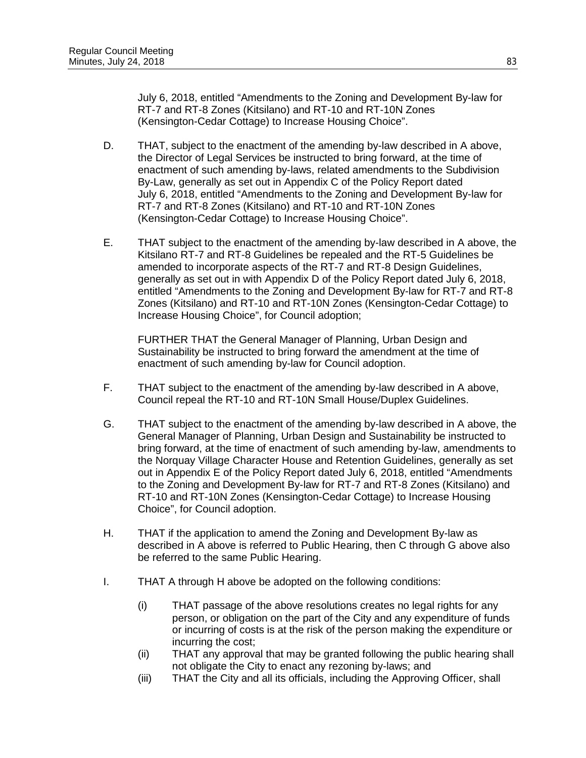July 6, 2018, entitled "Amendments to the Zoning and Development By-law for RT-7 and RT-8 Zones (Kitsilano) and RT-10 and RT-10N Zones (Kensington-Cedar Cottage) to Increase Housing Choice".

- D. THAT, subject to the enactment of the amending by-law described in A above, the Director of Legal Services be instructed to bring forward, at the time of enactment of such amending by-laws, related amendments to the Subdivision By-Law, generally as set out in Appendix C of the Policy Report dated July 6, 2018, entitled "Amendments to the Zoning and Development By-law for RT-7 and RT-8 Zones (Kitsilano) and RT-10 and RT-10N Zones (Kensington-Cedar Cottage) to Increase Housing Choice".
- E. THAT subject to the enactment of the amending by-law described in A above, the Kitsilano RT-7 and RT-8 Guidelines be repealed and the RT-5 Guidelines be amended to incorporate aspects of the RT-7 and RT-8 Design Guidelines, generally as set out in with Appendix D of the Policy Report dated July 6, 2018, entitled "Amendments to the Zoning and Development By-law for RT-7 and RT-8 Zones (Kitsilano) and RT-10 and RT-10N Zones (Kensington-Cedar Cottage) to Increase Housing Choice", for Council adoption;

FURTHER THAT the General Manager of Planning, Urban Design and Sustainability be instructed to bring forward the amendment at the time of enactment of such amending by-law for Council adoption.

- F. THAT subject to the enactment of the amending by-law described in A above, Council repeal the RT-10 and RT-10N Small House/Duplex Guidelines.
- G. THAT subject to the enactment of the amending by-law described in A above, the General Manager of Planning, Urban Design and Sustainability be instructed to bring forward, at the time of enactment of such amending by-law, amendments to the Norquay Village Character House and Retention Guidelines, generally as set out in Appendix E of the Policy Report dated July 6, 2018, entitled "Amendments to the Zoning and Development By-law for RT-7 and RT-8 Zones (Kitsilano) and RT-10 and RT-10N Zones (Kensington-Cedar Cottage) to Increase Housing Choice", for Council adoption.
- H. THAT if the application to amend the Zoning and Development By-law as described in A above is referred to Public Hearing, then C through G above also be referred to the same Public Hearing.
- I. THAT A through H above be adopted on the following conditions:
	- (i) THAT passage of the above resolutions creates no legal rights for any person, or obligation on the part of the City and any expenditure of funds or incurring of costs is at the risk of the person making the expenditure or incurring the cost;
	- (ii) THAT any approval that may be granted following the public hearing shall not obligate the City to enact any rezoning by-laws; and
	- (iii) THAT the City and all its officials, including the Approving Officer, shall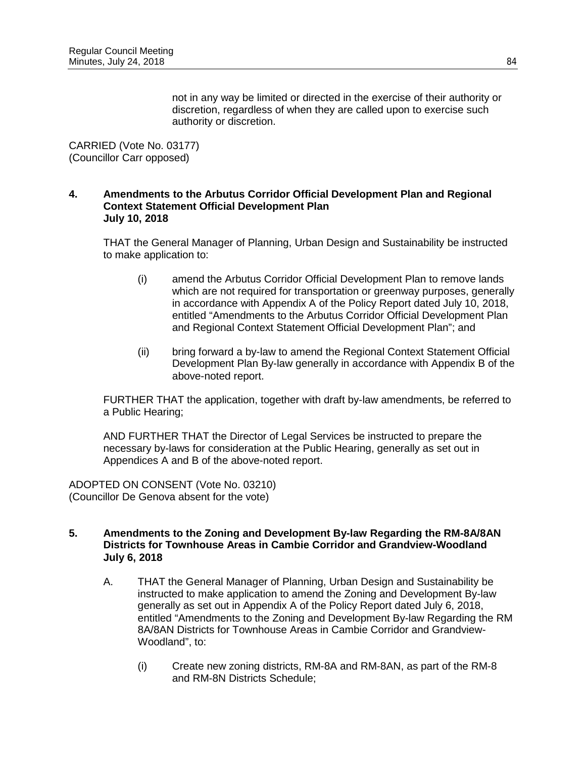not in any way be limited or directed in the exercise of their authority or discretion, regardless of when they are called upon to exercise such authority or discretion.

CARRIED (Vote No. 03177) (Councillor Carr opposed)

#### **4. Amendments to the Arbutus Corridor Official Development Plan and Regional Context Statement Official Development Plan July 10, 2018**

THAT the General Manager of Planning, Urban Design and Sustainability be instructed to make application to:

- (i) amend the Arbutus Corridor Official Development Plan to remove lands which are not required for transportation or greenway purposes, generally in accordance with Appendix A of the Policy Report dated July 10, 2018, entitled "Amendments to the Arbutus Corridor Official Development Plan and Regional Context Statement Official Development Plan"; and
- (ii) bring forward a by-law to amend the Regional Context Statement Official Development Plan By-law generally in accordance with Appendix B of the above-noted report.

FURTHER THAT the application, together with draft by-law amendments, be referred to a Public Hearing;

AND FURTHER THAT the Director of Legal Services be instructed to prepare the necessary by-laws for consideration at the Public Hearing, generally as set out in Appendices A and B of the above-noted report.

ADOPTED ON CONSENT (Vote No. 03210) (Councillor De Genova absent for the vote)

#### **5. Amendments to the Zoning and Development By-law Regarding the RM-8A/8AN Districts for Townhouse Areas in Cambie Corridor and Grandview-Woodland July 6, 2018**

- A. THAT the General Manager of Planning, Urban Design and Sustainability be instructed to make application to amend the Zoning and Development By-law generally as set out in Appendix A of the Policy Report dated July 6, 2018, entitled "Amendments to the Zoning and Development By-law Regarding the RM 8A/8AN Districts for Townhouse Areas in Cambie Corridor and Grandview-Woodland", to:
	- (i) Create new zoning districts, RM-8A and RM-8AN, as part of the RM-8 and RM-8N Districts Schedule;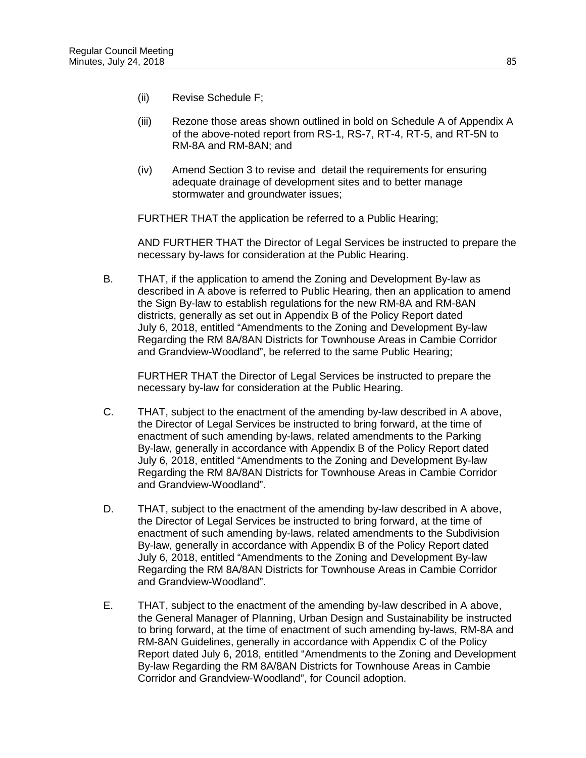- (ii) Revise Schedule F;
- (iii) Rezone those areas shown outlined in bold on Schedule A of Appendix A of the above-noted report from RS-1, RS-7, RT-4, RT-5, and RT-5N to RM-8A and RM-8AN; and
- (iv) Amend Section 3 to revise and detail the requirements for ensuring adequate drainage of development sites and to better manage stormwater and groundwater issues;

FURTHER THAT the application be referred to a Public Hearing;

AND FURTHER THAT the Director of Legal Services be instructed to prepare the necessary by-laws for consideration at the Public Hearing.

B. THAT, if the application to amend the Zoning and Development By-law as described in A above is referred to Public Hearing, then an application to amend the Sign By-law to establish regulations for the new RM-8A and RM-8AN districts, generally as set out in Appendix B of the Policy Report dated July 6, 2018, entitled "Amendments to the Zoning and Development By-law Regarding the RM 8A/8AN Districts for Townhouse Areas in Cambie Corridor and Grandview-Woodland", be referred to the same Public Hearing;

FURTHER THAT the Director of Legal Services be instructed to prepare the necessary by-law for consideration at the Public Hearing.

- C. THAT, subject to the enactment of the amending by-law described in A above, the Director of Legal Services be instructed to bring forward, at the time of enactment of such amending by-laws, related amendments to the Parking By-law, generally in accordance with Appendix B of the Policy Report dated July 6, 2018, entitled "Amendments to the Zoning and Development By-law Regarding the RM 8A/8AN Districts for Townhouse Areas in Cambie Corridor and Grandview-Woodland".
- D. THAT, subject to the enactment of the amending by-law described in A above, the Director of Legal Services be instructed to bring forward, at the time of enactment of such amending by-laws, related amendments to the Subdivision By-law, generally in accordance with Appendix B of the Policy Report dated July 6, 2018, entitled "Amendments to the Zoning and Development By-law Regarding the RM 8A/8AN Districts for Townhouse Areas in Cambie Corridor and Grandview-Woodland".
- E. THAT, subject to the enactment of the amending by-law described in A above, the General Manager of Planning, Urban Design and Sustainability be instructed to bring forward, at the time of enactment of such amending by-laws, RM-8A and RM-8AN Guidelines, generally in accordance with Appendix C of the Policy Report dated July 6, 2018, entitled "Amendments to the Zoning and Development By-law Regarding the RM 8A/8AN Districts for Townhouse Areas in Cambie Corridor and Grandview-Woodland", for Council adoption.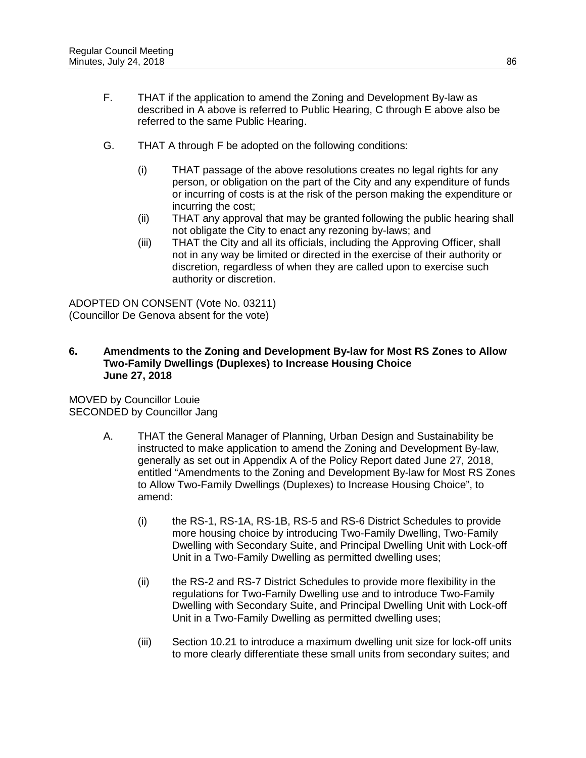- F. THAT if the application to amend the Zoning and Development By-law as described in A above is referred to Public Hearing, C through E above also be referred to the same Public Hearing.
- G. THAT A through F be adopted on the following conditions:
	- (i) THAT passage of the above resolutions creates no legal rights for any person, or obligation on the part of the City and any expenditure of funds or incurring of costs is at the risk of the person making the expenditure or incurring the cost;
	- (ii) THAT any approval that may be granted following the public hearing shall not obligate the City to enact any rezoning by-laws; and
	- (iii) THAT the City and all its officials, including the Approving Officer, shall not in any way be limited or directed in the exercise of their authority or discretion, regardless of when they are called upon to exercise such authority or discretion.

ADOPTED ON CONSENT (Vote No. 03211) (Councillor De Genova absent for the vote)

### **6. Amendments to the Zoning and Development By-law for Most RS Zones to Allow Two-Family Dwellings (Duplexes) to Increase Housing Choice June 27, 2018**

MOVED by Councillor Louie SECONDED by Councillor Jang

- A. THAT the General Manager of Planning, Urban Design and Sustainability be instructed to make application to amend the Zoning and Development By-law, generally as set out in Appendix A of the Policy Report dated June 27, 2018, entitled "Amendments to the Zoning and Development By-law for Most RS Zones to Allow Two-Family Dwellings (Duplexes) to Increase Housing Choice", to amend:
	- (i) the RS-1, RS-1A, RS-1B, RS-5 and RS-6 District Schedules to provide more housing choice by introducing Two-Family Dwelling, Two-Family Dwelling with Secondary Suite, and Principal Dwelling Unit with Lock-off Unit in a Two-Family Dwelling as permitted dwelling uses;
	- (ii) the RS-2 and RS-7 District Schedules to provide more flexibility in the regulations for Two-Family Dwelling use and to introduce Two-Family Dwelling with Secondary Suite, and Principal Dwelling Unit with Lock-off Unit in a Two-Family Dwelling as permitted dwelling uses;
	- (iii) Section 10.21 to introduce a maximum dwelling unit size for lock-off units to more clearly differentiate these small units from secondary suites; and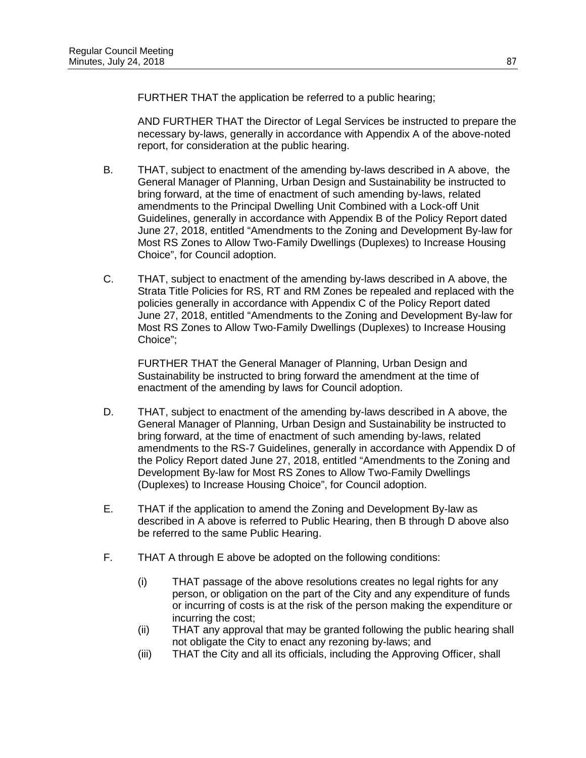FURTHER THAT the application be referred to a public hearing;

AND FURTHER THAT the Director of Legal Services be instructed to prepare the necessary by-laws, generally in accordance with Appendix A of the above-noted report, for consideration at the public hearing.

- B. THAT, subject to enactment of the amending by-laws described in A above, the General Manager of Planning, Urban Design and Sustainability be instructed to bring forward, at the time of enactment of such amending by-laws, related amendments to the Principal Dwelling Unit Combined with a Lock-off Unit Guidelines, generally in accordance with Appendix B of the Policy Report dated June 27, 2018, entitled "Amendments to the Zoning and Development By-law for Most RS Zones to Allow Two-Family Dwellings (Duplexes) to Increase Housing Choice", for Council adoption.
- C. THAT, subject to enactment of the amending by-laws described in A above, the Strata Title Policies for RS, RT and RM Zones be repealed and replaced with the policies generally in accordance with Appendix C of the Policy Report dated June 27, 2018, entitled "Amendments to the Zoning and Development By-law for Most RS Zones to Allow Two-Family Dwellings (Duplexes) to Increase Housing Choice";

FURTHER THAT the General Manager of Planning, Urban Design and Sustainability be instructed to bring forward the amendment at the time of enactment of the amending by laws for Council adoption.

- D. THAT, subject to enactment of the amending by-laws described in A above, the General Manager of Planning, Urban Design and Sustainability be instructed to bring forward, at the time of enactment of such amending by-laws, related amendments to the RS-7 Guidelines, generally in accordance with Appendix D of the Policy Report dated June 27, 2018, entitled "Amendments to the Zoning and Development By-law for Most RS Zones to Allow Two-Family Dwellings (Duplexes) to Increase Housing Choice", for Council adoption.
- E. THAT if the application to amend the Zoning and Development By-law as described in A above is referred to Public Hearing, then B through D above also be referred to the same Public Hearing.
- F. THAT A through E above be adopted on the following conditions:
	- (i) THAT passage of the above resolutions creates no legal rights for any person, or obligation on the part of the City and any expenditure of funds or incurring of costs is at the risk of the person making the expenditure or incurring the cost;
	- (ii) THAT any approval that may be granted following the public hearing shall not obligate the City to enact any rezoning by-laws; and
	- (iii) THAT the City and all its officials, including the Approving Officer, shall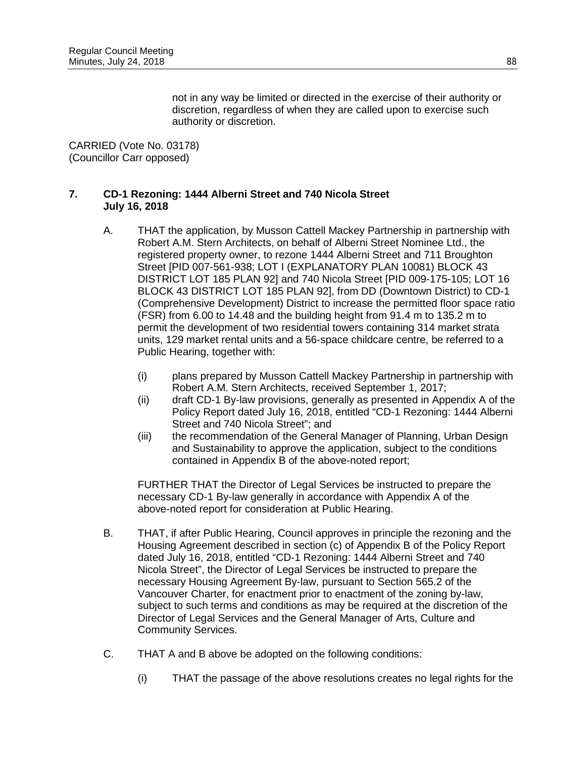not in any way be limited or directed in the exercise of their authority or discretion, regardless of when they are called upon to exercise such authority or discretion.

CARRIED (Vote No. 03178) (Councillor Carr opposed)

### **7. CD-1 Rezoning: 1444 Alberni Street and 740 Nicola Street July 16, 2018**

- A. THAT the application, by Musson Cattell Mackey Partnership in partnership with Robert A.M. Stern Architects, on behalf of Alberni Street Nominee Ltd., the registered property owner, to rezone 1444 Alberni Street and 711 Broughton Street [PID 007-561-938; LOT I (EXPLANATORY PLAN 10081) BLOCK 43 DISTRICT LOT 185 PLAN 92] and 740 Nicola Street [PID 009-175-105; LOT 16 BLOCK 43 DISTRICT LOT 185 PLAN 92], from DD (Downtown District) to CD-1 (Comprehensive Development) District to increase the permitted floor space ratio (FSR) from 6.00 to 14.48 and the building height from 91.4 m to 135.2 m to permit the development of two residential towers containing 314 market strata units, 129 market rental units and a 56-space childcare centre, be referred to a Public Hearing, together with:
	- (i) plans prepared by Musson Cattell Mackey Partnership in partnership with Robert A.M. Stern Architects, received September 1, 2017;
	- (ii) draft CD-1 By-law provisions, generally as presented in Appendix A of the Policy Report dated July 16, 2018, entitled "CD-1 Rezoning: 1444 Alberni Street and 740 Nicola Street"; and
	- (iii) the recommendation of the General Manager of Planning, Urban Design and Sustainability to approve the application, subject to the conditions contained in Appendix B of the above-noted report;

FURTHER THAT the Director of Legal Services be instructed to prepare the necessary CD-1 By-law generally in accordance with Appendix A of the above-noted report for consideration at Public Hearing.

- B. THAT, if after Public Hearing, Council approves in principle the rezoning and the Housing Agreement described in section (c) of Appendix B of the Policy Report dated July 16, 2018, entitled "CD-1 Rezoning: 1444 Alberni Street and 740 Nicola Street", the Director of Legal Services be instructed to prepare the necessary Housing Agreement By-law, pursuant to Section 565.2 of the Vancouver Charter, for enactment prior to enactment of the zoning by-law, subject to such terms and conditions as may be required at the discretion of the Director of Legal Services and the General Manager of Arts, Culture and Community Services.
- C. THAT A and B above be adopted on the following conditions:
	- (i) THAT the passage of the above resolutions creates no legal rights for the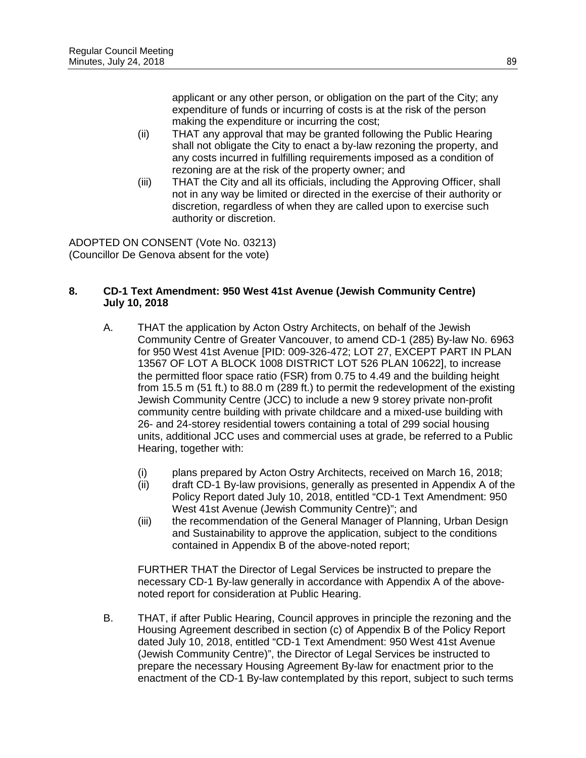applicant or any other person, or obligation on the part of the City; any expenditure of funds or incurring of costs is at the risk of the person making the expenditure or incurring the cost;

- (ii) THAT any approval that may be granted following the Public Hearing shall not obligate the City to enact a by-law rezoning the property, and any costs incurred in fulfilling requirements imposed as a condition of rezoning are at the risk of the property owner; and
- (iii) THAT the City and all its officials, including the Approving Officer, shall not in any way be limited or directed in the exercise of their authority or discretion, regardless of when they are called upon to exercise such authority or discretion.

ADOPTED ON CONSENT (Vote No. 03213) (Councillor De Genova absent for the vote)

## **8. CD-1 Text Amendment: 950 West 41st Avenue (Jewish Community Centre) July 10, 2018**

- A. THAT the application by Acton Ostry Architects, on behalf of the Jewish Community Centre of Greater Vancouver, to amend CD-1 (285) By-law No. 6963 for 950 West 41st Avenue [PID: 009-326-472; LOT 27, EXCEPT PART IN PLAN 13567 OF LOT A BLOCK 1008 DISTRICT LOT 526 PLAN 10622], to increase the permitted floor space ratio (FSR) from 0.75 to 4.49 and the building height from 15.5 m (51 ft.) to 88.0 m (289 ft.) to permit the redevelopment of the existing Jewish Community Centre (JCC) to include a new 9 storey private non-profit community centre building with private childcare and a mixed-use building with 26- and 24-storey residential towers containing a total of 299 social housing units, additional JCC uses and commercial uses at grade, be referred to a Public Hearing, together with:
	- (i) plans prepared by Acton Ostry Architects, received on March 16, 2018;<br>(ii) draft CD-1 By-law provisions, generally as presented in Appendix A of tl
	- draft CD-1 By-law provisions, generally as presented in Appendix A of the Policy Report dated July 10, 2018, entitled "CD-1 Text Amendment: 950 West 41st Avenue (Jewish Community Centre)"; and
	- (iii) the recommendation of the General Manager of Planning, Urban Design and Sustainability to approve the application, subject to the conditions contained in Appendix B of the above-noted report;

FURTHER THAT the Director of Legal Services be instructed to prepare the necessary CD-1 By-law generally in accordance with Appendix A of the abovenoted report for consideration at Public Hearing.

B. THAT, if after Public Hearing, Council approves in principle the rezoning and the Housing Agreement described in section (c) of Appendix B of the Policy Report dated July 10, 2018, entitled "CD-1 Text Amendment: 950 West 41st Avenue (Jewish Community Centre)", the Director of Legal Services be instructed to prepare the necessary Housing Agreement By-law for enactment prior to the enactment of the CD-1 By-law contemplated by this report, subject to such terms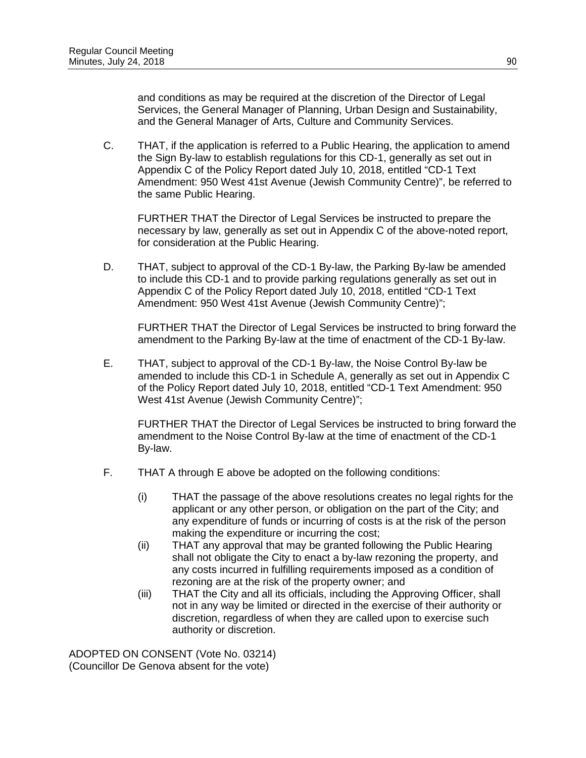and conditions as may be required at the discretion of the Director of Legal Services, the General Manager of Planning, Urban Design and Sustainability, and the General Manager of Arts, Culture and Community Services.

C. THAT, if the application is referred to a Public Hearing, the application to amend the Sign By-law to establish regulations for this CD-1, generally as set out in Appendix C of the Policy Report dated July 10, 2018, entitled "CD-1 Text Amendment: 950 West 41st Avenue (Jewish Community Centre)", be referred to the same Public Hearing.

FURTHER THAT the Director of Legal Services be instructed to prepare the necessary by law, generally as set out in Appendix C of the above-noted report, for consideration at the Public Hearing.

D. THAT, subject to approval of the CD-1 By-law, the Parking By-law be amended to include this CD-1 and to provide parking regulations generally as set out in Appendix C of the Policy Report dated July 10, 2018, entitled "CD-1 Text Amendment: 950 West 41st Avenue (Jewish Community Centre)";

FURTHER THAT the Director of Legal Services be instructed to bring forward the amendment to the Parking By-law at the time of enactment of the CD-1 By-law.

E. THAT, subject to approval of the CD-1 By-law, the Noise Control By-law be amended to include this CD-1 in Schedule A, generally as set out in Appendix C of the Policy Report dated July 10, 2018, entitled "CD-1 Text Amendment: 950 West 41st Avenue (Jewish Community Centre)";

FURTHER THAT the Director of Legal Services be instructed to bring forward the amendment to the Noise Control By-law at the time of enactment of the CD-1 By-law.

- F. THAT A through E above be adopted on the following conditions:
	- (i) THAT the passage of the above resolutions creates no legal rights for the applicant or any other person, or obligation on the part of the City; and any expenditure of funds or incurring of costs is at the risk of the person making the expenditure or incurring the cost;
	- (ii) THAT any approval that may be granted following the Public Hearing shall not obligate the City to enact a by-law rezoning the property, and any costs incurred in fulfilling requirements imposed as a condition of rezoning are at the risk of the property owner; and
	- (iii) THAT the City and all its officials, including the Approving Officer, shall not in any way be limited or directed in the exercise of their authority or discretion, regardless of when they are called upon to exercise such authority or discretion.

ADOPTED ON CONSENT (Vote No. 03214) (Councillor De Genova absent for the vote)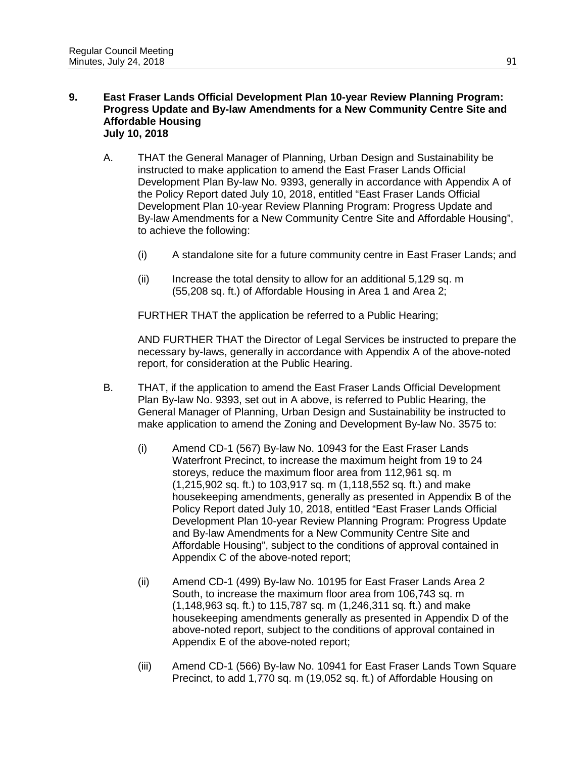#### **9. East Fraser Lands Official Development Plan 10-year Review Planning Program: Progress Update and By-law Amendments for a New Community Centre Site and Affordable Housing July 10, 2018**

- A. THAT the General Manager of Planning, Urban Design and Sustainability be instructed to make application to amend the East Fraser Lands Official Development Plan By-law No. 9393, generally in accordance with Appendix A of the Policy Report dated July 10, 2018, entitled "East Fraser Lands Official Development Plan 10-year Review Planning Program: Progress Update and By-law Amendments for a New Community Centre Site and Affordable Housing", to achieve the following:
	- (i) A standalone site for a future community centre in East Fraser Lands; and
	- (ii) Increase the total density to allow for an additional 5,129 sq. m (55,208 sq. ft.) of Affordable Housing in Area 1 and Area 2;

FURTHER THAT the application be referred to a Public Hearing;

AND FURTHER THAT the Director of Legal Services be instructed to prepare the necessary by-laws, generally in accordance with Appendix A of the above-noted report, for consideration at the Public Hearing.

- B. THAT, if the application to amend the East Fraser Lands Official Development Plan By-law No. 9393, set out in A above, is referred to Public Hearing, the General Manager of Planning, Urban Design and Sustainability be instructed to make application to amend the Zoning and Development By-law No. 3575 to:
	- (i) Amend CD-1 (567) By-law No. 10943 for the East Fraser Lands Waterfront Precinct, to increase the maximum height from 19 to 24 storeys, reduce the maximum floor area from 112,961 sq. m (1,215,902 sq. ft.) to 103,917 sq. m (1,118,552 sq. ft.) and make housekeeping amendments, generally as presented in Appendix B of the Policy Report dated July 10, 2018, entitled "East Fraser Lands Official Development Plan 10-year Review Planning Program: Progress Update and By-law Amendments for a New Community Centre Site and Affordable Housing", subject to the conditions of approval contained in Appendix C of the above-noted report;
	- (ii) Amend CD-1 (499) By-law No. 10195 for East Fraser Lands Area 2 South, to increase the maximum floor area from 106,743 sq. m (1,148,963 sq. ft.) to 115,787 sq. m (1,246,311 sq. ft.) and make housekeeping amendments generally as presented in Appendix D of the above-noted report, subject to the conditions of approval contained in Appendix E of the above-noted report;
	- (iii) Amend CD-1 (566) By-law No. 10941 for East Fraser Lands Town Square Precinct, to add 1,770 sq. m (19,052 sq. ft.) of Affordable Housing on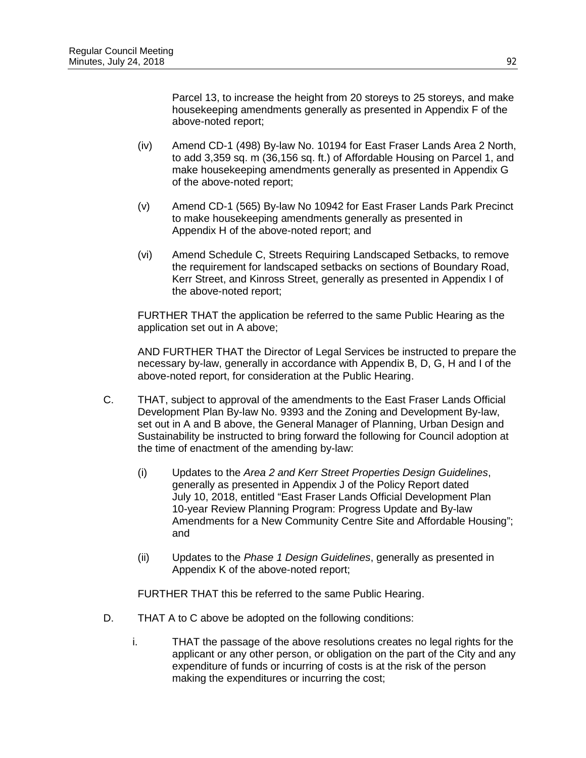Parcel 13, to increase the height from 20 storeys to 25 storeys, and make housekeeping amendments generally as presented in Appendix F of the above-noted report;

- (iv) Amend CD-1 (498) By-law No. 10194 for East Fraser Lands Area 2 North, to add 3,359 sq. m (36,156 sq. ft.) of Affordable Housing on Parcel 1, and make housekeeping amendments generally as presented in Appendix G of the above-noted report;
- (v) Amend CD-1 (565) By-law No 10942 for East Fraser Lands Park Precinct to make housekeeping amendments generally as presented in Appendix H of the above-noted report; and
- (vi) Amend Schedule C, Streets Requiring Landscaped Setbacks, to remove the requirement for landscaped setbacks on sections of Boundary Road, Kerr Street, and Kinross Street, generally as presented in Appendix I of the above-noted report;

FURTHER THAT the application be referred to the same Public Hearing as the application set out in A above;

AND FURTHER THAT the Director of Legal Services be instructed to prepare the necessary by-law, generally in accordance with Appendix B, D, G, H and I of the above-noted report, for consideration at the Public Hearing.

- C. THAT, subject to approval of the amendments to the East Fraser Lands Official Development Plan By-law No. 9393 and the Zoning and Development By-law, set out in A and B above, the General Manager of Planning, Urban Design and Sustainability be instructed to bring forward the following for Council adoption at the time of enactment of the amending by-law:
	- (i) Updates to the *Area 2 and Kerr Street Properties Design Guidelines*, generally as presented in Appendix J of the Policy Report dated July 10, 2018, entitled "East Fraser Lands Official Development Plan 10-year Review Planning Program: Progress Update and By-law Amendments for a New Community Centre Site and Affordable Housing"; and
	- (ii) Updates to the *Phase 1 Design Guidelines*, generally as presented in Appendix K of the above-noted report;

FURTHER THAT this be referred to the same Public Hearing.

- D. THAT A to C above be adopted on the following conditions:
	- i. THAT the passage of the above resolutions creates no legal rights for the applicant or any other person, or obligation on the part of the City and any expenditure of funds or incurring of costs is at the risk of the person making the expenditures or incurring the cost;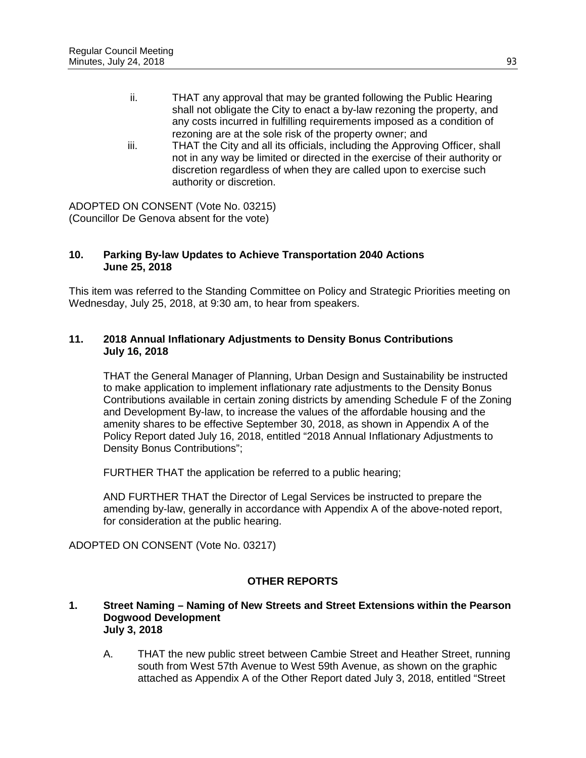- ii. THAT any approval that may be granted following the Public Hearing shall not obligate the City to enact a by-law rezoning the property, and any costs incurred in fulfilling requirements imposed as a condition of rezoning are at the sole risk of the property owner; and
- iii. THAT the City and all its officials, including the Approving Officer, shall not in any way be limited or directed in the exercise of their authority or discretion regardless of when they are called upon to exercise such authority or discretion.

ADOPTED ON CONSENT (Vote No. 03215) (Councillor De Genova absent for the vote)

### **10. Parking By-law Updates to Achieve Transportation 2040 Actions June 25, 2018**

This item was referred to the Standing Committee on Policy and Strategic Priorities meeting on Wednesday, July 25, 2018, at 9:30 am, to hear from speakers.

## **11. 2018 Annual Inflationary Adjustments to Density Bonus Contributions July 16, 2018**

THAT the General Manager of Planning, Urban Design and Sustainability be instructed to make application to implement inflationary rate adjustments to the Density Bonus Contributions available in certain zoning districts by amending Schedule F of the Zoning and Development By-law, to increase the values of the affordable housing and the amenity shares to be effective September 30, 2018, as shown in Appendix A of the Policy Report dated July 16, 2018, entitled "2018 Annual Inflationary Adjustments to Density Bonus Contributions";

FURTHER THAT the application be referred to a public hearing;

AND FURTHER THAT the Director of Legal Services be instructed to prepare the amending by-law, generally in accordance with Appendix A of the above-noted report, for consideration at the public hearing.

ADOPTED ON CONSENT (Vote No. 03217)

# **OTHER REPORTS**

#### **1. Street Naming – Naming of New Streets and Street Extensions within the Pearson Dogwood Development July 3, 2018**

A. THAT the new public street between Cambie Street and Heather Street, running south from West 57th Avenue to West 59th Avenue, as shown on the graphic attached as Appendix A of the Other Report dated July 3, 2018, entitled "Street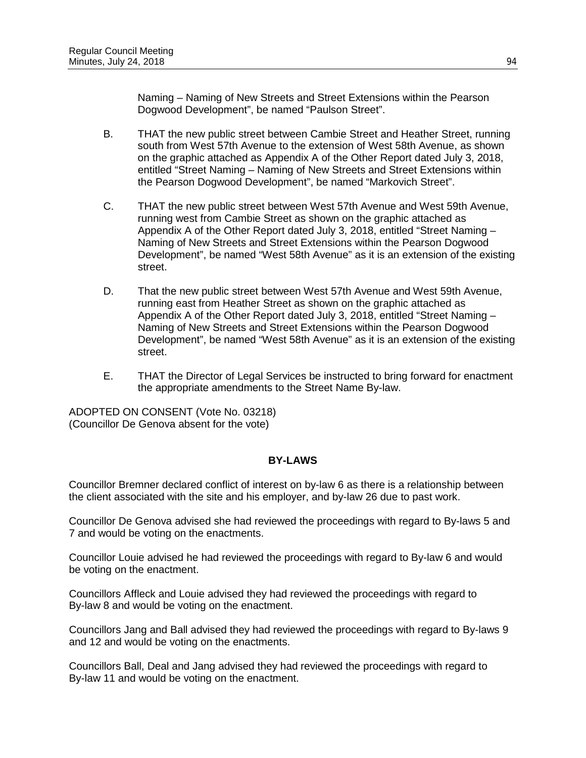Naming – Naming of New Streets and Street Extensions within the Pearson Dogwood Development", be named "Paulson Street".

- B. THAT the new public street between Cambie Street and Heather Street, running south from West 57th Avenue to the extension of West 58th Avenue, as shown on the graphic attached as Appendix A of the Other Report dated July 3, 2018, entitled "Street Naming – Naming of New Streets and Street Extensions within the Pearson Dogwood Development", be named "Markovich Street".
- C. THAT the new public street between West 57th Avenue and West 59th Avenue, running west from Cambie Street as shown on the graphic attached as Appendix A of the Other Report dated July 3, 2018, entitled "Street Naming – Naming of New Streets and Street Extensions within the Pearson Dogwood Development", be named "West 58th Avenue" as it is an extension of the existing street.
- D. That the new public street between West 57th Avenue and West 59th Avenue, running east from Heather Street as shown on the graphic attached as Appendix A of the Other Report dated July 3, 2018, entitled "Street Naming – Naming of New Streets and Street Extensions within the Pearson Dogwood Development", be named "West 58th Avenue" as it is an extension of the existing street.
- E. THAT the Director of Legal Services be instructed to bring forward for enactment the appropriate amendments to the Street Name By-law.

ADOPTED ON CONSENT (Vote No. 03218) (Councillor De Genova absent for the vote)

## **BY-LAWS**

Councillor Bremner declared conflict of interest on by-law 6 as there is a relationship between the client associated with the site and his employer, and by-law 26 due to past work.

Councillor De Genova advised she had reviewed the proceedings with regard to By-laws 5 and 7 and would be voting on the enactments.

Councillor Louie advised he had reviewed the proceedings with regard to By-law 6 and would be voting on the enactment.

Councillors Affleck and Louie advised they had reviewed the proceedings with regard to By-law 8 and would be voting on the enactment.

Councillors Jang and Ball advised they had reviewed the proceedings with regard to By-laws 9 and 12 and would be voting on the enactments.

Councillors Ball, Deal and Jang advised they had reviewed the proceedings with regard to By-law 11 and would be voting on the enactment.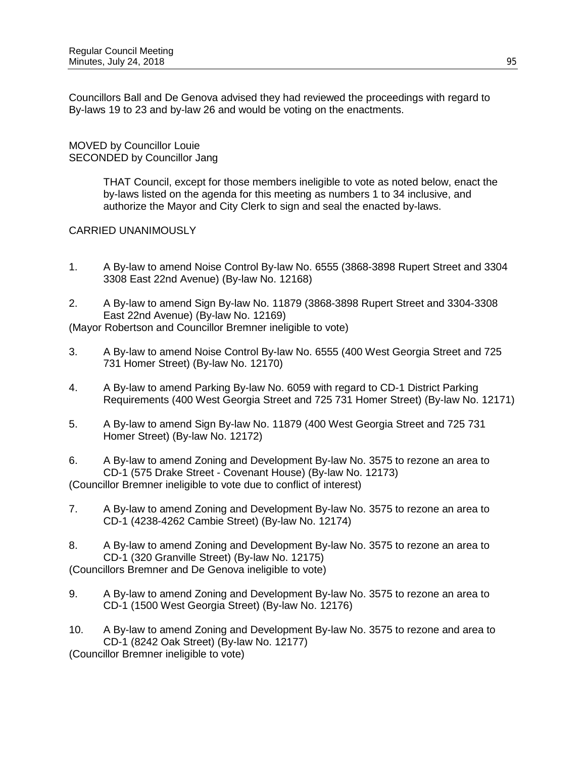Councillors Ball and De Genova advised they had reviewed the proceedings with regard to By-laws 19 to 23 and by-law 26 and would be voting on the enactments.

MOVED by Councillor Louie SECONDED by Councillor Jang

> THAT Council, except for those members ineligible to vote as noted below, enact the by-laws listed on the agenda for this meeting as numbers 1 to 34 inclusive, and authorize the Mayor and City Clerk to sign and seal the enacted by-laws.

CARRIED UNANIMOUSLY

- 1. A By-law to amend Noise Control By-law No. 6555 (3868-3898 Rupert Street and 3304 3308 East 22nd Avenue) (By-law No. 12168)
- 2. A By-law to amend Sign By-law No. 11879 (3868-3898 Rupert Street and 3304-3308 East 22nd Avenue) (By-law No. 12169)

(Mayor Robertson and Councillor Bremner ineligible to vote)

- 3. A By-law to amend Noise Control By-law No. 6555 (400 West Georgia Street and 725 731 Homer Street) (By-law No. 12170)
- 4. A By-law to amend Parking By-law No. 6059 with regard to CD-1 District Parking Requirements (400 West Georgia Street and 725 731 Homer Street) (By-law No. 12171)
- 5. A By-law to amend Sign By-law No. 11879 (400 West Georgia Street and 725 731 Homer Street) (By-law No. 12172)

6. A By-law to amend Zoning and Development By-law No. 3575 to rezone an area to CD-1 (575 Drake Street - Covenant House) (By-law No. 12173) (Councillor Bremner ineligible to vote due to conflict of interest)

- 7. A By-law to amend Zoning and Development By-law No. 3575 to rezone an area to CD-1 (4238-4262 Cambie Street) (By-law No. 12174)
- 8. A By-law to amend Zoning and Development By-law No. 3575 to rezone an area to CD-1 (320 Granville Street) (By-law No. 12175) (Councillors Bremner and De Genova ineligible to vote)
- 9. A By-law to amend Zoning and Development By-law No. 3575 to rezone an area to CD-1 (1500 West Georgia Street) (By-law No. 12176)
- 10. A By-law to amend Zoning and Development By-law No. 3575 to rezone and area to CD-1 (8242 Oak Street) (By-law No. 12177)

(Councillor Bremner ineligible to vote)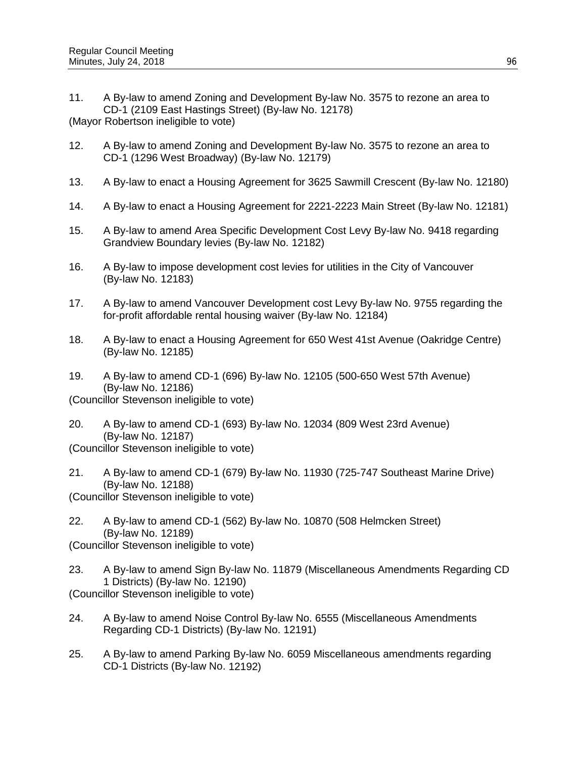11. A By-law to amend Zoning and Development By-law No. 3575 to rezone an area to CD-1 (2109 East Hastings Street) (By-law No. 12178)

(Mayor Robertson ineligible to vote)

- 12. A By-law to amend Zoning and Development By-law No. 3575 to rezone an area to CD-1 (1296 West Broadway) (By-law No. 12179)
- 13. A By-law to enact a Housing Agreement for 3625 Sawmill Crescent (By-law No. 12180)
- 14. A By-law to enact a Housing Agreement for 2221-2223 Main Street (By-law No. 12181)
- 15. A By-law to amend Area Specific Development Cost Levy By-law No. 9418 regarding Grandview Boundary levies (By-law No. 12182)
- 16. A By-law to impose development cost levies for utilities in the City of Vancouver (By-law No. 12183)
- 17. A By-law to amend Vancouver Development cost Levy By-law No. 9755 regarding the for-profit affordable rental housing waiver (By-law No. 12184)
- 18. A By-law to enact a Housing Agreement for 650 West 41st Avenue (Oakridge Centre) (By-law No. 12185)
- 19. A By-law to amend CD-1 (696) By-law No. 12105 (500-650 West 57th Avenue) (By-law No. 12186) (Councillor Stevenson ineligible to vote)
- 20. A By-law to amend CD-1 (693) By-law No. 12034 (809 West 23rd Avenue) (By-law No. 12187)
- (Councillor Stevenson ineligible to vote)
- 21. A By-law to amend CD-1 (679) By-law No. 11930 (725-747 Southeast Marine Drive) (By-law No. 12188) (Councillor Stevenson ineligible to vote)
- 22. A By-law to amend CD-1 (562) By-law No. 10870 (508 Helmcken Street) (By-law No. 12189)
- (Councillor Stevenson ineligible to vote)
- 23. A By-law to amend Sign By-law No. 11879 (Miscellaneous Amendments Regarding CD 1 Districts) (By-law No. 12190) (Councillor Stevenson ineligible to vote)
- 24. A By-law to amend Noise Control By-law No. 6555 (Miscellaneous Amendments Regarding CD-1 Districts) (By-law No. 12191)
- 25. A By-law to amend Parking By-law No. 6059 Miscellaneous amendments regarding CD-1 Districts (By-law No. 12192)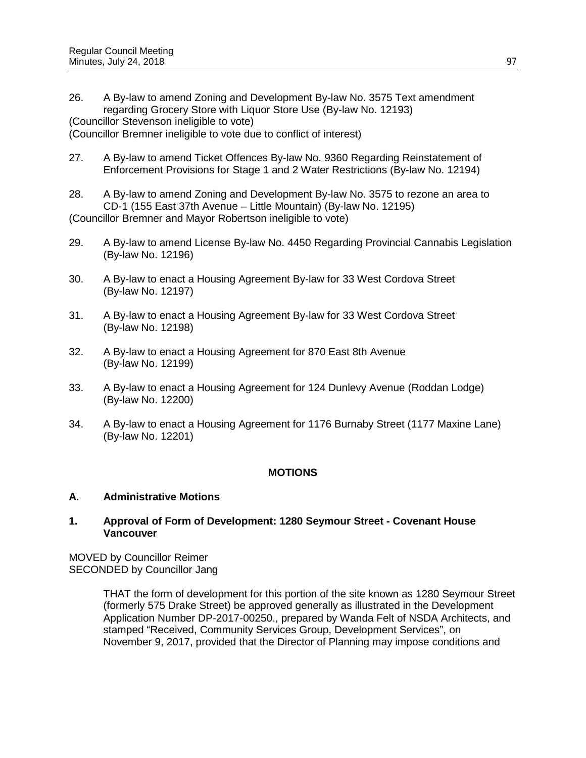26. A By-law to amend Zoning and Development By-law No. 3575 Text amendment regarding Grocery Store with Liquor Store Use (By-law No. 12193) (Councillor Stevenson ineligible to vote)

(Councillor Bremner ineligible to vote due to conflict of interest)

- 27. A By-law to amend Ticket Offences By-law No. 9360 Regarding Reinstatement of Enforcement Provisions for Stage 1 and 2 Water Restrictions (By-law No. 12194)
- 28. A By-law to amend Zoning and Development By-law No. 3575 to rezone an area to CD-1 (155 East 37th Avenue – Little Mountain) (By-law No. 12195) (Councillor Bremner and Mayor Robertson ineligible to vote)
- 29. A By-law to amend License By-law No. 4450 Regarding Provincial Cannabis Legislation (By-law No. 12196)
- 30. A By-law to enact a Housing Agreement By-law for 33 West Cordova Street (By-law No. 12197)
- 31. A By-law to enact a Housing Agreement By-law for 33 West Cordova Street (By-law No. 12198)
- 32. A By-law to enact a Housing Agreement for 870 East 8th Avenue (By-law No. 12199)
- 33. A By-law to enact a Housing Agreement for 124 Dunlevy Avenue (Roddan Lodge) (By-law No. 12200)
- 34. A By-law to enact a Housing Agreement for 1176 Burnaby Street (1177 Maxine Lane) (By-law No. 12201)

## **MOTIONS**

#### **A. Administrative Motions**

### **1. Approval of Form of Development: 1280 Seymour Street - Covenant House Vancouver**

MOVED by Councillor Reimer SECONDED by Councillor Jang

> THAT the form of development for this portion of the site known as 1280 Seymour Street (formerly 575 Drake Street) be approved generally as illustrated in the Development Application Number DP-2017-00250., prepared by Wanda Felt of NSDA Architects, and stamped "Received, Community Services Group, Development Services", on November 9, 2017, provided that the Director of Planning may impose conditions and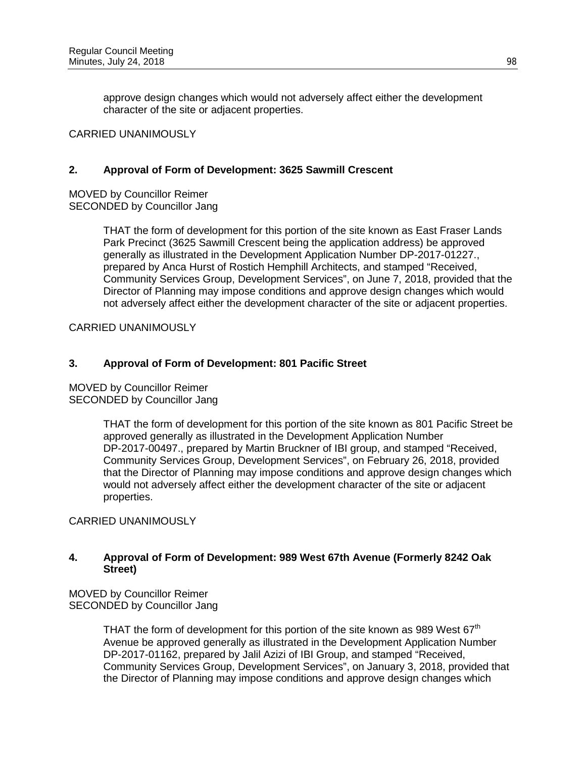approve design changes which would not adversely affect either the development character of the site or adjacent properties.

#### CARRIED UNANIMOUSLY

### **2. Approval of Form of Development: 3625 Sawmill Crescent**

MOVED by Councillor Reimer SECONDED by Councillor Jang

> THAT the form of development for this portion of the site known as East Fraser Lands Park Precinct (3625 Sawmill Crescent being the application address) be approved generally as illustrated in the Development Application Number DP-2017-01227., prepared by Anca Hurst of Rostich Hemphill Architects, and stamped "Received, Community Services Group, Development Services", on June 7, 2018, provided that the Director of Planning may impose conditions and approve design changes which would not adversely affect either the development character of the site or adjacent properties.

CARRIED UNANIMOUSLY

## **3. Approval of Form of Development: 801 Pacific Street**

MOVED by Councillor Reimer SECONDED by Councillor Jang

> THAT the form of development for this portion of the site known as 801 Pacific Street be approved generally as illustrated in the Development Application Number DP-2017-00497., prepared by Martin Bruckner of IBI group, and stamped "Received, Community Services Group, Development Services", on February 26, 2018, provided that the Director of Planning may impose conditions and approve design changes which would not adversely affect either the development character of the site or adjacent properties.

CARRIED UNANIMOUSLY

## **4. Approval of Form of Development: 989 West 67th Avenue (Formerly 8242 Oak Street)**

MOVED by Councillor Reimer SECONDED by Councillor Jang

> THAT the form of development for this portion of the site known as 989 West  $67<sup>th</sup>$ Avenue be approved generally as illustrated in the Development Application Number DP-2017-01162, prepared by Jalil Azizi of IBI Group, and stamped "Received, Community Services Group, Development Services", on January 3, 2018, provided that the Director of Planning may impose conditions and approve design changes which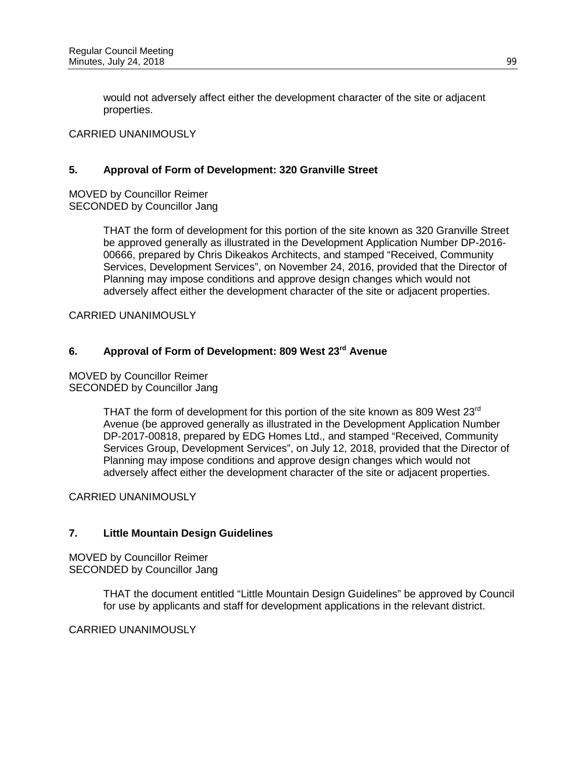would not adversely affect either the development character of the site or adjacent properties.

## CARRIED UNANIMOUSLY

### **5. Approval of Form of Development: 320 Granville Street**

MOVED by Councillor Reimer SECONDED by Councillor Jang

> THAT the form of development for this portion of the site known as 320 Granville Street be approved generally as illustrated in the Development Application Number DP-2016- 00666, prepared by Chris Dikeakos Architects, and stamped "Received, Community Services, Development Services", on November 24, 2016, provided that the Director of Planning may impose conditions and approve design changes which would not adversely affect either the development character of the site or adjacent properties.

CARRIED UNANIMOUSLY

# **6. Approval of Form of Development: 809 West 23rd Avenue**

MOVED by Councillor Reimer SECONDED by Councillor Jang

> THAT the form of development for this portion of the site known as 809 West 23 $^{\text{rd}}$ Avenue (be approved generally as illustrated in the Development Application Number DP-2017-00818, prepared by EDG Homes Ltd., and stamped "Received, Community Services Group, Development Services", on July 12, 2018, provided that the Director of Planning may impose conditions and approve design changes which would not adversely affect either the development character of the site or adjacent properties.

CARRIED UNANIMOUSLY

## **7. Little Mountain Design Guidelines**

MOVED by Councillor Reimer SECONDED by Councillor Jang

> THAT the document entitled "Little Mountain Design Guidelines" be approved by Council for use by applicants and staff for development applications in the relevant district.

CARRIED UNANIMOUSLY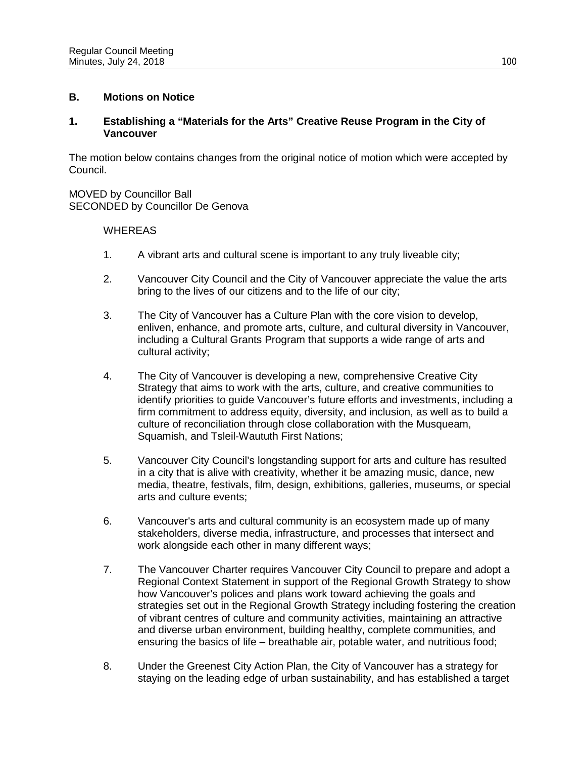## **B. Motions on Notice**

## **1. Establishing a "Materials for the Arts" Creative Reuse Program in the City of Vancouver**

The motion below contains changes from the original notice of motion which were accepted by Council.

MOVED by Councillor Ball SECONDED by Councillor De Genova

### **WHEREAS**

- 1. A vibrant arts and cultural scene is important to any truly liveable city;
- 2. Vancouver City Council and the City of Vancouver appreciate the value the arts bring to the lives of our citizens and to the life of our city;
- 3. The City of Vancouver has a Culture Plan with the core vision to develop, enliven, enhance, and promote arts, culture, and cultural diversity in Vancouver, including a Cultural Grants Program that supports a wide range of arts and cultural activity;
- 4. The City of Vancouver is developing a new, comprehensive Creative City Strategy that aims to work with the arts, culture, and creative communities to identify priorities to guide Vancouver's future efforts and investments, including a firm commitment to address equity, diversity, and inclusion, as well as to build a culture of reconciliation through close collaboration with the Musqueam, Squamish, and Tsleil-Waututh First Nations;
- 5. Vancouver City Council's longstanding support for arts and culture has resulted in a city that is alive with creativity, whether it be amazing music, dance, new media, theatre, festivals, film, design, exhibitions, galleries, museums, or special arts and culture events;
- 6. Vancouver's arts and cultural community is an ecosystem made up of many stakeholders, diverse media, infrastructure, and processes that intersect and work alongside each other in many different ways;
- 7. The Vancouver Charter requires Vancouver City Council to prepare and adopt a Regional Context Statement in support of the Regional Growth Strategy to show how Vancouver's polices and plans work toward achieving the goals and strategies set out in the Regional Growth Strategy including fostering the creation of vibrant centres of culture and community activities, maintaining an attractive and diverse urban environment, building healthy, complete communities, and ensuring the basics of life – breathable air, potable water, and nutritious food;
- 8. Under the Greenest City Action Plan, the City of Vancouver has a strategy for staying on the leading edge of urban sustainability, and has established a target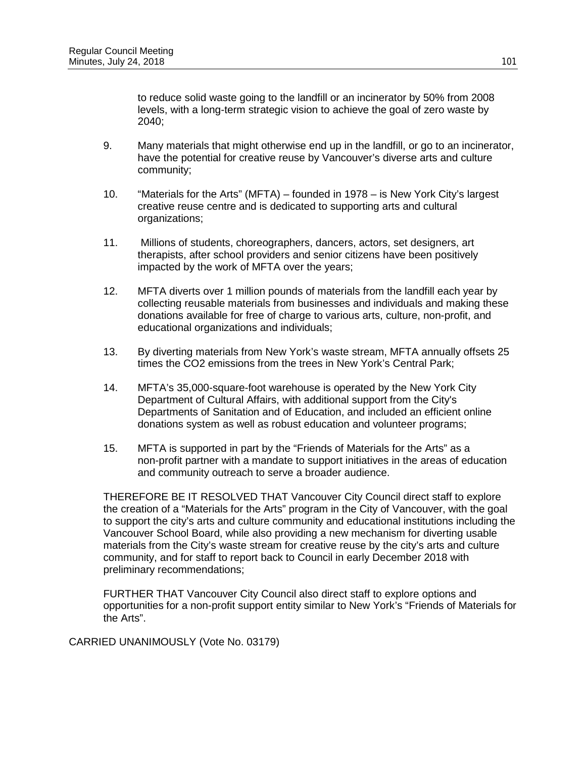to reduce solid waste going to the landfill or an incinerator by 50% from 2008 levels, with a long-term strategic vision to achieve the goal of zero waste by 2040;

- 9. Many materials that might otherwise end up in the landfill, or go to an incinerator, have the potential for creative reuse by Vancouver's diverse arts and culture community;
- 10. "Materials for the Arts" (MFTA) founded in 1978 is New York City's largest creative reuse centre and is dedicated to supporting arts and cultural organizations;
- 11. Millions of students, choreographers, dancers, actors, set designers, art therapists, after school providers and senior citizens have been positively impacted by the work of MFTA over the years;
- 12. MFTA diverts over 1 million pounds of materials from the landfill each year by collecting reusable materials from businesses and individuals and making these donations available for free of charge to various arts, culture, non-profit, and educational organizations and individuals;
- 13. By diverting materials from New York's waste stream, MFTA annually offsets 25 times the CO2 emissions from the trees in New York's Central Park;
- 14. MFTA's 35,000-square-foot warehouse is operated by the New York City Department of Cultural Affairs, with additional support from the City's Departments of Sanitation and of Education, and included an efficient online donations system as well as robust education and volunteer programs;
- 15. MFTA is supported in part by the "Friends of Materials for the Arts" as a non-profit partner with a mandate to support initiatives in the areas of education and community outreach to serve a broader audience.

THEREFORE BE IT RESOLVED THAT Vancouver City Council direct staff to explore the creation of a "Materials for the Arts" program in the City of Vancouver, with the goal to support the city's arts and culture community and educational institutions including the Vancouver School Board, while also providing a new mechanism for diverting usable materials from the City's waste stream for creative reuse by the city's arts and culture community, and for staff to report back to Council in early December 2018 with preliminary recommendations;

FURTHER THAT Vancouver City Council also direct staff to explore options and opportunities for a non-profit support entity similar to New York's "Friends of Materials for the Arts".

CARRIED UNANIMOUSLY (Vote No. 03179)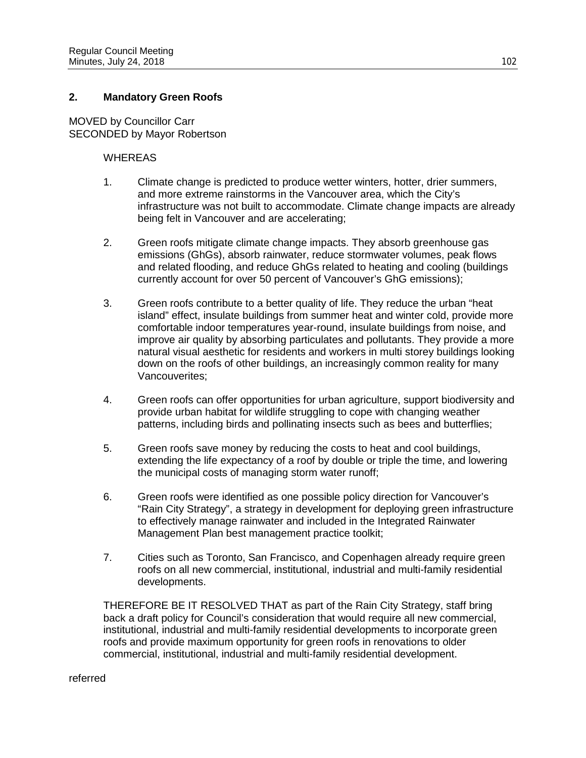## **2. Mandatory Green Roofs**

MOVED by Councillor Carr SECONDED by Mayor Robertson

#### **WHEREAS**

- 1. Climate change is predicted to produce wetter winters, hotter, drier summers, and more extreme rainstorms in the Vancouver area, which the City's infrastructure was not built to accommodate. Climate change impacts are already being felt in Vancouver and are accelerating;
- 2. Green roofs mitigate climate change impacts. They absorb greenhouse gas emissions (GhGs), absorb rainwater, reduce stormwater volumes, peak flows and related flooding, and reduce GhGs related to heating and cooling (buildings currently account for over 50 percent of Vancouver's GhG emissions);
- 3. Green roofs contribute to a better quality of life. They reduce the urban "heat island" effect, insulate buildings from summer heat and winter cold, provide more comfortable indoor temperatures year-round, insulate buildings from noise, and improve air quality by absorbing particulates and pollutants. They provide a more natural visual aesthetic for residents and workers in multi storey buildings looking down on the roofs of other buildings, an increasingly common reality for many Vancouverites;
- 4. Green roofs can offer opportunities for urban agriculture, support biodiversity and provide urban habitat for wildlife struggling to cope with changing weather patterns, including birds and pollinating insects such as bees and butterflies;
- 5. Green roofs save money by reducing the costs to heat and cool buildings, extending the life expectancy of a roof by double or triple the time, and lowering the municipal costs of managing storm water runoff;
- 6. Green roofs were identified as one possible policy direction for Vancouver's "Rain City Strategy", a strategy in development for deploying green infrastructure to effectively manage rainwater and included in the Integrated Rainwater Management Plan best management practice toolkit;
- 7. Cities such as Toronto, San Francisco, and Copenhagen already require green roofs on all new commercial, institutional, industrial and multi-family residential developments.

THEREFORE BE IT RESOLVED THAT as part of the Rain City Strategy, staff bring back a draft policy for Council's consideration that would require all new commercial, institutional, industrial and multi-family residential developments to incorporate green roofs and provide maximum opportunity for green roofs in renovations to older commercial, institutional, industrial and multi-family residential development.

#### referred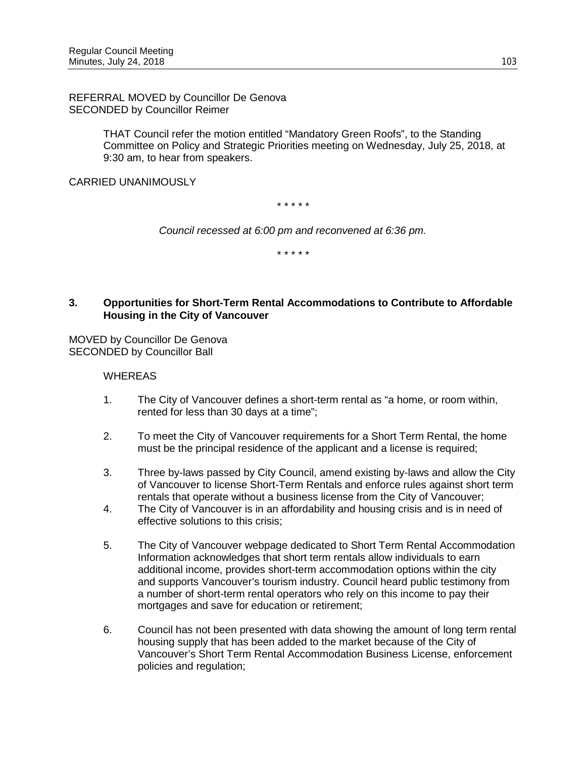REFERRAL MOVED by Councillor De Genova SECONDED by Councillor Reimer

> THAT Council refer the motion entitled "Mandatory Green Roofs", to the Standing Committee on Policy and Strategic Priorities meeting on Wednesday, July 25, 2018, at 9:30 am, to hear from speakers.

CARRIED UNANIMOUSLY

*\* \* \* \* \**

*Council recessed at 6:00 pm and reconvened at 6:36 pm.*

*\* \* \* \* \**

## **3. Opportunities for Short-Term Rental Accommodations to Contribute to Affordable Housing in the City of Vancouver**

MOVED by Councillor De Genova SECONDED by Councillor Ball

#### WHEREAS

- 1. The City of Vancouver defines a short-term rental as "a home, or room within, rented for less than 30 days at a time";
- 2. To meet the City of Vancouver requirements for a Short Term Rental, the home must be the principal residence of the applicant and a license is required;
- 3. Three by-laws passed by City Council, amend existing by-laws and allow the City of Vancouver to license Short-Term Rentals and enforce rules against short term rentals that operate without a business license from the City of Vancouver;
- 4. The City of Vancouver is in an affordability and housing crisis and is in need of effective solutions to this crisis;
- 5. The City of Vancouver webpage dedicated to Short Term Rental Accommodation Information acknowledges that short term rentals allow individuals to earn additional income, provides short-term accommodation options within the city and supports Vancouver's tourism industry. Council heard public testimony from a number of short-term rental operators who rely on this income to pay their mortgages and save for education or retirement;
- 6. Council has not been presented with data showing the amount of long term rental housing supply that has been added to the market because of the City of Vancouver's Short Term Rental Accommodation Business License, enforcement policies and regulation;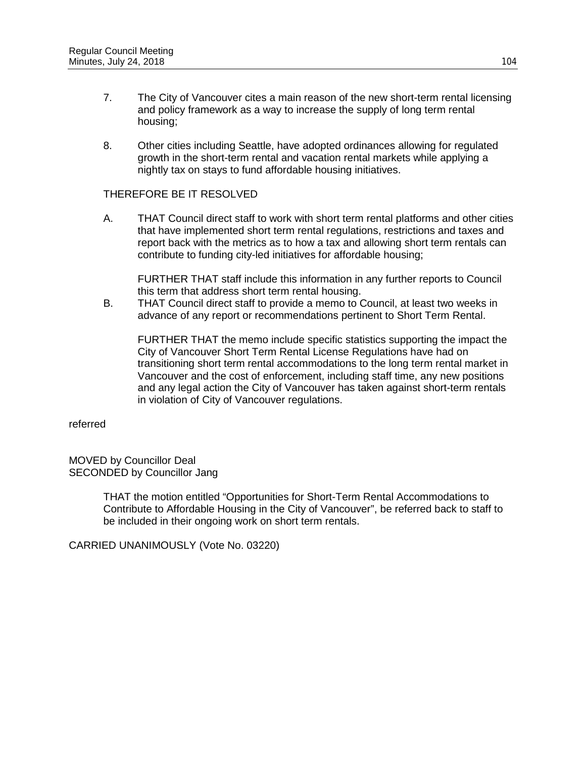- 7. The City of Vancouver cites a main reason of the new short-term rental licensing and policy framework as a way to increase the supply of long term rental housing;
- 8. Other cities including Seattle, have adopted ordinances allowing for regulated growth in the short-term rental and vacation rental markets while applying a nightly tax on stays to fund affordable housing initiatives.

## THEREFORE BE IT RESOLVED

A. THAT Council direct staff to work with short term rental platforms and other cities that have implemented short term rental regulations, restrictions and taxes and report back with the metrics as to how a tax and allowing short term rentals can contribute to funding city-led initiatives for affordable housing;

FURTHER THAT staff include this information in any further reports to Council this term that address short term rental housing.

B. THAT Council direct staff to provide a memo to Council, at least two weeks in advance of any report or recommendations pertinent to Short Term Rental.

FURTHER THAT the memo include specific statistics supporting the impact the City of Vancouver Short Term Rental License Regulations have had on transitioning short term rental accommodations to the long term rental market in Vancouver and the cost of enforcement, including staff time, any new positions and any legal action the City of Vancouver has taken against short-term rentals in violation of City of Vancouver regulations.

referred

MOVED by Councillor Deal SECONDED by Councillor Jang

> THAT the motion entitled "Opportunities for Short-Term Rental Accommodations to Contribute to Affordable Housing in the City of Vancouver", be referred back to staff to be included in their ongoing work on short term rentals.

CARRIED UNANIMOUSLY (Vote No. 03220)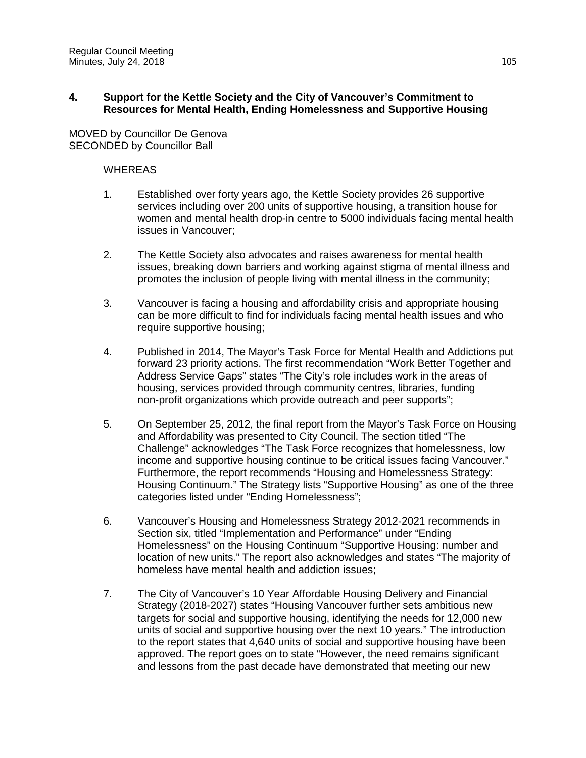## **4. Support for the Kettle Society and the City of Vancouver's Commitment to Resources for Mental Health, Ending Homelessness and Supportive Housing**

MOVED by Councillor De Genova SECONDED by Councillor Ball

#### **WHEREAS**

- 1. Established over forty years ago, the Kettle Society provides 26 supportive services including over 200 units of supportive housing, a transition house for women and mental health drop-in centre to 5000 individuals facing mental health issues in Vancouver;
- 2. The Kettle Society also advocates and raises awareness for mental health issues, breaking down barriers and working against stigma of mental illness and promotes the inclusion of people living with mental illness in the community;
- 3. Vancouver is facing a housing and affordability crisis and appropriate housing can be more difficult to find for individuals facing mental health issues and who require supportive housing;
- 4. Published in 2014, The Mayor's Task Force for Mental Health and Addictions put forward 23 priority actions. The first recommendation "Work Better Together and Address Service Gaps" states "The City's role includes work in the areas of housing, services provided through community centres, libraries, funding non-profit organizations which provide outreach and peer supports";
- 5. On September 25, 2012, the final report from the Mayor's Task Force on Housing and Affordability was presented to City Council. The section titled "The Challenge" acknowledges "The Task Force recognizes that homelessness, low income and supportive housing continue to be critical issues facing Vancouver." Furthermore, the report recommends "Housing and Homelessness Strategy: Housing Continuum." The Strategy lists "Supportive Housing" as one of the three categories listed under "Ending Homelessness";
- 6. Vancouver's Housing and Homelessness Strategy 2012-2021 recommends in Section six, titled "Implementation and Performance" under "Ending Homelessness" on the Housing Continuum "Supportive Housing: number and location of new units." The report also acknowledges and states "The majority of homeless have mental health and addiction issues;
- 7. The City of Vancouver's 10 Year Affordable Housing Delivery and Financial Strategy (2018-2027) states "Housing Vancouver further sets ambitious new targets for social and supportive housing, identifying the needs for 12,000 new units of social and supportive housing over the next 10 years." The introduction to the report states that 4,640 units of social and supportive housing have been approved. The report goes on to state "However, the need remains significant and lessons from the past decade have demonstrated that meeting our new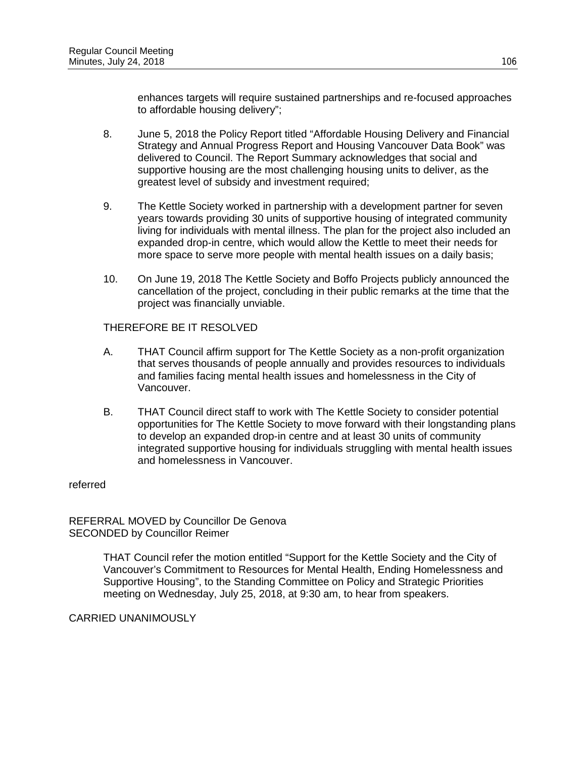enhances targets will require sustained partnerships and re-focused approaches to affordable housing delivery";

- 8. June 5, 2018 the Policy Report titled "Affordable Housing Delivery and Financial Strategy and Annual Progress Report and Housing Vancouver Data Book" was delivered to Council. The Report Summary acknowledges that social and supportive housing are the most challenging housing units to deliver, as the greatest level of subsidy and investment required;
- 9. The Kettle Society worked in partnership with a development partner for seven years towards providing 30 units of supportive housing of integrated community living for individuals with mental illness. The plan for the project also included an expanded drop-in centre, which would allow the Kettle to meet their needs for more space to serve more people with mental health issues on a daily basis;
- 10. On June 19, 2018 The Kettle Society and Boffo Projects publicly announced the cancellation of the project, concluding in their public remarks at the time that the project was financially unviable.

THEREFORE BE IT RESOLVED

- A. THAT Council affirm support for The Kettle Society as a non-profit organization that serves thousands of people annually and provides resources to individuals and families facing mental health issues and homelessness in the City of Vancouver.
- B. THAT Council direct staff to work with The Kettle Society to consider potential opportunities for The Kettle Society to move forward with their longstanding plans to develop an expanded drop-in centre and at least 30 units of community integrated supportive housing for individuals struggling with mental health issues and homelessness in Vancouver.

referred

REFERRAL MOVED by Councillor De Genova SECONDED by Councillor Reimer

> THAT Council refer the motion entitled "Support for the Kettle Society and the City of Vancouver's Commitment to Resources for Mental Health, Ending Homelessness and Supportive Housing", to the Standing Committee on Policy and Strategic Priorities meeting on Wednesday, July 25, 2018, at 9:30 am, to hear from speakers.

CARRIED UNANIMOUSLY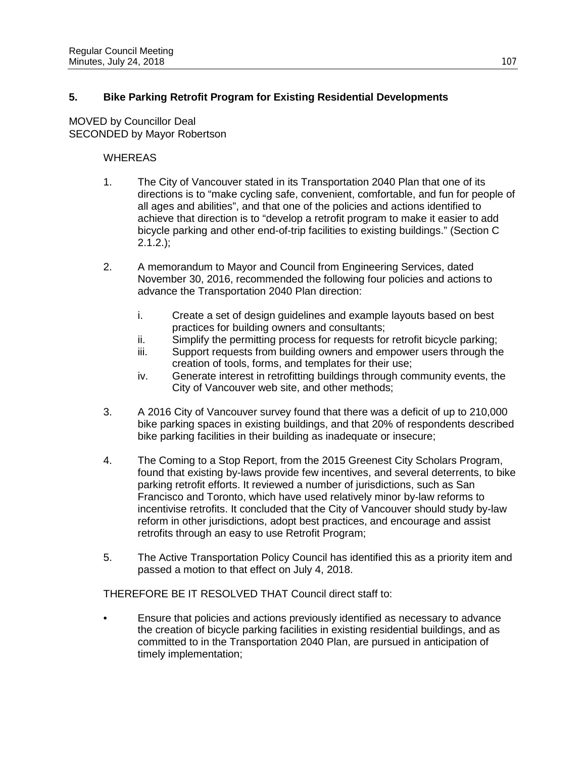# **5. Bike Parking Retrofit Program for Existing Residential Developments**

MOVED by Councillor Deal SECONDED by Mayor Robertson

## **WHEREAS**

- 1. The City of Vancouver stated in its Transportation 2040 Plan that one of its directions is to "make cycling safe, convenient, comfortable, and fun for people of all ages and abilities", and that one of the policies and actions identified to achieve that direction is to "develop a retrofit program to make it easier to add bicycle parking and other end-of-trip facilities to existing buildings." (Section C  $2.1.2.$ );
- 2. A memorandum to Mayor and Council from Engineering Services, dated November 30, 2016, recommended the following four policies and actions to advance the Transportation 2040 Plan direction:
	- i. Create a set of design guidelines and example layouts based on best practices for building owners and consultants;
	- ii. Simplify the permitting process for requests for retrofit bicycle parking;
	- iii. Support requests from building owners and empower users through the creation of tools, forms, and templates for their use;
	- iv. Generate interest in retrofitting buildings through community events, the City of Vancouver web site, and other methods;
- 3. A 2016 City of Vancouver survey found that there was a deficit of up to 210,000 bike parking spaces in existing buildings, and that 20% of respondents described bike parking facilities in their building as inadequate or insecure;
- 4. The Coming to a Stop Report, from the 2015 Greenest City Scholars Program, found that existing by-laws provide few incentives, and several deterrents, to bike parking retrofit efforts. It reviewed a number of jurisdictions, such as San Francisco and Toronto, which have used relatively minor by-law reforms to incentivise retrofits. It concluded that the City of Vancouver should study by-law reform in other jurisdictions, adopt best practices, and encourage and assist retrofits through an easy to use Retrofit Program;
- 5. The Active Transportation Policy Council has identified this as a priority item and passed a motion to that effect on July 4, 2018.

THEREFORE BE IT RESOLVED THAT Council direct staff to:

• Ensure that policies and actions previously identified as necessary to advance the creation of bicycle parking facilities in existing residential buildings, and as committed to in the Transportation 2040 Plan, are pursued in anticipation of timely implementation;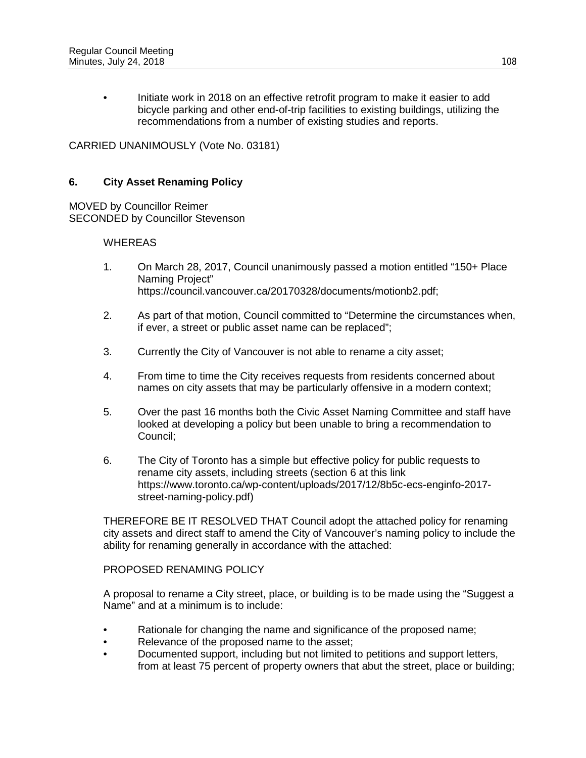• Initiate work in 2018 on an effective retrofit program to make it easier to add bicycle parking and other end-of-trip facilities to existing buildings, utilizing the recommendations from a number of existing studies and reports.

CARRIED UNANIMOUSLY (Vote No. 03181)

## **6. City Asset Renaming Policy**

MOVED by Councillor Reimer SECONDED by Councillor Stevenson

#### **WHEREAS**

- 1. On March 28, 2017, Council unanimously passed a motion entitled "150+ Place Naming Project" https://council.vancouver.ca/20170328/documents/motionb2.pdf;
- 2. As part of that motion, Council committed to "Determine the circumstances when, if ever, a street or public asset name can be replaced";
- 3. Currently the City of Vancouver is not able to rename a city asset;
- 4. From time to time the City receives requests from residents concerned about names on city assets that may be particularly offensive in a modern context;
- 5. Over the past 16 months both the Civic Asset Naming Committee and staff have looked at developing a policy but been unable to bring a recommendation to Council;
- 6. The City of Toronto has a simple but effective policy for public requests to rename city assets, including streets (section 6 at this link https://www.toronto.ca/wp-content/uploads/2017/12/8b5c-ecs-enginfo-2017 street-naming-policy.pdf)

THEREFORE BE IT RESOLVED THAT Council adopt the attached policy for renaming city assets and direct staff to amend the City of Vancouver's naming policy to include the ability for renaming generally in accordance with the attached:

#### PROPOSED RENAMING POLICY

A proposal to rename a City street, place, or building is to be made using the "Suggest a Name" and at a minimum is to include:

- Rationale for changing the name and significance of the proposed name;
- Relevance of the proposed name to the asset;
- Documented support, including but not limited to petitions and support letters, from at least 75 percent of property owners that abut the street, place or building;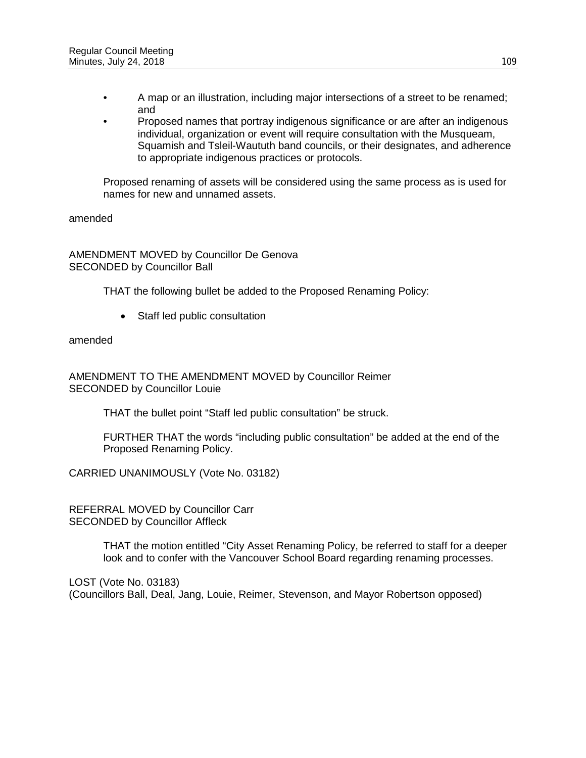- A map or an illustration, including major intersections of a street to be renamed; and
- Proposed names that portray indigenous significance or are after an indigenous individual, organization or event will require consultation with the Musqueam, Squamish and Tsleil-Waututh band councils, or their designates, and adherence to appropriate indigenous practices or protocols.

Proposed renaming of assets will be considered using the same process as is used for names for new and unnamed assets.

amended

AMENDMENT MOVED by Councillor De Genova SECONDED by Councillor Ball

THAT the following bullet be added to the Proposed Renaming Policy:

• Staff led public consultation

amended

AMENDMENT TO THE AMENDMENT MOVED by Councillor Reimer SECONDED by Councillor Louie

THAT the bullet point "Staff led public consultation" be struck.

FURTHER THAT the words "including public consultation" be added at the end of the Proposed Renaming Policy.

CARRIED UNANIMOUSLY (Vote No. 03182)

REFERRAL MOVED by Councillor Carr SECONDED by Councillor Affleck

> THAT the motion entitled "City Asset Renaming Policy, be referred to staff for a deeper look and to confer with the Vancouver School Board regarding renaming processes.

LOST (Vote No. 03183) (Councillors Ball, Deal, Jang, Louie, Reimer, Stevenson, and Mayor Robertson opposed)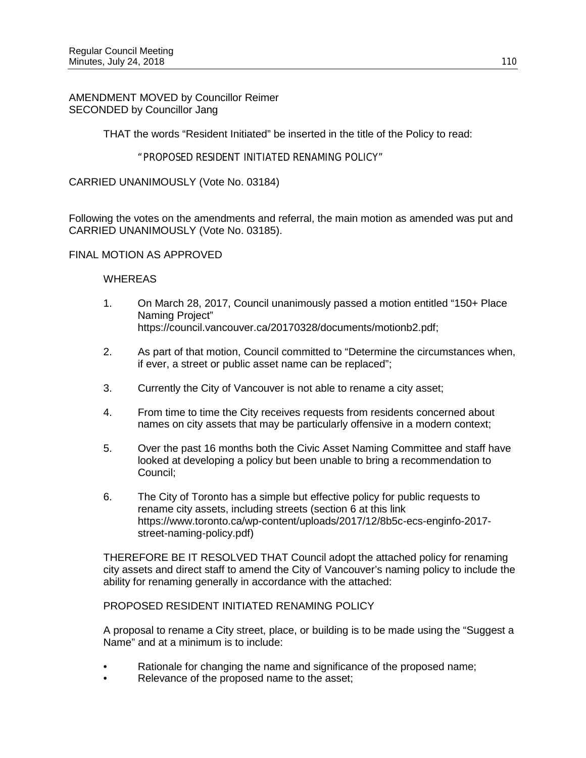## AMENDMENT MOVED by Councillor Reimer SECONDED by Councillor Jang

THAT the words "Resident Initiated" be inserted in the title of the Policy to read:

## "PROPOSED RESIDENT INITIATED RENAMING POLICY"

CARRIED UNANIMOUSLY (Vote No. 03184)

Following the votes on the amendments and referral, the main motion as amended was put and CARRIED UNANIMOUSLY (Vote No. 03185).

#### FINAL MOTION AS APPROVED

#### **WHEREAS**

- 1. On March 28, 2017, Council unanimously passed a motion entitled "150+ Place Naming Project" https://council.vancouver.ca/20170328/documents/motionb2.pdf;
- 2. As part of that motion, Council committed to "Determine the circumstances when, if ever, a street or public asset name can be replaced";
- 3. Currently the City of Vancouver is not able to rename a city asset;
- 4. From time to time the City receives requests from residents concerned about names on city assets that may be particularly offensive in a modern context;
- 5. Over the past 16 months both the Civic Asset Naming Committee and staff have looked at developing a policy but been unable to bring a recommendation to Council;
- 6. The City of Toronto has a simple but effective policy for public requests to rename city assets, including streets (section 6 at this link https://www.toronto.ca/wp-content/uploads/2017/12/8b5c-ecs-enginfo-2017 street-naming-policy.pdf)

THEREFORE BE IT RESOLVED THAT Council adopt the attached policy for renaming city assets and direct staff to amend the City of Vancouver's naming policy to include the ability for renaming generally in accordance with the attached:

#### PROPOSED RESIDENT INITIATED RENAMING POLICY

A proposal to rename a City street, place, or building is to be made using the "Suggest a Name" and at a minimum is to include:

- Rationale for changing the name and significance of the proposed name;
- Relevance of the proposed name to the asset;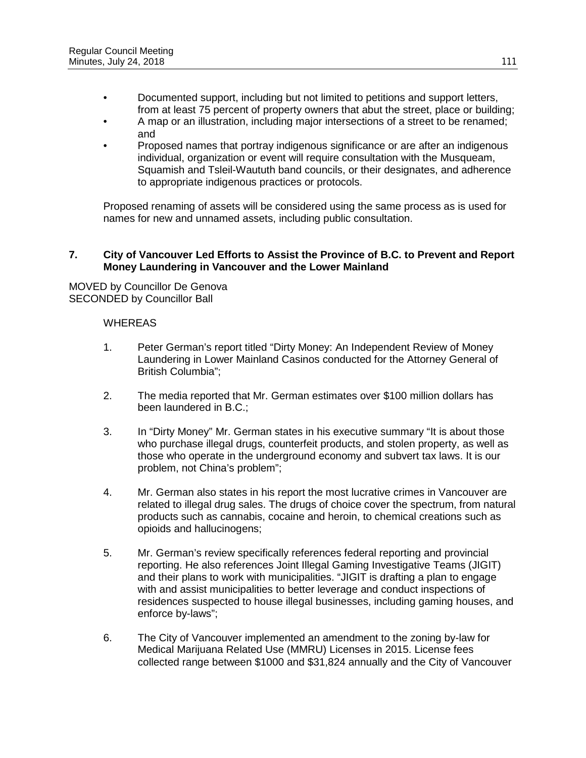- Documented support, including but not limited to petitions and support letters, from at least 75 percent of property owners that abut the street, place or building;
- A map or an illustration, including major intersections of a street to be renamed; and
- Proposed names that portray indigenous significance or are after an indigenous individual, organization or event will require consultation with the Musqueam, Squamish and Tsleil-Waututh band councils, or their designates, and adherence to appropriate indigenous practices or protocols.

Proposed renaming of assets will be considered using the same process as is used for names for new and unnamed assets, including public consultation.

## **7. City of Vancouver Led Efforts to Assist the Province of B.C. to Prevent and Report Money Laundering in Vancouver and the Lower Mainland**

MOVED by Councillor De Genova SECONDED by Councillor Ball

## WHEREAS

- 1. Peter German's report titled "Dirty Money: An Independent Review of Money Laundering in Lower Mainland Casinos conducted for the Attorney General of British Columbia";
- 2. The media reported that Mr. German estimates over \$100 million dollars has been laundered in B.C.;
- 3. In "Dirty Money" Mr. German states in his executive summary "It is about those who purchase illegal drugs, counterfeit products, and stolen property, as well as those who operate in the underground economy and subvert tax laws. It is our problem, not China's problem";
- 4. Mr. German also states in his report the most lucrative crimes in Vancouver are related to illegal drug sales. The drugs of choice cover the spectrum, from natural products such as cannabis, cocaine and heroin, to chemical creations such as opioids and hallucinogens;
- 5. Mr. German's review specifically references federal reporting and provincial reporting. He also references Joint Illegal Gaming Investigative Teams (JIGIT) and their plans to work with municipalities. "JIGIT is drafting a plan to engage with and assist municipalities to better leverage and conduct inspections of residences suspected to house illegal businesses, including gaming houses, and enforce by-laws";
- 6. The City of Vancouver implemented an amendment to the zoning by-law for Medical Marijuana Related Use (MMRU) Licenses in 2015. License fees collected range between \$1000 and \$31,824 annually and the City of Vancouver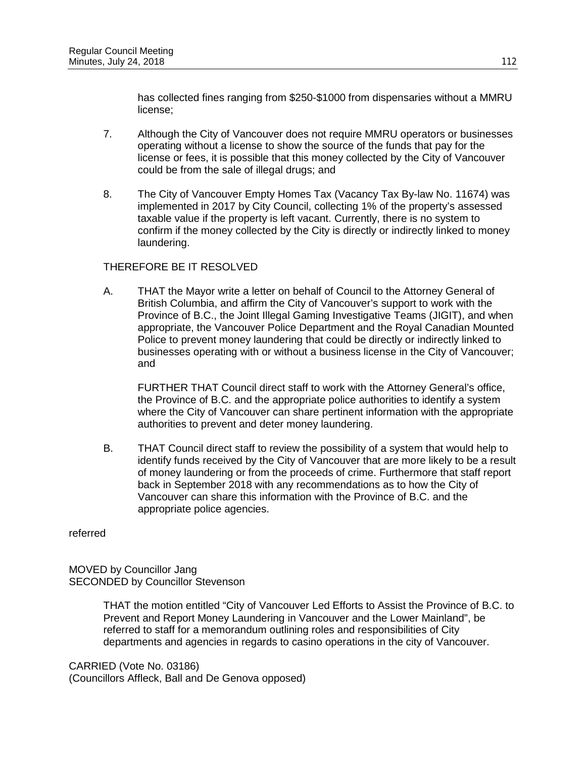has collected fines ranging from \$250-\$1000 from dispensaries without a MMRU license;

- 7. Although the City of Vancouver does not require MMRU operators or businesses operating without a license to show the source of the funds that pay for the license or fees, it is possible that this money collected by the City of Vancouver could be from the sale of illegal drugs; and
- 8. The City of Vancouver Empty Homes Tax (Vacancy Tax By-law No. 11674) was implemented in 2017 by City Council, collecting 1% of the property's assessed taxable value if the property is left vacant. Currently, there is no system to confirm if the money collected by the City is directly or indirectly linked to money laundering.

## THEREFORE BE IT RESOLVED

A. THAT the Mayor write a letter on behalf of Council to the Attorney General of British Columbia, and affirm the City of Vancouver's support to work with the Province of B.C., the Joint Illegal Gaming Investigative Teams (JIGIT), and when appropriate, the Vancouver Police Department and the Royal Canadian Mounted Police to prevent money laundering that could be directly or indirectly linked to businesses operating with or without a business license in the City of Vancouver; and

FURTHER THAT Council direct staff to work with the Attorney General's office, the Province of B.C. and the appropriate police authorities to identify a system where the City of Vancouver can share pertinent information with the appropriate authorities to prevent and deter money laundering.

B. THAT Council direct staff to review the possibility of a system that would help to identify funds received by the City of Vancouver that are more likely to be a result of money laundering or from the proceeds of crime. Furthermore that staff report back in September 2018 with any recommendations as to how the City of Vancouver can share this information with the Province of B.C. and the appropriate police agencies.

referred

MOVED by Councillor Jang SECONDED by Councillor Stevenson

> THAT the motion entitled "City of Vancouver Led Efforts to Assist the Province of B.C. to Prevent and Report Money Laundering in Vancouver and the Lower Mainland", be referred to staff for a memorandum outlining roles and responsibilities of City departments and agencies in regards to casino operations in the city of Vancouver.

CARRIED (Vote No. 03186) (Councillors Affleck, Ball and De Genova opposed)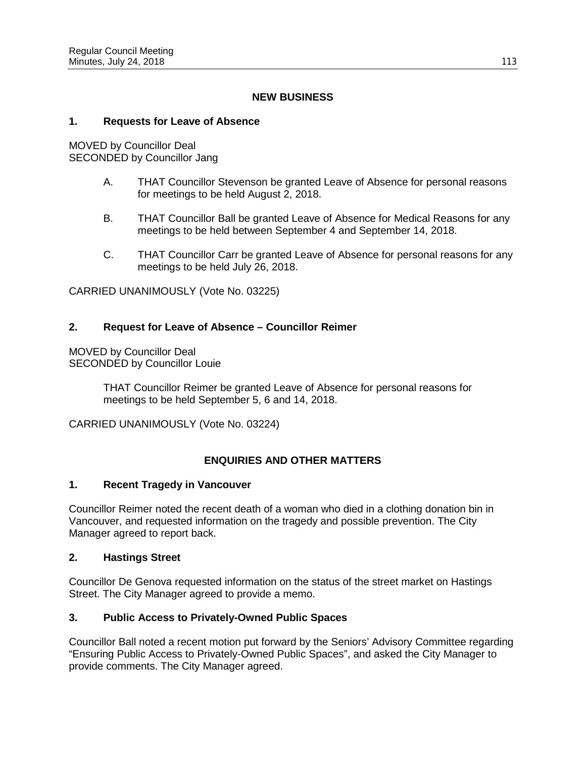## **NEW BUSINESS**

## **1. Requests for Leave of Absence**

MOVED by Councillor Deal SECONDED by Councillor Jang

- A. THAT Councillor Stevenson be granted Leave of Absence for personal reasons for meetings to be held August 2, 2018.
- B. THAT Councillor Ball be granted Leave of Absence for Medical Reasons for any meetings to be held between September 4 and September 14, 2018.
- C. THAT Councillor Carr be granted Leave of Absence for personal reasons for any meetings to be held July 26, 2018.

CARRIED UNANIMOUSLY (Vote No. 03225)

## **2. Request for Leave of Absence – Councillor Reimer**

MOVED by Councillor Deal SECONDED by Councillor Louie

> THAT Councillor Reimer be granted Leave of Absence for personal reasons for meetings to be held September 5, 6 and 14, 2018.

CARRIED UNANIMOUSLY (Vote No. 03224)

## **ENQUIRIES AND OTHER MATTERS**

## **1. Recent Tragedy in Vancouver**

Councillor Reimer noted the recent death of a woman who died in a clothing donation bin in Vancouver, and requested information on the tragedy and possible prevention. The City Manager agreed to report back.

#### **2. Hastings Street**

Councillor De Genova requested information on the status of the street market on Hastings Street. The City Manager agreed to provide a memo.

## **3. Public Access to Privately-Owned Public Spaces**

Councillor Ball noted a recent motion put forward by the Seniors' Advisory Committee regarding "Ensuring Public Access to Privately-Owned Public Spaces", and asked the City Manager to provide comments. The City Manager agreed.